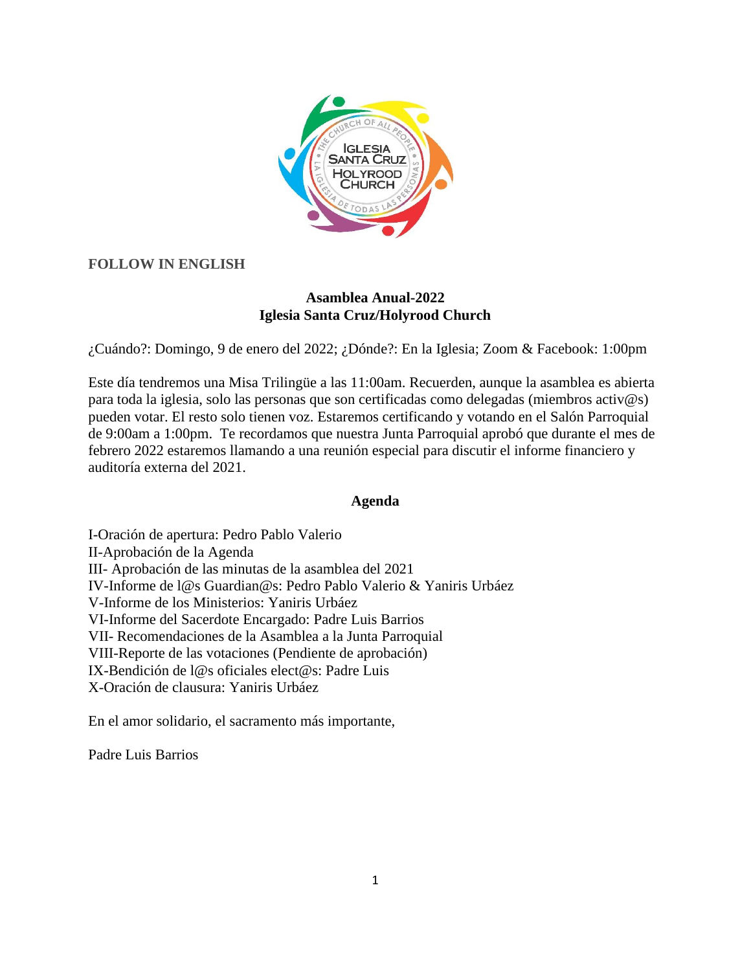

# **FOLLOW IN ENGLISH**

# **Asamblea Anual-2022 Iglesia Santa Cruz/Holyrood Church**

¿Cuándo?: Domingo, 9 de enero del 2022; ¿Dónde?: En la Iglesia; Zoom & Facebook: 1:00pm

Este día tendremos una Misa Trilingüe a las 11:00am. Recuerden, aunque la asamblea es abierta para toda la iglesia, solo las personas que son certificadas como delegadas (miembros activ@s) pueden votar. El resto solo tienen voz. Estaremos certificando y votando en el Salón Parroquial de 9:00am a 1:00pm. Te recordamos que nuestra Junta Parroquial aprobó que durante el mes de febrero 2022 estaremos llamando a una reunión especial para discutir el informe financiero y auditoría externa del 2021.

# **Agenda**

I-Oración de apertura: Pedro Pablo Valerio II-Aprobación de la Agenda III- Aprobación de las minutas de la asamblea del 2021 IV-Informe de l@s Guardian@s: Pedro Pablo Valerio & Yaniris Urbáez V-Informe de los Ministerios: Yaniris Urbáez VI-Informe del Sacerdote Encargado: Padre Luis Barrios VII- Recomendaciones de la Asamblea a la Junta Parroquial VIII-Reporte de las votaciones (Pendiente de aprobación) IX-Bendición de l@s oficiales elect@s: Padre Luis X-Oración de clausura: Yaniris Urbáez

En el amor solidario, el sacramento más importante,

Padre Luis Barrios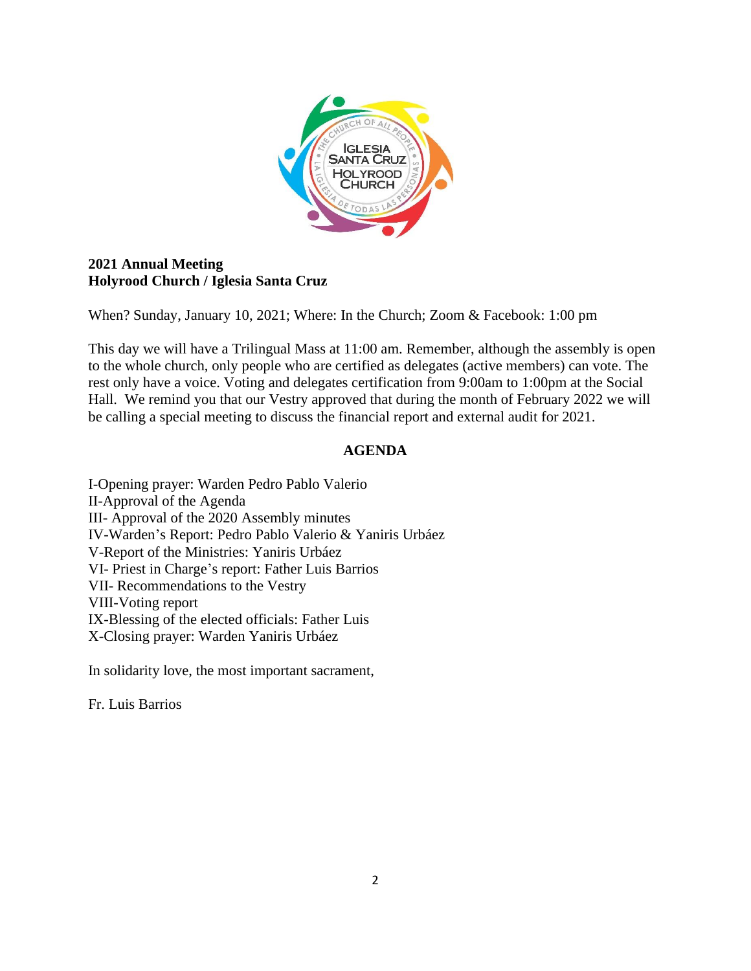

# **2021 Annual Meeting Holyrood Church / Iglesia Santa Cruz**

When? Sunday, January 10, 2021; Where: In the Church; Zoom & Facebook: 1:00 pm

This day we will have a Trilingual Mass at 11:00 am. Remember, although the assembly is open to the whole church, only people who are certified as delegates (active members) can vote. The rest only have a voice. Voting and delegates certification from 9:00am to 1:00pm at the Social Hall. We remind you that our Vestry approved that during the month of February 2022 we will be calling a special meeting to discuss the financial report and external audit for 2021.

# **AGENDA**

I-Opening prayer: Warden Pedro Pablo Valerio II-Approval of the Agenda III- Approval of the 2020 Assembly minutes IV-Warden's Report: Pedro Pablo Valerio & Yaniris Urbáez V-Report of the Ministries: Yaniris Urbáez VI- Priest in Charge's report: Father Luis Barrios VII- Recommendations to the Vestry VIII-Voting report IX-Blessing of the elected officials: Father Luis X-Closing prayer: Warden Yaniris Urbáez

In solidarity love, the most important sacrament,

Fr. Luis Barrios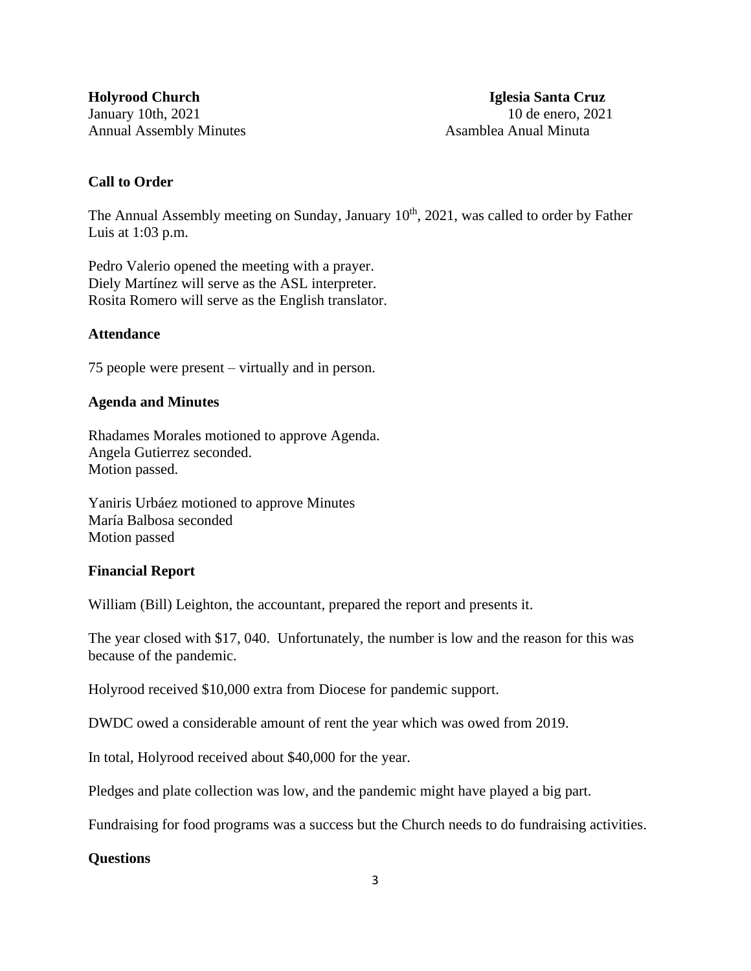Annual Assembly Minutes **Assembly Minutes** Assemble Anual Minuta

**Holyrood Church Iglesia Santa Cruz** January 10th, 2021 10 de enero, 2021

# **Call to Order**

The Annual Assembly meeting on Sunday, January 10<sup>th</sup>, 2021, was called to order by Father Luis at 1:03 p.m.

Pedro Valerio opened the meeting with a prayer. Diely Martínez will serve as the ASL interpreter. Rosita Romero will serve as the English translator.

## **Attendance**

75 people were present – virtually and in person.

#### **Agenda and Minutes**

Rhadames Morales motioned to approve Agenda. Angela Gutierrez seconded. Motion passed.

Yaniris Urbáez motioned to approve Minutes María Balbosa seconded Motion passed

#### **Financial Report**

William (Bill) Leighton, the accountant, prepared the report and presents it.

The year closed with \$17, 040. Unfortunately, the number is low and the reason for this was because of the pandemic.

Holyrood received \$10,000 extra from Diocese for pandemic support.

DWDC owed a considerable amount of rent the year which was owed from 2019.

In total, Holyrood received about \$40,000 for the year.

Pledges and plate collection was low, and the pandemic might have played a big part.

Fundraising for food programs was a success but the Church needs to do fundraising activities.

# **Questions**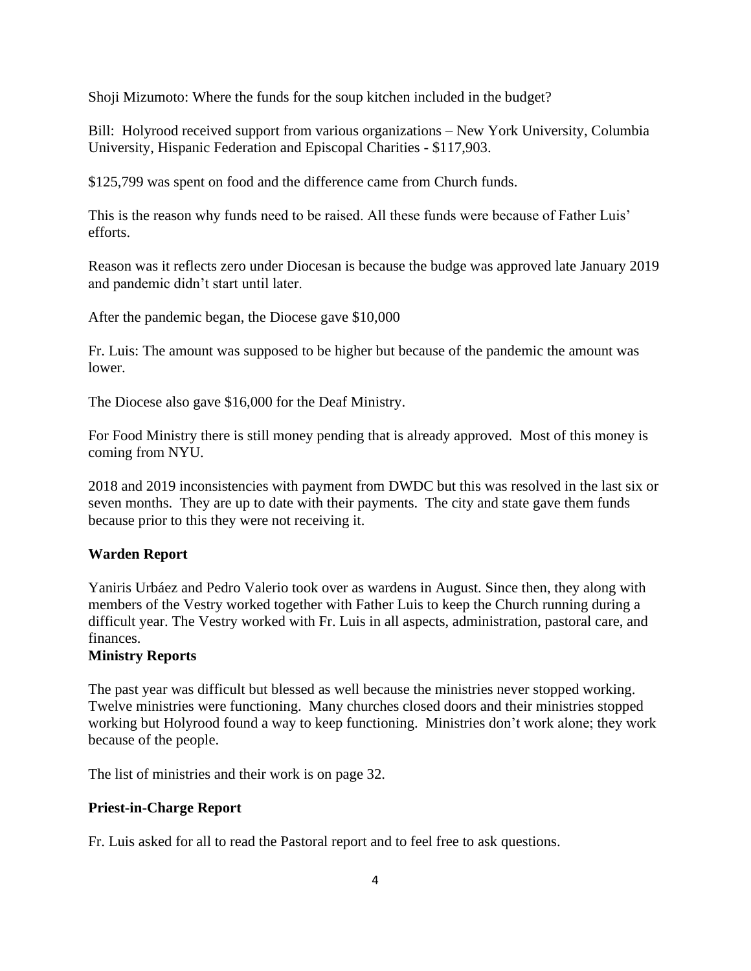Shoji Mizumoto: Where the funds for the soup kitchen included in the budget?

Bill: Holyrood received support from various organizations – New York University, Columbia University, Hispanic Federation and Episcopal Charities - \$117,903.

\$125,799 was spent on food and the difference came from Church funds.

This is the reason why funds need to be raised. All these funds were because of Father Luis' efforts.

Reason was it reflects zero under Diocesan is because the budge was approved late January 2019 and pandemic didn't start until later.

After the pandemic began, the Diocese gave \$10,000

Fr. Luis: The amount was supposed to be higher but because of the pandemic the amount was lower.

The Diocese also gave \$16,000 for the Deaf Ministry.

For Food Ministry there is still money pending that is already approved. Most of this money is coming from NYU.

2018 and 2019 inconsistencies with payment from DWDC but this was resolved in the last six or seven months. They are up to date with their payments. The city and state gave them funds because prior to this they were not receiving it.

# **Warden Report**

Yaniris Urbáez and Pedro Valerio took over as wardens in August. Since then, they along with members of the Vestry worked together with Father Luis to keep the Church running during a difficult year. The Vestry worked with Fr. Luis in all aspects, administration, pastoral care, and finances.

# **Ministry Reports**

The past year was difficult but blessed as well because the ministries never stopped working. Twelve ministries were functioning. Many churches closed doors and their ministries stopped working but Holyrood found a way to keep functioning. Ministries don't work alone; they work because of the people.

The list of ministries and their work is on page 32.

# **Priest-in-Charge Report**

Fr. Luis asked for all to read the Pastoral report and to feel free to ask questions.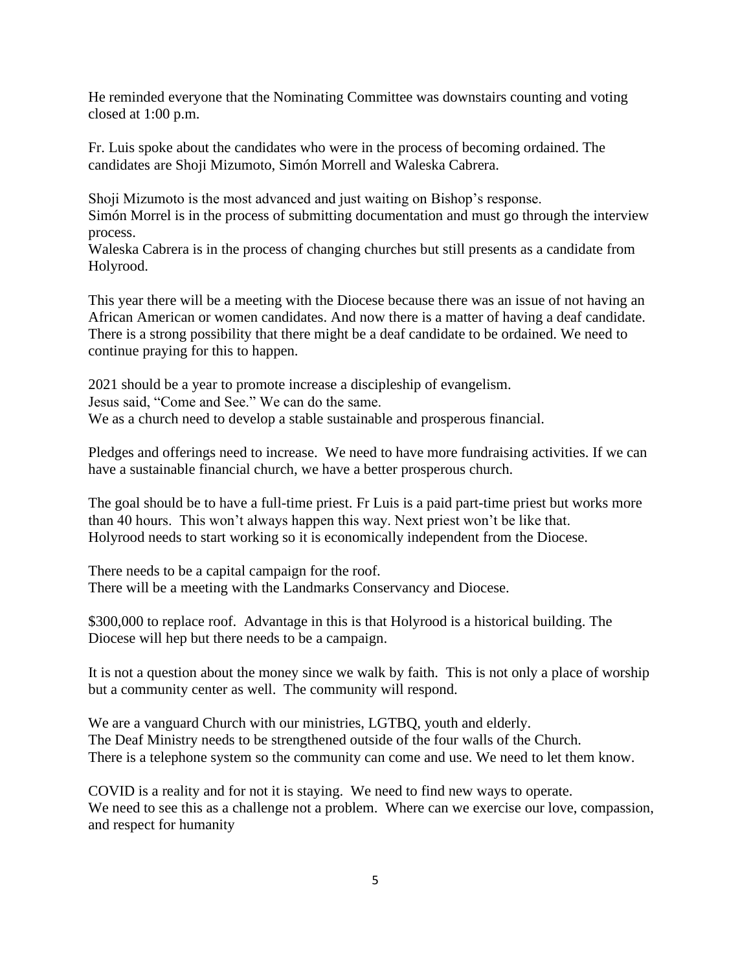He reminded everyone that the Nominating Committee was downstairs counting and voting closed at 1:00 p.m.

Fr. Luis spoke about the candidates who were in the process of becoming ordained. The candidates are Shoji Mizumoto, Simón Morrell and Waleska Cabrera.

Shoji Mizumoto is the most advanced and just waiting on Bishop's response. Simón Morrel is in the process of submitting documentation and must go through the interview process.

Waleska Cabrera is in the process of changing churches but still presents as a candidate from Holyrood.

This year there will be a meeting with the Diocese because there was an issue of not having an African American or women candidates. And now there is a matter of having a deaf candidate. There is a strong possibility that there might be a deaf candidate to be ordained. We need to continue praying for this to happen.

2021 should be a year to promote increase a discipleship of evangelism. Jesus said, "Come and See." We can do the same. We as a church need to develop a stable sustainable and prosperous financial.

Pledges and offerings need to increase. We need to have more fundraising activities. If we can have a sustainable financial church, we have a better prosperous church.

The goal should be to have a full-time priest. Fr Luis is a paid part-time priest but works more than 40 hours. This won't always happen this way. Next priest won't be like that. Holyrood needs to start working so it is economically independent from the Diocese.

There needs to be a capital campaign for the roof. There will be a meeting with the Landmarks Conservancy and Diocese.

\$300,000 to replace roof. Advantage in this is that Holyrood is a historical building. The Diocese will hep but there needs to be a campaign.

It is not a question about the money since we walk by faith. This is not only a place of worship but a community center as well. The community will respond.

We are a vanguard Church with our ministries, LGTBQ, youth and elderly. The Deaf Ministry needs to be strengthened outside of the four walls of the Church. There is a telephone system so the community can come and use. We need to let them know.

COVID is a reality and for not it is staying. We need to find new ways to operate. We need to see this as a challenge not a problem. Where can we exercise our love, compassion, and respect for humanity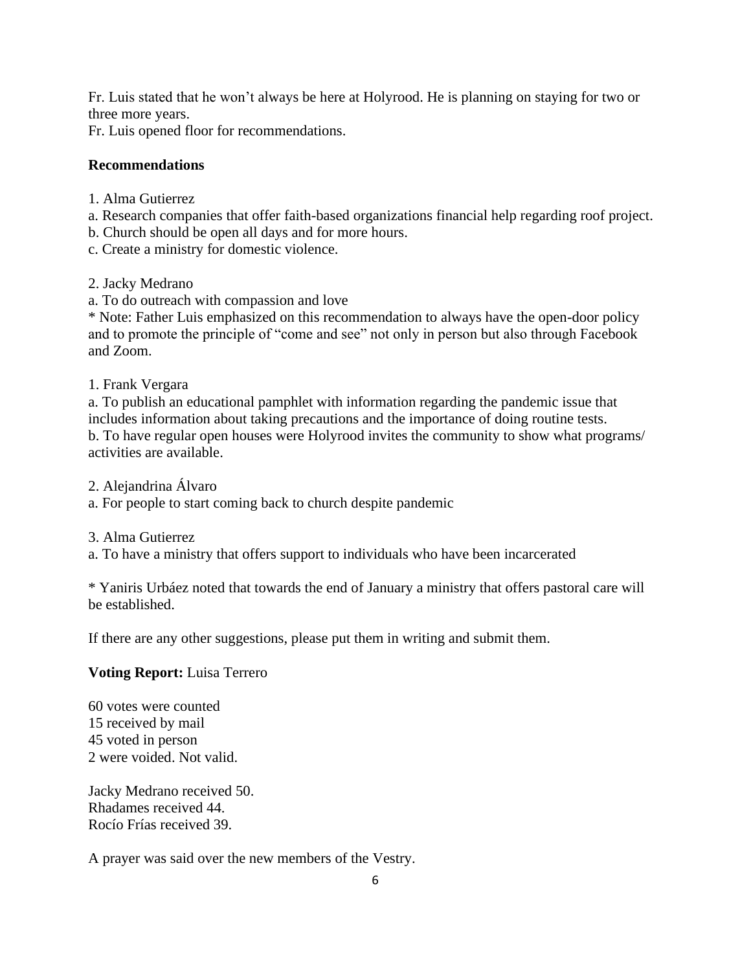Fr. Luis stated that he won't always be here at Holyrood. He is planning on staying for two or three more years.

Fr. Luis opened floor for recommendations.

# **Recommendations**

- 1. Alma Gutierrez
- a. Research companies that offer faith-based organizations financial help regarding roof project.
- b. Church should be open all days and for more hours.
- c. Create a ministry for domestic violence.

# 2. Jacky Medrano

a. To do outreach with compassion and love

\* Note: Father Luis emphasized on this recommendation to always have the open-door policy and to promote the principle of "come and see" not only in person but also through Facebook and Zoom.

1. Frank Vergara

a. To publish an educational pamphlet with information regarding the pandemic issue that includes information about taking precautions and the importance of doing routine tests. b. To have regular open houses were Holyrood invites the community to show what programs/ activities are available.

- 2. Alejandrina Álvaro
- a. For people to start coming back to church despite pandemic

# 3. Alma Gutierrez

a. To have a ministry that offers support to individuals who have been incarcerated

\* Yaniris Urbáez noted that towards the end of January a ministry that offers pastoral care will be established.

If there are any other suggestions, please put them in writing and submit them.

# **Voting Report:** Luisa Terrero

60 votes were counted 15 received by mail 45 voted in person 2 were voided. Not valid.

Jacky Medrano received 50. Rhadames received 44. Rocío Frías received 39.

A prayer was said over the new members of the Vestry.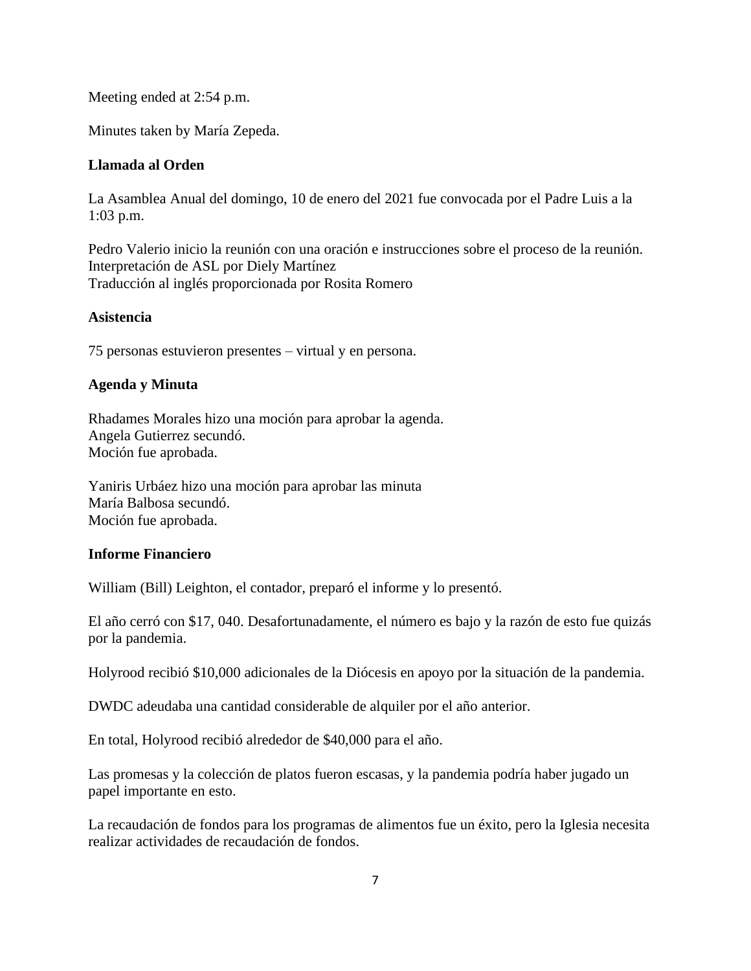Meeting ended at 2:54 p.m.

Minutes taken by María Zepeda.

# **Llamada al Orden**

La Asamblea Anual del domingo, 10 de enero del 2021 fue convocada por el Padre Luis a la 1:03 p.m.

Pedro Valerio inicio la reunión con una oración e instrucciones sobre el proceso de la reunión. Interpretación de ASL por Diely Martínez Traducción al inglés proporcionada por Rosita Romero

### **Asistencia**

75 personas estuvieron presentes – virtual y en persona.

## **Agenda y Minuta**

Rhadames Morales hizo una moción para aprobar la agenda. Angela Gutierrez secundó. Moción fue aprobada.

Yaniris Urbáez hizo una moción para aprobar las minuta María Balbosa secundó. Moción fue aprobada.

## **Informe Financiero**

William (Bill) Leighton, el contador, preparó el informe y lo presentó.

El año cerró con \$17, 040. Desafortunadamente, el número es bajo y la razón de esto fue quizás por la pandemia.

Holyrood recibió \$10,000 adicionales de la Diócesis en apoyo por la situación de la pandemia.

DWDC adeudaba una cantidad considerable de alquiler por el año anterior.

En total, Holyrood recibió alrededor de \$40,000 para el año.

Las promesas y la colección de platos fueron escasas, y la pandemia podría haber jugado un papel importante en esto.

La recaudación de fondos para los programas de alimentos fue un éxito, pero la Iglesia necesita realizar actividades de recaudación de fondos.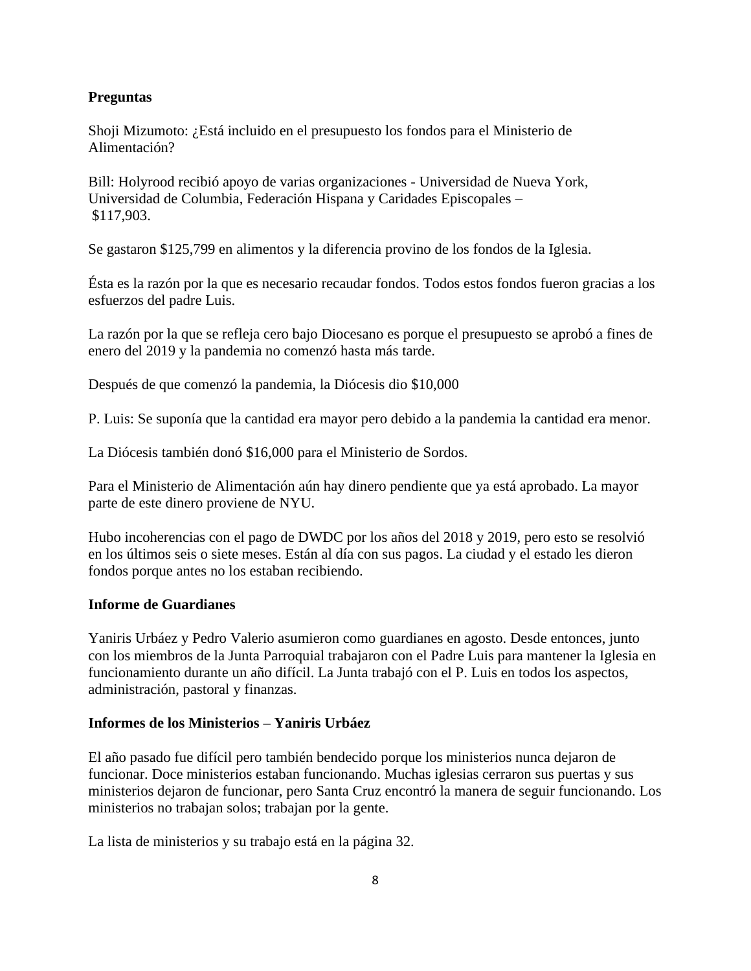# **Preguntas**

Shoji Mizumoto: ¿Está incluido en el presupuesto los fondos para el Ministerio de Alimentación?

Bill: Holyrood recibió apoyo de varias organizaciones - Universidad de Nueva York, Universidad de Columbia, Federación Hispana y Caridades Episcopales – \$117,903.

Se gastaron \$125,799 en alimentos y la diferencia provino de los fondos de la Iglesia.

Ésta es la razón por la que es necesario recaudar fondos. Todos estos fondos fueron gracias a los esfuerzos del padre Luis.

La razón por la que se refleja cero bajo Diocesano es porque el presupuesto se aprobó a fines de enero del 2019 y la pandemia no comenzó hasta más tarde.

Después de que comenzó la pandemia, la Diócesis dio \$10,000

P. Luis: Se suponía que la cantidad era mayor pero debido a la pandemia la cantidad era menor.

La Diócesis también donó \$16,000 para el Ministerio de Sordos.

Para el Ministerio de Alimentación aún hay dinero pendiente que ya está aprobado. La mayor parte de este dinero proviene de NYU.

Hubo incoherencias con el pago de DWDC por los años del 2018 y 2019, pero esto se resolvió en los últimos seis o siete meses. Están al día con sus pagos. La ciudad y el estado les dieron fondos porque antes no los estaban recibiendo.

# **Informe de Guardianes**

Yaniris Urbáez y Pedro Valerio asumieron como guardianes en agosto. Desde entonces, junto con los miembros de la Junta Parroquial trabajaron con el Padre Luis para mantener la Iglesia en funcionamiento durante un año difícil. La Junta trabajó con el P. Luis en todos los aspectos, administración, pastoral y finanzas.

# **Informes de los Ministerios – Yaniris Urbáez**

El año pasado fue difícil pero también bendecido porque los ministerios nunca dejaron de funcionar. Doce ministerios estaban funcionando. Muchas iglesias cerraron sus puertas y sus ministerios dejaron de funcionar, pero Santa Cruz encontró la manera de seguir funcionando. Los ministerios no trabajan solos; trabajan por la gente.

La lista de ministerios y su trabajo está en la página 32.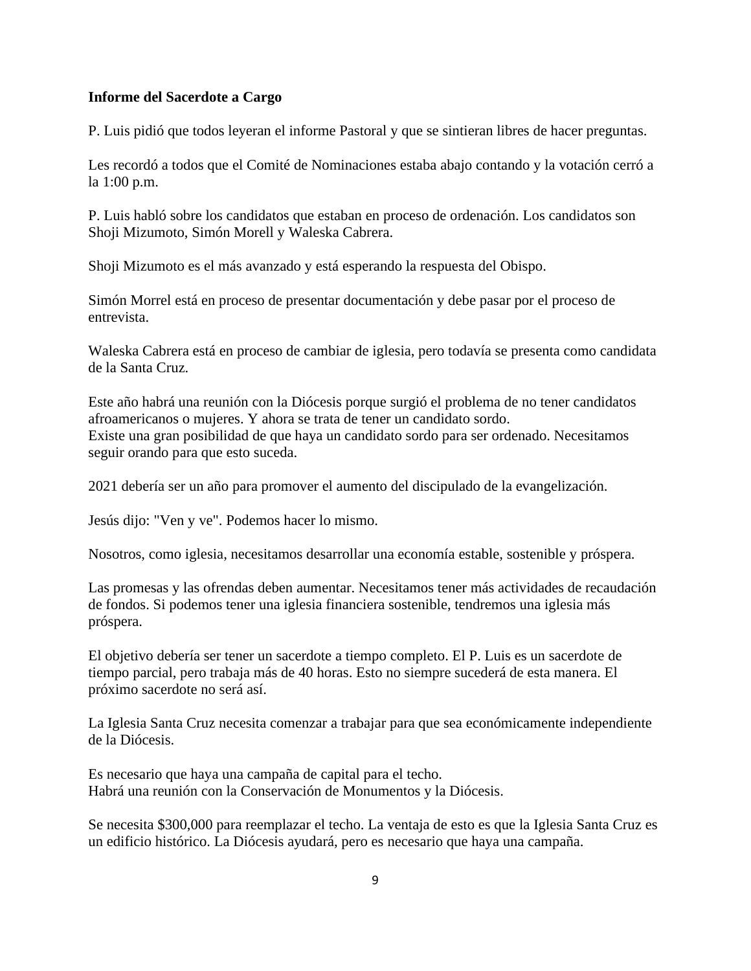### **Informe del Sacerdote a Cargo**

P. Luis pidió que todos leyeran el informe Pastoral y que se sintieran libres de hacer preguntas.

Les recordó a todos que el Comité de Nominaciones estaba abajo contando y la votación cerró a la 1:00 p.m.

P. Luis habló sobre los candidatos que estaban en proceso de ordenación. Los candidatos son Shoji Mizumoto, Simón Morell y Waleska Cabrera.

Shoji Mizumoto es el más avanzado y está esperando la respuesta del Obispo.

Simón Morrel está en proceso de presentar documentación y debe pasar por el proceso de entrevista.

Waleska Cabrera está en proceso de cambiar de iglesia, pero todavía se presenta como candidata de la Santa Cruz.

Este año habrá una reunión con la Diócesis porque surgió el problema de no tener candidatos afroamericanos o mujeres. Y ahora se trata de tener un candidato sordo. Existe una gran posibilidad de que haya un candidato sordo para ser ordenado. Necesitamos seguir orando para que esto suceda.

2021 debería ser un año para promover el aumento del discipulado de la evangelización.

Jesús dijo: "Ven y ve". Podemos hacer lo mismo.

Nosotros, como iglesia, necesitamos desarrollar una economía estable, sostenible y próspera.

Las promesas y las ofrendas deben aumentar. Necesitamos tener más actividades de recaudación de fondos. Si podemos tener una iglesia financiera sostenible, tendremos una iglesia más próspera.

El objetivo debería ser tener un sacerdote a tiempo completo. El P. Luis es un sacerdote de tiempo parcial, pero trabaja más de 40 horas. Esto no siempre sucederá de esta manera. El próximo sacerdote no será así.

La Iglesia Santa Cruz necesita comenzar a trabajar para que sea económicamente independiente de la Diócesis.

Es necesario que haya una campaña de capital para el techo. Habrá una reunión con la Conservación de Monumentos y la Diócesis.

Se necesita \$300,000 para reemplazar el techo. La ventaja de esto es que la Iglesia Santa Cruz es un edificio histórico. La Diócesis ayudará, pero es necesario que haya una campaña.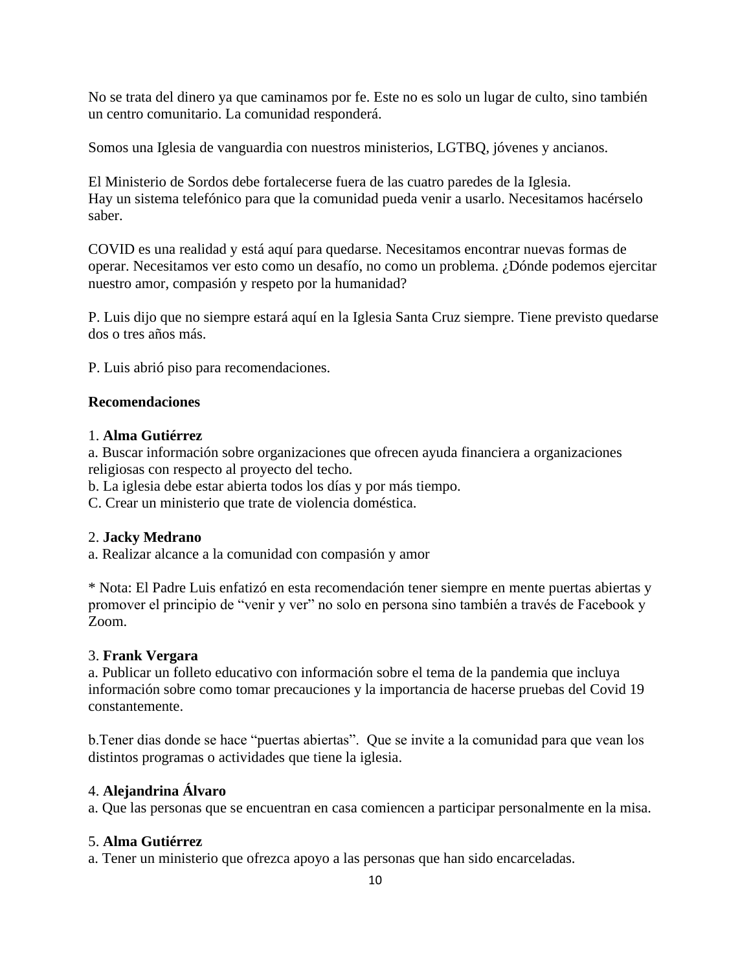No se trata del dinero ya que caminamos por fe. Este no es solo un lugar de culto, sino también un centro comunitario. La comunidad responderá.

Somos una Iglesia de vanguardia con nuestros ministerios, LGTBQ, jóvenes y ancianos.

El Ministerio de Sordos debe fortalecerse fuera de las cuatro paredes de la Iglesia. Hay un sistema telefónico para que la comunidad pueda venir a usarlo. Necesitamos hacérselo saber.

COVID es una realidad y está aquí para quedarse. Necesitamos encontrar nuevas formas de operar. Necesitamos ver esto como un desafío, no como un problema. ¿Dónde podemos ejercitar nuestro amor, compasión y respeto por la humanidad?

P. Luis dijo que no siempre estará aquí en la Iglesia Santa Cruz siempre. Tiene previsto quedarse dos o tres años más.

P. Luis abrió piso para recomendaciones.

# **Recomendaciones**

# 1. **Alma Gutiérrez**

a. Buscar información sobre organizaciones que ofrecen ayuda financiera a organizaciones religiosas con respecto al proyecto del techo.

b. La iglesia debe estar abierta todos los días y por más tiempo.

C. Crear un ministerio que trate de violencia doméstica.

# 2. **Jacky Medrano**

a. Realizar alcance a la comunidad con compasión y amor

\* Nota: El Padre Luis enfatizó en esta recomendación tener siempre en mente puertas abiertas y promover el principio de "venir y ver" no solo en persona sino también a través de Facebook y Zoom.

# 3. **Frank Vergara**

a. Publicar un folleto educativo con información sobre el tema de la pandemia que incluya información sobre como tomar precauciones y la importancia de hacerse pruebas del Covid 19 constantemente.

b.Tener dias donde se hace "puertas abiertas". Que se invite a la comunidad para que vean los distintos programas o actividades que tiene la iglesia.

# 4. **Alejandrina Álvaro**

a. Que las personas que se encuentran en casa comiencen a participar personalmente en la misa.

# 5. **Alma Gutiérrez**

a. Tener un ministerio que ofrezca apoyo a las personas que han sido encarceladas.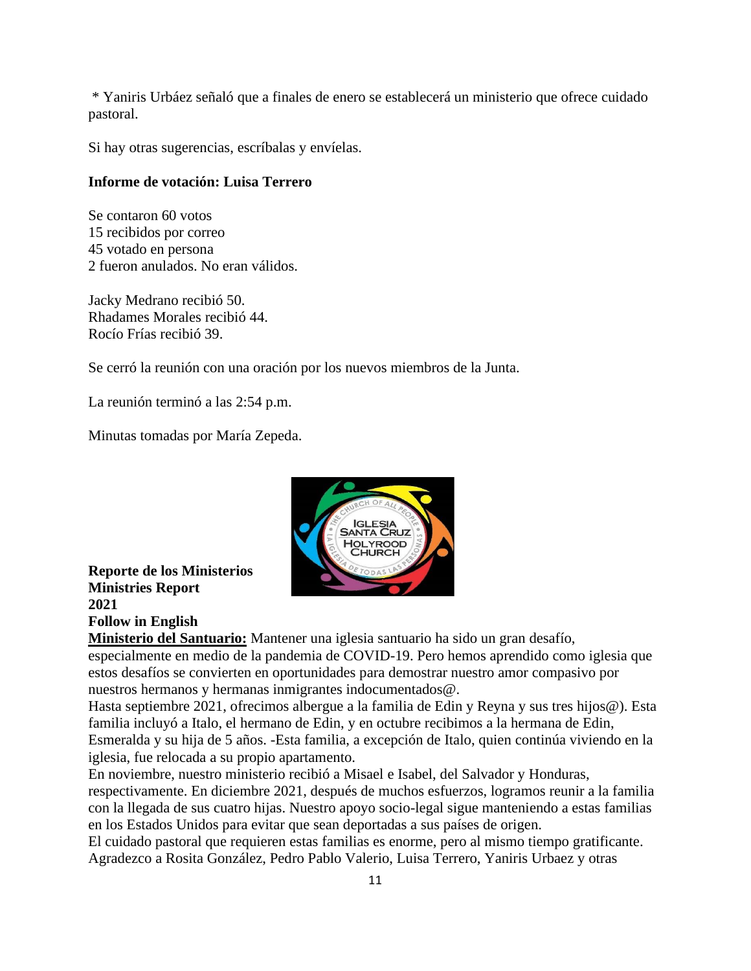\* Yaniris Urbáez señaló que a finales de enero se establecerá un ministerio que ofrece cuidado pastoral.

Si hay otras sugerencias, escríbalas y envíelas.

## **Informe de votación: Luisa Terrero**

Se contaron 60 votos 15 recibidos por correo 45 votado en persona 2 fueron anulados. No eran válidos.

Jacky Medrano recibió 50. Rhadames Morales recibió 44. Rocío Frías recibió 39.

Se cerró la reunión con una oración por los nuevos miembros de la Junta.

La reunión terminó a las 2:54 p.m.

Minutas tomadas por María Zepeda.



**Reporte de los Ministerios Ministries Report 2021 Follow in English**

**Ministerio del Santuario:** Mantener una iglesia santuario ha sido un gran desafío, especialmente en medio de la pandemia de COVID-19. Pero hemos aprendido como iglesia que estos desafíos se convierten en oportunidades para demostrar nuestro amor compasivo por nuestros hermanos y hermanas inmigrantes indocumentados@.

Hasta septiembre 2021, ofrecimos albergue a la familia de Edin y Reyna y sus tres hijos@). Esta familia incluyó a Italo, el hermano de Edin, y en octubre recibimos a la hermana de Edin, Esmeralda y su hija de 5 años. -Esta familia, a excepción de Italo, quien continúa viviendo en la iglesia, fue relocada a su propio apartamento.

En noviembre, nuestro ministerio recibió a Misael e Isabel, del Salvador y Honduras, respectivamente. En diciembre 2021, después de muchos esfuerzos, logramos reunir a la familia con la llegada de sus cuatro hijas. Nuestro apoyo socio-legal sigue manteniendo a estas familias en los Estados Unidos para evitar que sean deportadas a sus países de origen.

El cuidado pastoral que requieren estas familias es enorme, pero al mismo tiempo gratificante. Agradezco a Rosita González, Pedro Pablo Valerio, Luisa Terrero, Yaniris Urbaez y otras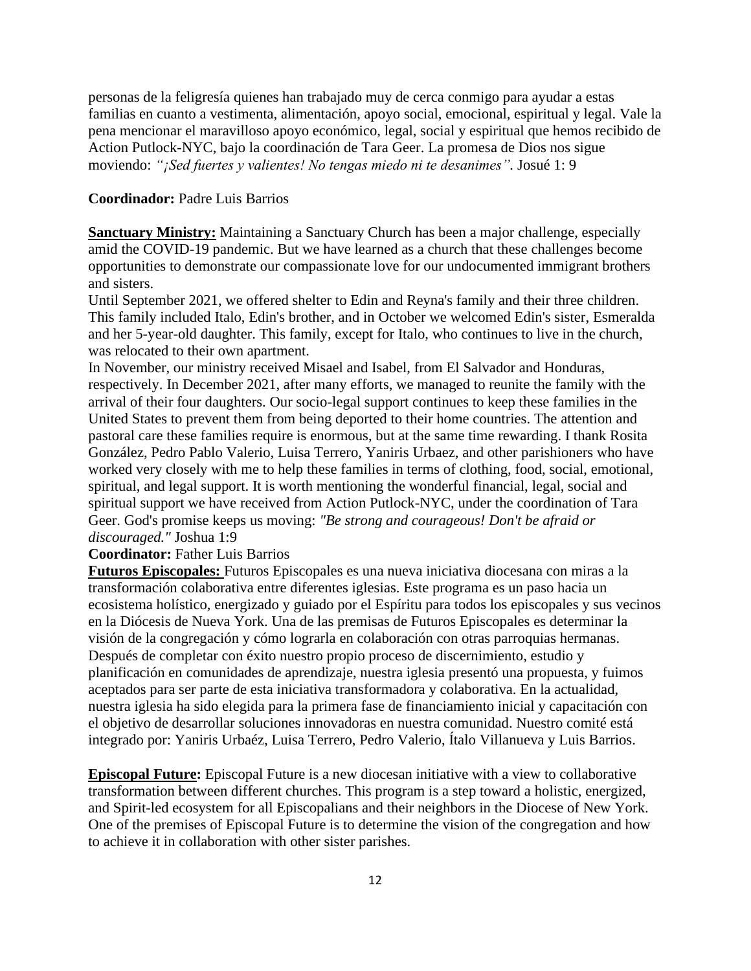personas de la feligresía quienes han trabajado muy de cerca conmigo para ayudar a estas familias en cuanto a vestimenta, alimentación, apoyo social, emocional, espiritual y legal. Vale la pena mencionar el maravilloso apoyo económico, legal, social y espiritual que hemos recibido de Action Putlock-NYC, bajo la coordinación de Tara Geer. La promesa de Dios nos sigue moviendo: *"¡Sed fuertes y valientes! No tengas miedo ni te desanimes".* Josué 1: 9

#### **Coordinador:** Padre Luis Barrios

**Sanctuary Ministry:** Maintaining a Sanctuary Church has been a major challenge, especially amid the COVID-19 pandemic. But we have learned as a church that these challenges become opportunities to demonstrate our compassionate love for our undocumented immigrant brothers and sisters.

Until September 2021, we offered shelter to Edin and Reyna's family and their three children. This family included Italo, Edin's brother, and in October we welcomed Edin's sister, Esmeralda and her 5-year-old daughter. This family, except for Italo, who continues to live in the church, was relocated to their own apartment.

In November, our ministry received Misael and Isabel, from El Salvador and Honduras, respectively. In December 2021, after many efforts, we managed to reunite the family with the arrival of their four daughters. Our socio-legal support continues to keep these families in the United States to prevent them from being deported to their home countries. The attention and pastoral care these families require is enormous, but at the same time rewarding. I thank Rosita González, Pedro Pablo Valerio, Luisa Terrero, Yaniris Urbaez, and other parishioners who have worked very closely with me to help these families in terms of clothing, food, social, emotional, spiritual, and legal support. It is worth mentioning the wonderful financial, legal, social and spiritual support we have received from Action Putlock-NYC, under the coordination of Tara Geer. God's promise keeps us moving: *"Be strong and courageous! Don't be afraid or discouraged."* Joshua 1:9

#### **Coordinator:** Father Luis Barrios

**Futuros Episcopales:** Futuros Episcopales es una nueva iniciativa diocesana con miras a la transformación colaborativa entre diferentes iglesias. Este programa es un paso hacia un ecosistema holístico, energizado y guiado por el Espíritu para todos los episcopales y sus vecinos en la Diócesis de Nueva York. Una de las premisas de Futuros Episcopales es determinar la visión de la congregación y cómo lograrla en colaboración con otras parroquias hermanas. Después de completar con éxito nuestro propio proceso de discernimiento, estudio y planificación en comunidades de aprendizaje, nuestra iglesia presentó una propuesta, y fuimos aceptados para ser parte de esta iniciativa transformadora y colaborativa. En la actualidad, nuestra iglesia ha sido elegida para la primera fase de financiamiento inicial y capacitación con el objetivo de desarrollar soluciones innovadoras en nuestra comunidad. Nuestro comité está integrado por: Yaniris Urbaéz, Luisa Terrero, Pedro Valerio, Ítalo Villanueva y Luis Barrios.

**Episcopal Future:** Episcopal Future is a new diocesan initiative with a view to collaborative transformation between different churches. This program is a step toward a holistic, energized, and Spirit-led ecosystem for all Episcopalians and their neighbors in the Diocese of New York. One of the premises of Episcopal Future is to determine the vision of the congregation and how to achieve it in collaboration with other sister parishes.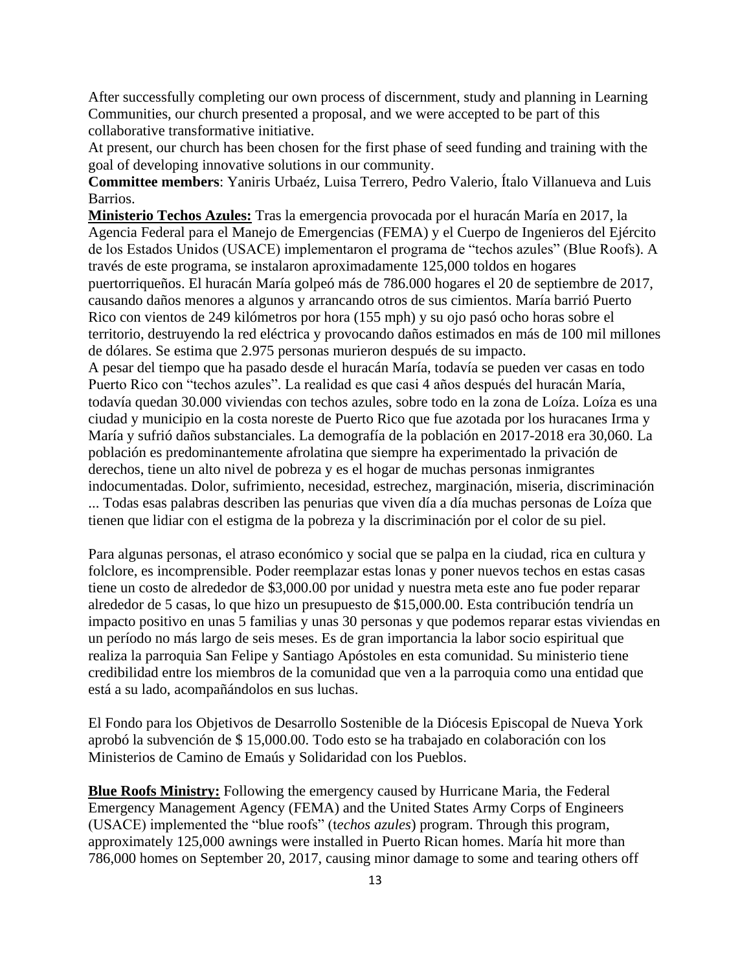After successfully completing our own process of discernment, study and planning in Learning Communities, our church presented a proposal, and we were accepted to be part of this collaborative transformative initiative.

At present, our church has been chosen for the first phase of seed funding and training with the goal of developing innovative solutions in our community.

**Committee members**: Yaniris Urbaéz, Luisa Terrero, Pedro Valerio, Ítalo Villanueva and Luis Barrios.

**Ministerio Techos Azules:** Tras la emergencia provocada por el huracán María en 2017, la Agencia Federal para el Manejo de Emergencias (FEMA) y el Cuerpo de Ingenieros del Ejército de los Estados Unidos (USACE) implementaron el programa de "techos azules" (Blue Roofs). A través de este programa, se instalaron aproximadamente 125,000 toldos en hogares puertorriqueños. El huracán María golpeó más de 786.000 hogares el 20 de septiembre de 2017, causando daños menores a algunos y arrancando otros de sus cimientos. María barrió Puerto Rico con vientos de 249 kilómetros por hora (155 mph) y su ojo pasó ocho horas sobre el territorio, destruyendo la red eléctrica y provocando daños estimados en más de 100 mil millones de dólares. Se estima que 2.975 personas murieron después de su impacto.

A pesar del tiempo que ha pasado desde el huracán María, todavía se pueden ver casas en todo Puerto Rico con "techos azules". La realidad es que casi 4 años después del huracán María, todavía quedan 30.000 viviendas con techos azules, sobre todo en la zona de Loíza. Loíza es una ciudad y municipio en la costa noreste de Puerto Rico que fue azotada por los huracanes Irma y María y sufrió daños substanciales. La demografía de la población en 2017-2018 era 30,060. La población es predominantemente afrolatina que siempre ha experimentado la privación de derechos, tiene un alto nivel de pobreza y es el hogar de muchas personas inmigrantes indocumentadas. Dolor, sufrimiento, necesidad, estrechez, marginación, miseria, discriminación ... Todas esas palabras describen las penurias que viven día a día muchas personas de Loíza que

tienen que lidiar con el estigma de la pobreza y la discriminación por el color de su piel.

Para algunas personas, el atraso económico y social que se palpa en la ciudad, rica en cultura y folclore, es incomprensible. Poder reemplazar estas lonas y poner nuevos techos en estas casas tiene un costo de alrededor de \$3,000.00 por unidad y nuestra meta este ano fue poder reparar alrededor de 5 casas, lo que hizo un presupuesto de \$15,000.00. Esta contribución tendría un impacto positivo en unas 5 familias y unas 30 personas y que podemos reparar estas viviendas en un período no más largo de seis meses. Es de gran importancia la labor socio espiritual que realiza la parroquia San Felipe y Santiago Apóstoles en esta comunidad. Su ministerio tiene credibilidad entre los miembros de la comunidad que ven a la parroquia como una entidad que está a su lado, acompañándolos en sus luchas.

El Fondo para los Objetivos de Desarrollo Sostenible de la Diócesis Episcopal de Nueva York aprobó la subvención de \$ 15,000.00. Todo esto se ha trabajado en colaboración con los Ministerios de Camino de Emaús y Solidaridad con los Pueblos.

**Blue Roofs Ministry:** Following the emergency caused by Hurricane Maria, the Federal Emergency Management Agency (FEMA) and the United States Army Corps of Engineers (USACE) implemented the "blue roofs" (t*echos azules*) program. Through this program, approximately 125,000 awnings were installed in Puerto Rican homes. María hit more than 786,000 homes on September 20, 2017, causing minor damage to some and tearing others off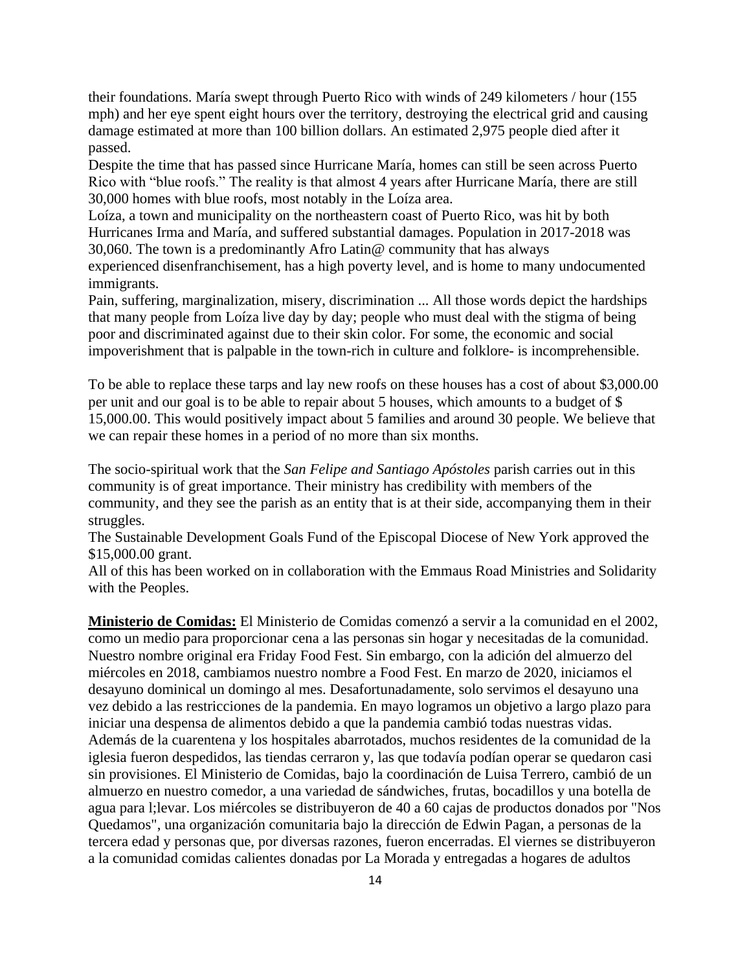their foundations. María swept through Puerto Rico with winds of 249 kilometers / hour (155 mph) and her eye spent eight hours over the territory, destroying the electrical grid and causing damage estimated at more than 100 billion dollars. An estimated 2,975 people died after it passed.

Despite the time that has passed since Hurricane María, homes can still be seen across Puerto Rico with "blue roofs." The reality is that almost 4 years after Hurricane María, there are still 30,000 homes with blue roofs, most notably in the Loíza area.

Loíza, a town and municipality on the northeastern coast of Puerto Rico, was hit by both Hurricanes Irma and María, and suffered substantial damages. Population in 2017-2018 was 30,060. The town is a predominantly Afro Latin@ community that has always experienced disenfranchisement, has a high poverty level, and is home to many undocumented immigrants.

Pain, suffering, marginalization, misery, discrimination ... All those words depict the hardships that many people from Loíza live day by day; people who must deal with the stigma of being poor and discriminated against due to their skin color. For some, the economic and social impoverishment that is palpable in the town-rich in culture and folklore- is incomprehensible.

To be able to replace these tarps and lay new roofs on these houses has a cost of about \$3,000.00 per unit and our goal is to be able to repair about 5 houses, which amounts to a budget of \$ 15,000.00. This would positively impact about 5 families and around 30 people. We believe that we can repair these homes in a period of no more than six months.

The socio-spiritual work that the *San Felipe and Santiago Apóstoles* parish carries out in this community is of great importance. Their ministry has credibility with members of the community, and they see the parish as an entity that is at their side, accompanying them in their struggles.

The Sustainable Development Goals Fund of the Episcopal Diocese of New York approved the \$15,000.00 grant.

All of this has been worked on in collaboration with the Emmaus Road Ministries and Solidarity with the Peoples.

**Ministerio de Comidas:** El Ministerio de Comidas comenzó a servir a la comunidad en el 2002, como un medio para proporcionar cena a las personas sin hogar y necesitadas de la comunidad. Nuestro nombre original era Friday Food Fest. Sin embargo, con la adición del almuerzo del miércoles en 2018, cambiamos nuestro nombre a Food Fest. En marzo de 2020, iniciamos el desayuno dominical un domingo al mes. Desafortunadamente, solo servimos el desayuno una vez debido a las restricciones de la pandemia. En mayo logramos un objetivo a largo plazo para iniciar una despensa de alimentos debido a que la pandemia cambió todas nuestras vidas. Además de la cuarentena y los hospitales abarrotados, muchos residentes de la comunidad de la iglesia fueron despedidos, las tiendas cerraron y, las que todavía podían operar se quedaron casi sin provisiones. El Ministerio de Comidas, bajo la coordinación de Luisa Terrero, cambió de un almuerzo en nuestro comedor, a una variedad de sándwiches, frutas, bocadillos y una botella de agua para l;levar. Los miércoles se distribuyeron de 40 a 60 cajas de productos donados por "Nos Quedamos", una organización comunitaria bajo la dirección de Edwin Pagan, a personas de la tercera edad y personas que, por diversas razones, fueron encerradas. El viernes se distribuyeron a la comunidad comidas calientes donadas por La Morada y entregadas a hogares de adultos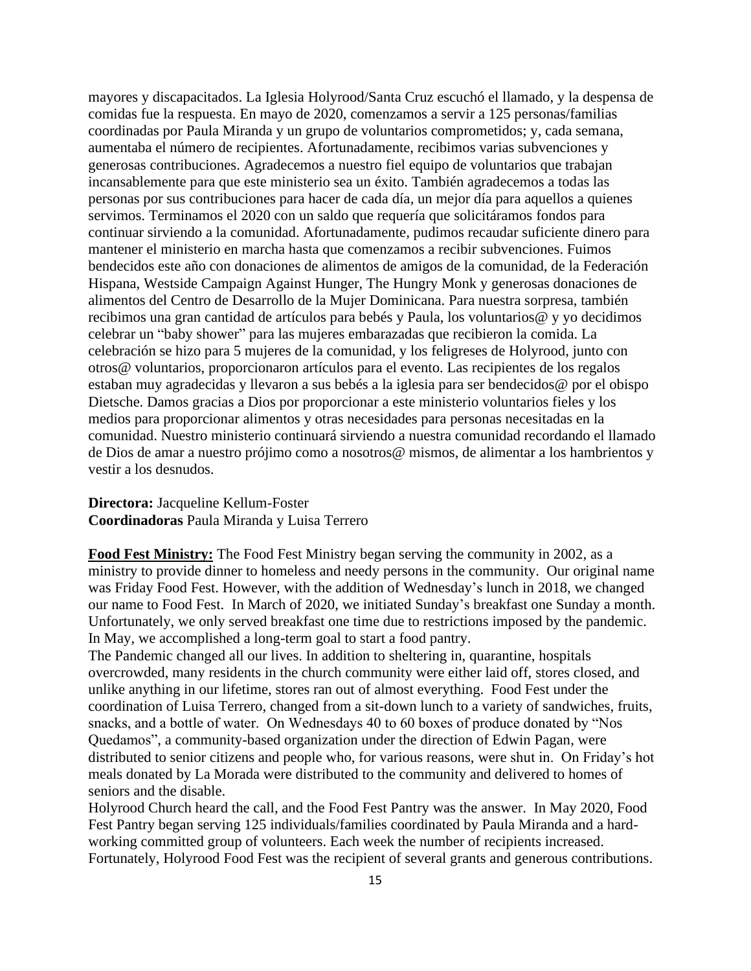mayores y discapacitados. La Iglesia Holyrood/Santa Cruz escuchó el llamado, y la despensa de comidas fue la respuesta. En mayo de 2020, comenzamos a servir a 125 personas/familias coordinadas por Paula Miranda y un grupo de voluntarios comprometidos; y, cada semana, aumentaba el número de recipientes. Afortunadamente, recibimos varias subvenciones y generosas contribuciones. Agradecemos a nuestro fiel equipo de voluntarios que trabajan incansablemente para que este ministerio sea un éxito. También agradecemos a todas las personas por sus contribuciones para hacer de cada día, un mejor día para aquellos a quienes servimos. Terminamos el 2020 con un saldo que requería que solicitáramos fondos para continuar sirviendo a la comunidad. Afortunadamente, pudimos recaudar suficiente dinero para mantener el ministerio en marcha hasta que comenzamos a recibir subvenciones. Fuimos bendecidos este año con donaciones de alimentos de amigos de la comunidad, de la Federación Hispana, Westside Campaign Against Hunger, The Hungry Monk y generosas donaciones de alimentos del Centro de Desarrollo de la Mujer Dominicana. Para nuestra sorpresa, también recibimos una gran cantidad de artículos para bebés y Paula, los voluntarios@ y yo decidimos celebrar un "baby shower" para las mujeres embarazadas que recibieron la comida. La celebración se hizo para 5 mujeres de la comunidad, y los feligreses de Holyrood, junto con otros@ voluntarios, proporcionaron artículos para el evento. Las recipientes de los regalos estaban muy agradecidas y llevaron a sus bebés a la iglesia para ser bendecidos@ por el obispo Dietsche. Damos gracias a Dios por proporcionar a este ministerio voluntarios fieles y los medios para proporcionar alimentos y otras necesidades para personas necesitadas en la comunidad. Nuestro ministerio continuará sirviendo a nuestra comunidad recordando el llamado de Dios de amar a nuestro prójimo como a nosotros@ mismos, de alimentar a los hambrientos y vestir a los desnudos.

**Directora:** Jacqueline Kellum-Foster **Coordinadoras** Paula Miranda y Luisa Terrero

**Food Fest Ministry:** The Food Fest Ministry began serving the community in 2002, as a ministry to provide dinner to homeless and needy persons in the community. Our original name was Friday Food Fest. However, with the addition of Wednesday's lunch in 2018, we changed our name to Food Fest. In March of 2020, we initiated Sunday's breakfast one Sunday a month. Unfortunately, we only served breakfast one time due to restrictions imposed by the pandemic. In May, we accomplished a long-term goal to start a food pantry.

The Pandemic changed all our lives. In addition to sheltering in, quarantine, hospitals overcrowded, many residents in the church community were either laid off, stores closed, and unlike anything in our lifetime, stores ran out of almost everything. Food Fest under the coordination of Luisa Terrero, changed from a sit-down lunch to a variety of sandwiches, fruits, snacks, and a bottle of water. On Wednesdays 40 to 60 boxes of produce donated by "Nos Quedamos", a community-based organization under the direction of Edwin Pagan, were distributed to senior citizens and people who, for various reasons, were shut in. On Friday's hot meals donated by La Morada were distributed to the community and delivered to homes of seniors and the disable.

Holyrood Church heard the call, and the Food Fest Pantry was the answer. In May 2020, Food Fest Pantry began serving 125 individuals/families coordinated by Paula Miranda and a hardworking committed group of volunteers. Each week the number of recipients increased. Fortunately, Holyrood Food Fest was the recipient of several grants and generous contributions.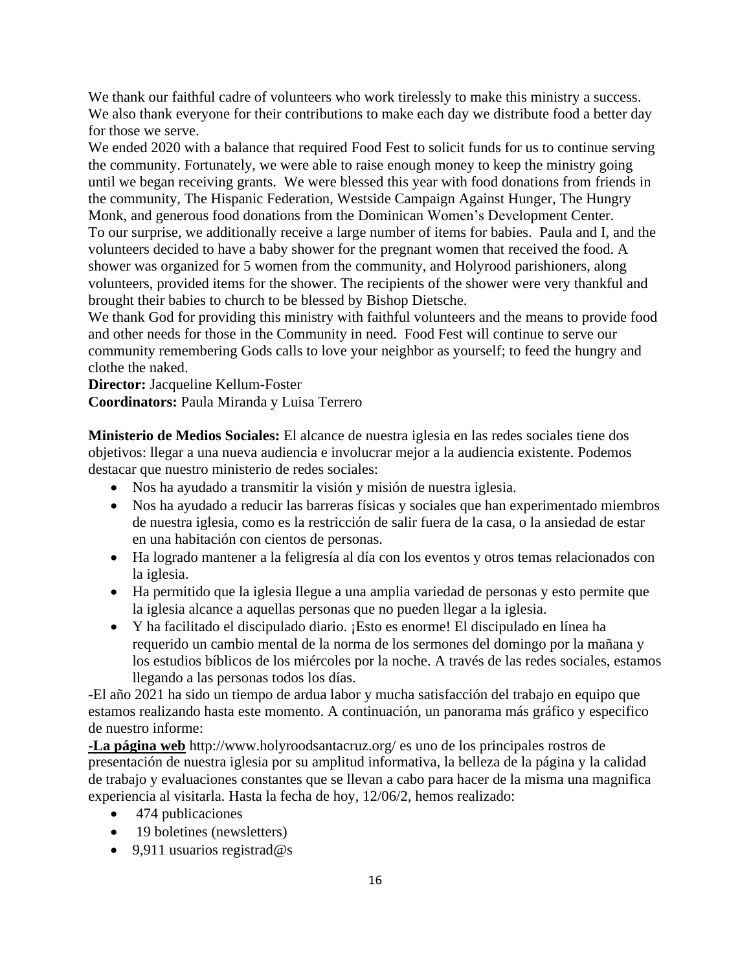We thank our faithful cadre of volunteers who work tirelessly to make this ministry a success. We also thank everyone for their contributions to make each day we distribute food a better day for those we serve.

We ended 2020 with a balance that required Food Fest to solicit funds for us to continue serving the community. Fortunately, we were able to raise enough money to keep the ministry going until we began receiving grants. We were blessed this year with food donations from friends in the community, The Hispanic Federation, Westside Campaign Against Hunger, The Hungry Monk, and generous food donations from the Dominican Women's Development Center. To our surprise, we additionally receive a large number of items for babies. Paula and I, and the volunteers decided to have a baby shower for the pregnant women that received the food. A shower was organized for 5 women from the community, and Holyrood parishioners, along volunteers, provided items for the shower. The recipients of the shower were very thankful and brought their babies to church to be blessed by Bishop Dietsche.

We thank God for providing this ministry with faithful volunteers and the means to provide food and other needs for those in the Community in need. Food Fest will continue to serve our community remembering Gods calls to love your neighbor as yourself; to feed the hungry and clothe the naked.

**Director:** Jacqueline Kellum-Foster

**Coordinators:** Paula Miranda y Luisa Terrero

**Ministerio de Medios Sociales:** El alcance de nuestra iglesia en las redes sociales tiene dos objetivos: llegar a una nueva audiencia e involucrar mejor a la audiencia existente. Podemos destacar que nuestro ministerio de redes sociales:

- Nos ha ayudado a transmitir la visión y misión de nuestra iglesia.
- Nos ha ayudado a reducir las barreras físicas y sociales que han experimentado miembros de nuestra iglesia, como es la restricción de salir fuera de la casa, o la ansiedad de estar en una habitación con cientos de personas.
- Ha logrado mantener a la feligresía al día con los eventos y otros temas relacionados con la iglesia.
- Ha permitido que la iglesia llegue a una amplia variedad de personas y esto permite que la iglesia alcance a aquellas personas que no pueden llegar a la iglesia.
- Y ha facilitado el discipulado diario. ¡Esto es enorme! El discipulado en línea ha requerido un cambio mental de la norma de los sermones del domingo por la mañana y los estudios bíblicos de los miércoles por la noche. A través de las redes sociales, estamos llegando a las personas todos los días.

-El año 2021 ha sido un tiempo de ardua labor y mucha satisfacción del trabajo en equipo que estamos realizando hasta este momento. A continuación, un panorama más gráfico y especifico de nuestro informe:

**-La página web** <http://www.holyroodsantacruz.org/> es uno de los principales rostros de presentación de nuestra iglesia por su amplitud informativa, la belleza de la página y la calidad de trabajo y evaluaciones constantes que se llevan a cabo para hacer de la misma una magnifica experiencia al visitarla. Hasta la fecha de hoy, 12/06/2, hemos realizado:

- 474 publicaciones
- 19 boletines (newsletters)
- 9,911 usuarios registrad $@s$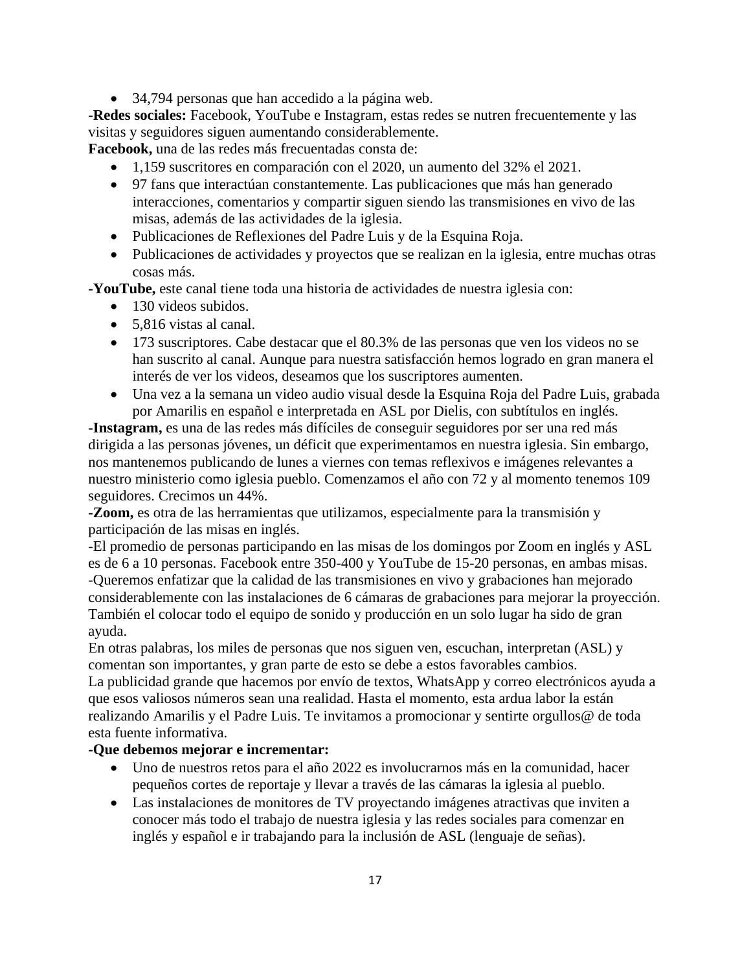• 34,794 personas que han accedido a la página web.

**-Redes sociales:** Facebook, YouTube e Instagram, estas redes se nutren frecuentemente y las visitas y seguidores siguen aumentando considerablemente.

**Facebook,** una de las redes más frecuentadas consta de:

- 1,159 suscritores en comparación con el 2020, un aumento del 32% el 2021.
- 97 fans que interactúan constantemente. Las publicaciones que más han generado interacciones, comentarios y compartir siguen siendo las transmisiones en vivo de las misas, además de las actividades de la iglesia.
- Publicaciones de Reflexiones del Padre Luis y de la Esquina Roja.
- Publicaciones de actividades y proyectos que se realizan en la iglesia, entre muchas otras cosas más.

**-YouTube,** este canal tiene toda una historia de actividades de nuestra iglesia con:

- 130 videos subidos.
- 5.816 vistas al canal.
- 173 suscriptores. Cabe destacar que el 80.3% de las personas que ven los videos no se han suscrito al canal. Aunque para nuestra satisfacción hemos logrado en gran manera el interés de ver los videos, deseamos que los suscriptores aumenten.
- Una vez a la semana un video audio visual desde la Esquina Roja del Padre Luis, grabada por Amarilis en español e interpretada en ASL por Dielis, con subtítulos en inglés.

**-Instagram,** es una de las redes más difíciles de conseguir seguidores por ser una red más dirigida a las personas jóvenes, un déficit que experimentamos en nuestra iglesia. Sin embargo, nos mantenemos publicando de lunes a viernes con temas reflexivos e imágenes relevantes a nuestro ministerio como iglesia pueblo. Comenzamos el año con 72 y al momento tenemos 109 seguidores. Crecimos un 44%.

**-Zoom,** es otra de las herramientas que utilizamos, especialmente para la transmisión y participación de las misas en inglés.

-El promedio de personas participando en las misas de los domingos por Zoom en inglés y ASL es de 6 a 10 personas. Facebook entre 350-400 y YouTube de 15-20 personas, en ambas misas. -Queremos enfatizar que la calidad de las transmisiones en vivo y grabaciones han mejorado considerablemente con las instalaciones de 6 cámaras de grabaciones para mejorar la proyección. También el colocar todo el equipo de sonido y producción en un solo lugar ha sido de gran ayuda.

En otras palabras, los miles de personas que nos siguen ven, escuchan, interpretan (ASL) y comentan son importantes, y gran parte de esto se debe a estos favorables cambios. La publicidad grande que hacemos por envío de textos, WhatsApp y correo electrónicos ayuda a que esos valiosos números sean una realidad. Hasta el momento, esta ardua labor la están

realizando Amarilis y el Padre Luis. Te invitamos a promocionar y sentirte orgullos@ de toda esta fuente informativa.

# **-Que debemos mejorar e incrementar:**

- Uno de nuestros retos para el año 2022 es involucrarnos más en la comunidad, hacer pequeños cortes de reportaje y llevar a través de las cámaras la iglesia al pueblo.
- Las instalaciones de monitores de TV proyectando imágenes atractivas que inviten a conocer más todo el trabajo de nuestra iglesia y las redes sociales para comenzar en inglés y español e ir trabajando para la inclusión de ASL (lenguaje de señas).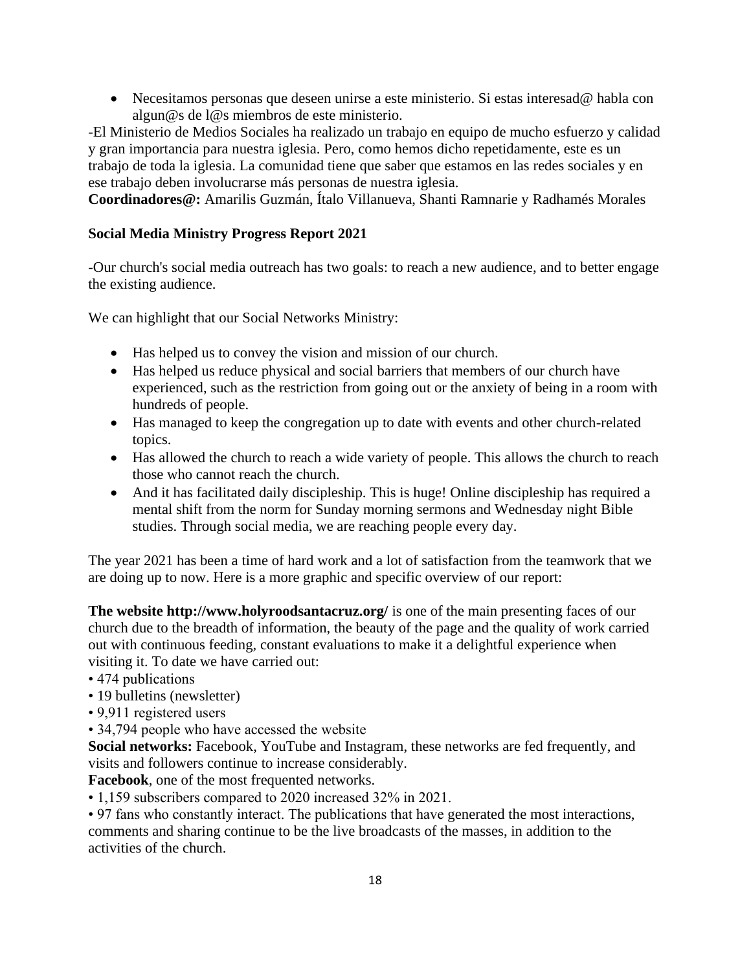• Necesitamos personas que deseen unirse a este ministerio. Si estas interesad@ habla con algun@s de l@s miembros de este ministerio.

-El Ministerio de Medios Sociales ha realizado un trabajo en equipo de mucho esfuerzo y calidad y gran importancia para nuestra iglesia. Pero, como hemos dicho repetidamente, este es un trabajo de toda la iglesia. La comunidad tiene que saber que estamos en las redes sociales y en ese trabajo deben involucrarse más personas de nuestra iglesia.

**Coordinadores@:** Amarilis Guzmán, Ítalo Villanueva, Shanti Ramnarie y Radhamés Morales

# **Social Media Ministry Progress Report 2021**

-Our church's social media outreach has two goals: to reach a new audience, and to better engage the existing audience.

We can highlight that our Social Networks Ministry:

- Has helped us to convey the vision and mission of our church.
- Has helped us reduce physical and social barriers that members of our church have experienced, such as the restriction from going out or the anxiety of being in a room with hundreds of people.
- Has managed to keep the congregation up to date with events and other church-related topics.
- Has allowed the church to reach a wide variety of people. This allows the church to reach those who cannot reach the church.
- And it has facilitated daily discipleship. This is huge! Online discipleship has required a mental shift from the norm for Sunday morning sermons and Wednesday night Bible studies. Through social media, we are reaching people every day.

The year 2021 has been a time of hard work and a lot of satisfaction from the teamwork that we are doing up to now. Here is a more graphic and specific overview of our report:

**The website http://www.holyroodsantacruz.org/** is one of the main presenting faces of our church due to the breadth of information, the beauty of the page and the quality of work carried out with continuous feeding, constant evaluations to make it a delightful experience when visiting it. To date we have carried out:

- 474 publications
- 19 bulletins (newsletter)
- 9,911 registered users
- 34,794 people who have accessed the website

**Social networks:** Facebook, YouTube and Instagram, these networks are fed frequently, and visits and followers continue to increase considerably.

**Facebook**, one of the most frequented networks.

• 1,159 subscribers compared to 2020 increased 32% in 2021.

• 97 fans who constantly interact. The publications that have generated the most interactions, comments and sharing continue to be the live broadcasts of the masses, in addition to the activities of the church.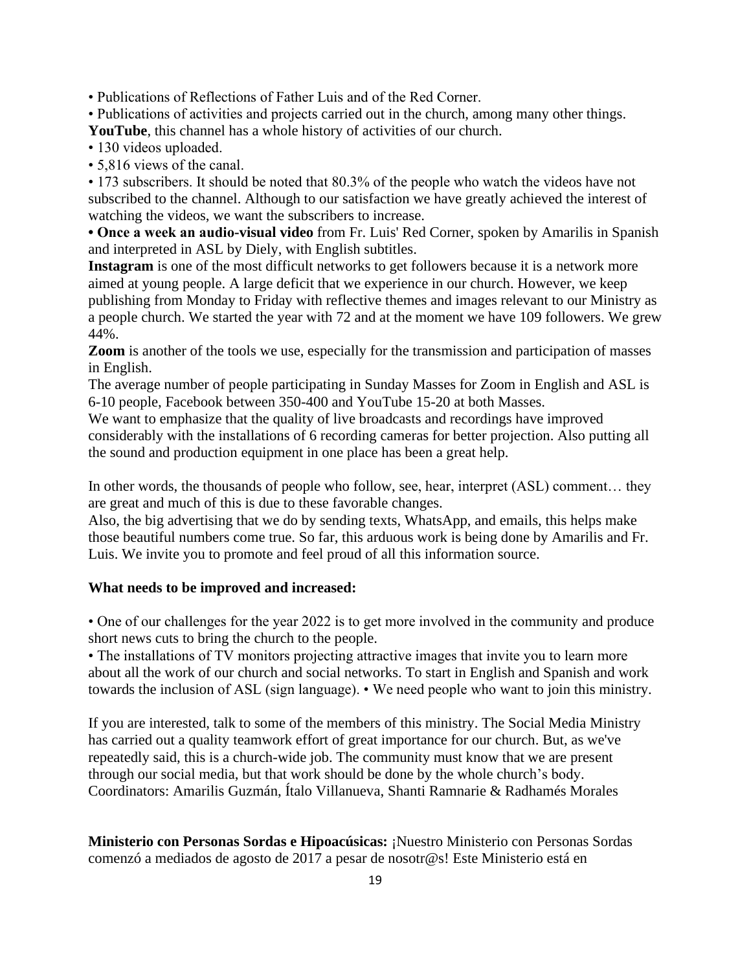• Publications of Reflections of Father Luis and of the Red Corner.

• Publications of activities and projects carried out in the church, among many other things.

**YouTube**, this channel has a whole history of activities of our church.

- 130 videos uploaded.
- 5,816 views of the canal.

• 173 subscribers. It should be noted that 80.3% of the people who watch the videos have not subscribed to the channel. Although to our satisfaction we have greatly achieved the interest of watching the videos, we want the subscribers to increase.

**• Once a week an audio-visual video** from Fr. Luis' Red Corner, spoken by Amarilis in Spanish and interpreted in ASL by Diely, with English subtitles.

**Instagram** is one of the most difficult networks to get followers because it is a network more aimed at young people. A large deficit that we experience in our church. However, we keep publishing from Monday to Friday with reflective themes and images relevant to our Ministry as a people church. We started the year with 72 and at the moment we have 109 followers. We grew 44%.

**Zoom** is another of the tools we use, especially for the transmission and participation of masses in English.

The average number of people participating in Sunday Masses for Zoom in English and ASL is 6-10 people, Facebook between 350-400 and YouTube 15-20 at both Masses.

We want to emphasize that the quality of live broadcasts and recordings have improved considerably with the installations of 6 recording cameras for better projection. Also putting all the sound and production equipment in one place has been a great help.

In other words, the thousands of people who follow, see, hear, interpret (ASL) comment... they are great and much of this is due to these favorable changes.

Also, the big advertising that we do by sending texts, WhatsApp, and emails, this helps make those beautiful numbers come true. So far, this arduous work is being done by Amarilis and Fr. Luis. We invite you to promote and feel proud of all this information source.

# **What needs to be improved and increased:**

• One of our challenges for the year 2022 is to get more involved in the community and produce short news cuts to bring the church to the people.

• The installations of TV monitors projecting attractive images that invite you to learn more about all the work of our church and social networks. To start in English and Spanish and work towards the inclusion of ASL (sign language). • We need people who want to join this ministry.

If you are interested, talk to some of the members of this ministry. The Social Media Ministry has carried out a quality teamwork effort of great importance for our church. But, as we've repeatedly said, this is a church-wide job. The community must know that we are present through our social media, but that work should be done by the whole church's body. Coordinators: Amarilis Guzmán, Ítalo Villanueva, Shanti Ramnarie & Radhamés Morales

**Ministerio con Personas Sordas e Hipoacúsicas:** ¡Nuestro Ministerio con Personas Sordas comenzó a mediados de agosto de 2017 a pesar de nosotr@s! Este Ministerio está en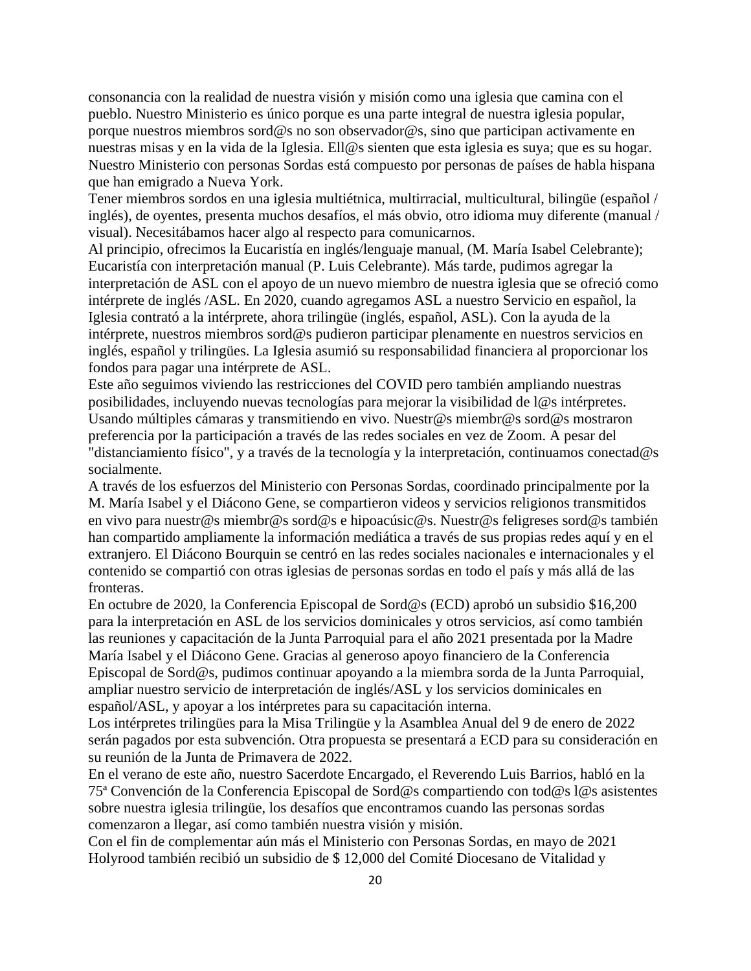consonancia con la realidad de nuestra visión y misión como una iglesia que camina con el pueblo. Nuestro Ministerio es único porque es una parte integral de nuestra iglesia popular, porque nuestros miembros sord@s no son observador@s, sino que participan activamente en nuestras misas y en la vida de la Iglesia. Ell@s sienten que esta iglesia es suya; que es su hogar. Nuestro Ministerio con personas Sordas está compuesto por personas de países de habla hispana que han emigrado a Nueva York.

Tener miembros sordos en una iglesia multiétnica, multirracial, multicultural, bilingüe (español / inglés), de oyentes, presenta muchos desafíos, el más obvio, otro idioma muy diferente (manual / visual). Necesitábamos hacer algo al respecto para comunicarnos.

Al principio, ofrecimos la Eucaristía en inglés/lenguaje manual, (M. María Isabel Celebrante); Eucaristía con interpretación manual (P. Luis Celebrante). Más tarde, pudimos agregar la interpretación de ASL con el apoyo de un nuevo miembro de nuestra iglesia que se ofreció como intérprete de inglés /ASL. En 2020, cuando agregamos ASL a nuestro Servicio en español, la Iglesia contrató a la intérprete, ahora trilingüe (inglés, español, ASL). Con la ayuda de la intérprete, nuestros miembros sord@s pudieron participar plenamente en nuestros servicios en inglés, español y trilingües. La Iglesia asumió su responsabilidad financiera al proporcionar los fondos para pagar una intérprete de ASL.

Este año seguimos viviendo las restricciones del COVID pero también ampliando nuestras posibilidades, incluyendo nuevas tecnologías para mejorar la visibilidad de l@s intérpretes. Usando múltiples cámaras y transmitiendo en vivo. Nuestr@s miembr@s sord@s mostraron preferencia por la participación a través de las redes sociales en vez de Zoom. A pesar del "distanciamiento físico", y a través de la tecnología y la interpretación, continuamos conectad@s socialmente.

A través de los esfuerzos del Ministerio con Personas Sordas, coordinado principalmente por la M. María Isabel y el Diácono Gene, se compartieron videos y servicios religionos transmitidos en vivo para nuestr@s miembr@s sord@s e hipoacúsic@s. Nuestr@s feligreses sord@s también han compartido ampliamente la información mediática a través de sus propias redes aquí y en el extranjero. El Diácono Bourquin se centró en las redes sociales nacionales e internacionales y el contenido se compartió con otras iglesias de personas sordas en todo el país y más allá de las fronteras.

En octubre de 2020, la Conferencia Episcopal de Sord@s (ECD) aprobó un subsidio \$16,200 para la interpretación en ASL de los servicios dominicales y otros servicios, así como también las reuniones y capacitación de la Junta Parroquial para el año 2021 presentada por la Madre María Isabel y el Diácono Gene. Gracias al generoso apoyo financiero de la Conferencia Episcopal de Sord@s, pudimos continuar apoyando a la miembra sorda de la Junta Parroquial, ampliar nuestro servicio de interpretación de inglés/ASL y los servicios dominicales en español/ASL, y apoyar a los intérpretes para su capacitación interna.

Los intérpretes trilingües para la Misa Trilingüe y la Asamblea Anual del 9 de enero de 2022 serán pagados por esta subvención. Otra propuesta se presentará a ECD para su consideración en su reunión de la Junta de Primavera de 2022.

En el verano de este año, nuestro Sacerdote Encargado, el Reverendo Luis Barrios, habló en la 75ª Convención de la Conferencia Episcopal de Sord@s compartiendo con tod@s l@s asistentes sobre nuestra iglesia trilingüe, los desafíos que encontramos cuando las personas sordas comenzaron a llegar, así como también nuestra visión y misión.

Con el fin de complementar aún más el Ministerio con Personas Sordas, en mayo de 2021 Holyrood también recibió un subsidio de \$ 12,000 del Comité Diocesano de Vitalidad y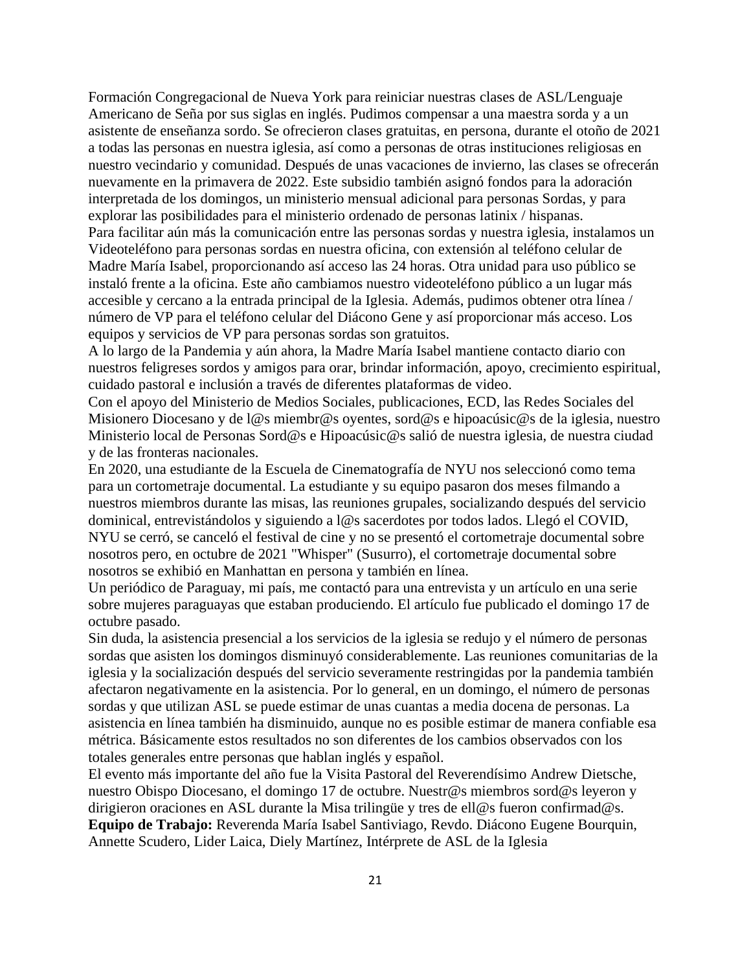Formación Congregacional de Nueva York para reiniciar nuestras clases de ASL/Lenguaje Americano de Seña por sus siglas en inglés. Pudimos compensar a una maestra sorda y a un asistente de enseñanza sordo. Se ofrecieron clases gratuitas, en persona, durante el otoño de 2021 a todas las personas en nuestra iglesia, así como a personas de otras instituciones religiosas en nuestro vecindario y comunidad. Después de unas vacaciones de invierno, las clases se ofrecerán nuevamente en la primavera de 2022. Este subsidio también asignó fondos para la adoración interpretada de los domingos, un ministerio mensual adicional para personas Sordas, y para explorar las posibilidades para el ministerio ordenado de personas latinix / hispanas. Para facilitar aún más la comunicación entre las personas sordas y nuestra iglesia, instalamos un Videoteléfono para personas sordas en nuestra oficina, con extensión al teléfono celular de Madre María Isabel, proporcionando así acceso las 24 horas. Otra unidad para uso público se instaló frente a la oficina. Este año cambiamos nuestro videoteléfono público a un lugar más accesible y cercano a la entrada principal de la Iglesia. Además, pudimos obtener otra línea / número de VP para el teléfono celular del Diácono Gene y así proporcionar más acceso. Los equipos y servicios de VP para personas sordas son gratuitos.

A lo largo de la Pandemia y aún ahora, la Madre María Isabel mantiene contacto diario con nuestros feligreses sordos y amigos para orar, brindar información, apoyo, crecimiento espiritual, cuidado pastoral e inclusión a través de diferentes plataformas de video.

Con el apoyo del Ministerio de Medios Sociales, publicaciones, ECD, las Redes Sociales del Misionero Diocesano y de l@s miembr@s oyentes, sord@s e hipoacúsic@s de la iglesia, nuestro Ministerio local de Personas Sord@s e Hipoacúsic@s salió de nuestra iglesia, de nuestra ciudad y de las fronteras nacionales.

En 2020, una estudiante de la Escuela de Cinematografía de NYU nos seleccionó como tema para un cortometraje documental. La estudiante y su equipo pasaron dos meses filmando a nuestros miembros durante las misas, las reuniones grupales, socializando después del servicio dominical, entrevistándolos y siguiendo a l@s sacerdotes por todos lados. Llegó el COVID, NYU se cerró, se canceló el festival de cine y no se presentó el cortometraje documental sobre nosotros pero, en octubre de 2021 "Whisper" (Susurro), el cortometraje documental sobre nosotros se exhibió en Manhattan en persona y también en línea.

Un periódico de Paraguay, mi país, me contactó para una entrevista y un artículo en una serie sobre mujeres paraguayas que estaban produciendo. El artículo fue publicado el domingo 17 de octubre pasado.

Sin duda, la asistencia presencial a los servicios de la iglesia se redujo y el número de personas sordas que asisten los domingos disminuyó considerablemente. Las reuniones comunitarias de la iglesia y la socialización después del servicio severamente restringidas por la pandemia también afectaron negativamente en la asistencia. Por lo general, en un domingo, el número de personas sordas y que utilizan ASL se puede estimar de unas cuantas a media docena de personas. La asistencia en línea también ha disminuido, aunque no es posible estimar de manera confiable esa métrica. Básicamente estos resultados no son diferentes de los cambios observados con los totales generales entre personas que hablan inglés y español.

El evento más importante del año fue la Visita Pastoral del Reverendísimo Andrew Dietsche, nuestro Obispo Diocesano, el domingo 17 de octubre. Nuestr@s miembros sord@s leyeron y dirigieron oraciones en ASL durante la Misa trilingüe y tres de ell@s fueron confirmad@s. **Equipo de Trabajo:** Reverenda María Isabel Santiviago, Revdo. Diácono Eugene Bourquin, Annette Scudero, Lider Laica, Diely Martínez, Intérprete de ASL de la Iglesia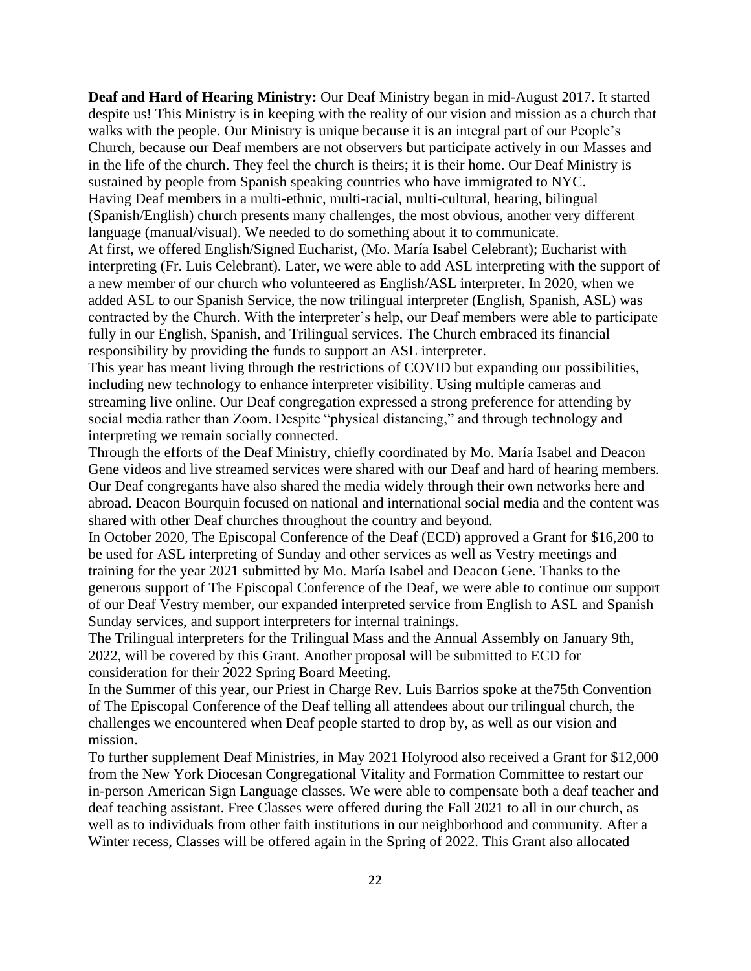**Deaf and Hard of Hearing Ministry:** Our Deaf Ministry began in mid-August 2017. It started despite us! This Ministry is in keeping with the reality of our vision and mission as a church that walks with the people. Our Ministry is unique because it is an integral part of our People's Church, because our Deaf members are not observers but participate actively in our Masses and in the life of the church. They feel the church is theirs; it is their home. Our Deaf Ministry is sustained by people from Spanish speaking countries who have immigrated to NYC. Having Deaf members in a multi-ethnic, multi-racial, multi-cultural, hearing, bilingual (Spanish/English) church presents many challenges, the most obvious, another very different language (manual/visual). We needed to do something about it to communicate. At first, we offered English/Signed Eucharist, (Mo. María Isabel Celebrant); Eucharist with interpreting (Fr. Luis Celebrant). Later, we were able to add ASL interpreting with the support of a new member of our church who volunteered as English/ASL interpreter. In 2020, when we added ASL to our Spanish Service, the now trilingual interpreter (English, Spanish, ASL) was contracted by the Church. With the interpreter's help, our Deaf members were able to participate fully in our English, Spanish, and Trilingual services. The Church embraced its financial responsibility by providing the funds to support an ASL interpreter.

This year has meant living through the restrictions of COVID but expanding our possibilities, including new technology to enhance interpreter visibility. Using multiple cameras and streaming live online. Our Deaf congregation expressed a strong preference for attending by social media rather than Zoom. Despite "physical distancing," and through technology and interpreting we remain socially connected.

Through the efforts of the Deaf Ministry, chiefly coordinated by Mo. María Isabel and Deacon Gene videos and live streamed services were shared with our Deaf and hard of hearing members. Our Deaf congregants have also shared the media widely through their own networks here and abroad. Deacon Bourquin focused on national and international social media and the content was shared with other Deaf churches throughout the country and beyond.

In October 2020, The Episcopal Conference of the Deaf (ECD) approved a Grant for \$16,200 to be used for ASL interpreting of Sunday and other services as well as Vestry meetings and training for the year 2021 submitted by Mo. María Isabel and Deacon Gene. Thanks to the generous support of The Episcopal Conference of the Deaf, we were able to continue our support of our Deaf Vestry member, our expanded interpreted service from English to ASL and Spanish Sunday services, and support interpreters for internal trainings.

The Trilingual interpreters for the Trilingual Mass and the Annual Assembly on January 9th, 2022, will be covered by this Grant. Another proposal will be submitted to ECD for consideration for their 2022 Spring Board Meeting.

In the Summer of this year, our Priest in Charge Rev. Luis Barrios spoke at the75th Convention of The Episcopal Conference of the Deaf telling all attendees about our trilingual church, the challenges we encountered when Deaf people started to drop by, as well as our vision and mission.

To further supplement Deaf Ministries, in May 2021 Holyrood also received a Grant for \$12,000 from the New York Diocesan Congregational Vitality and Formation Committee to restart our in-person American Sign Language classes. We were able to compensate both a deaf teacher and deaf teaching assistant. Free Classes were offered during the Fall 2021 to all in our church, as well as to individuals from other faith institutions in our neighborhood and community. After a Winter recess, Classes will be offered again in the Spring of 2022. This Grant also allocated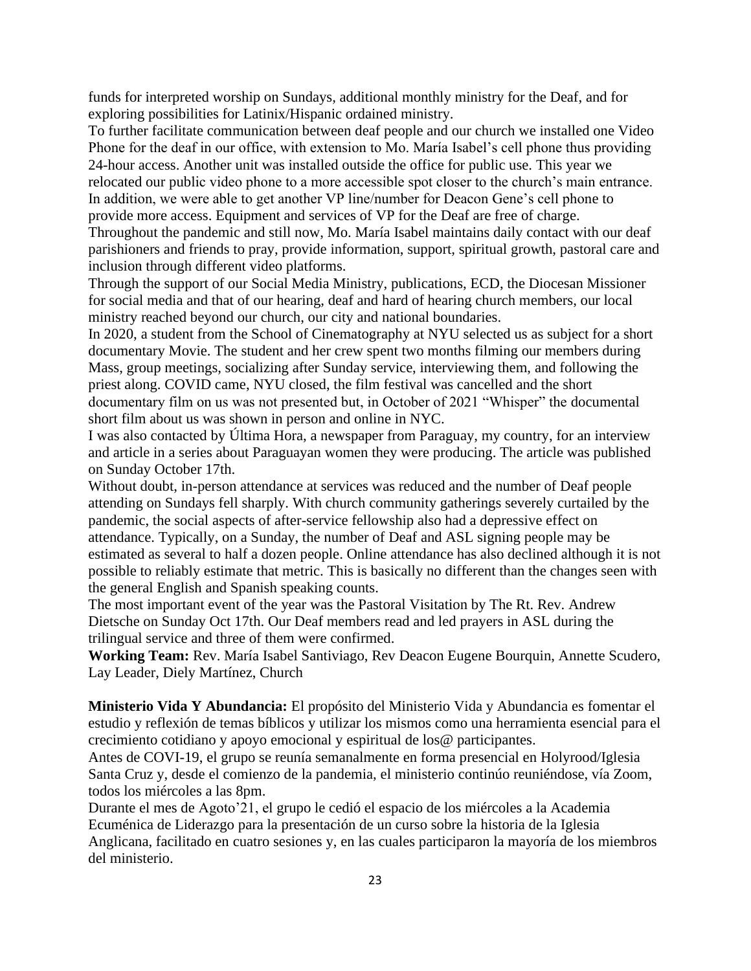funds for interpreted worship on Sundays, additional monthly ministry for the Deaf, and for exploring possibilities for Latinix/Hispanic ordained ministry.

To further facilitate communication between deaf people and our church we installed one Video Phone for the deaf in our office, with extension to Mo. María Isabel's cell phone thus providing 24-hour access. Another unit was installed outside the office for public use. This year we relocated our public video phone to a more accessible spot closer to the church's main entrance. In addition, we were able to get another VP line/number for Deacon Gene's cell phone to provide more access. Equipment and services of VP for the Deaf are free of charge.

Throughout the pandemic and still now, Mo. María Isabel maintains daily contact with our deaf parishioners and friends to pray, provide information, support, spiritual growth, pastoral care and inclusion through different video platforms.

Through the support of our Social Media Ministry, publications, ECD, the Diocesan Missioner for social media and that of our hearing, deaf and hard of hearing church members, our local ministry reached beyond our church, our city and national boundaries.

In 2020, a student from the School of Cinematography at NYU selected us as subject for a short documentary Movie. The student and her crew spent two months filming our members during Mass, group meetings, socializing after Sunday service, interviewing them, and following the priest along. COVID came, NYU closed, the film festival was cancelled and the short documentary film on us was not presented but, in October of 2021 "Whisper" the documental short film about us was shown in person and online in NYC.

I was also contacted by Última Hora, a newspaper from Paraguay, my country, for an interview and article in a series about Paraguayan women they were producing. The article was published on Sunday October 17th.

Without doubt, in-person attendance at services was reduced and the number of Deaf people attending on Sundays fell sharply. With church community gatherings severely curtailed by the pandemic, the social aspects of after-service fellowship also had a depressive effect on attendance. Typically, on a Sunday, the number of Deaf and ASL signing people may be estimated as several to half a dozen people. Online attendance has also declined although it is not possible to reliably estimate that metric. This is basically no different than the changes seen with the general English and Spanish speaking counts.

The most important event of the year was the Pastoral Visitation by The Rt. Rev. Andrew Dietsche on Sunday Oct 17th. Our Deaf members read and led prayers in ASL during the trilingual service and three of them were confirmed.

**Working Team:** Rev. María Isabel Santiviago, Rev Deacon Eugene Bourquin, Annette Scudero, Lay Leader, Diely Martínez, Church

**Ministerio Vida Y Abundancia:** El propósito del Ministerio Vida y Abundancia es fomentar el estudio y reflexión de temas bíblicos y utilizar los mismos como una herramienta esencial para el crecimiento cotidiano y apoyo emocional y espiritual de los@ participantes.

Antes de COVI-19, el grupo se reunía semanalmente en forma presencial en Holyrood/Iglesia Santa Cruz y, desde el comienzo de la pandemia, el ministerio continúo reuniéndose, vía Zoom, todos los miércoles a las 8pm.

Durante el mes de Agoto'21, el grupo le cedió el espacio de los miércoles a la Academia Ecuménica de Liderazgo para la presentación de un curso sobre la historia de la Iglesia Anglicana, facilitado en cuatro sesiones y, en las cuales participaron la mayoría de los miembros del ministerio.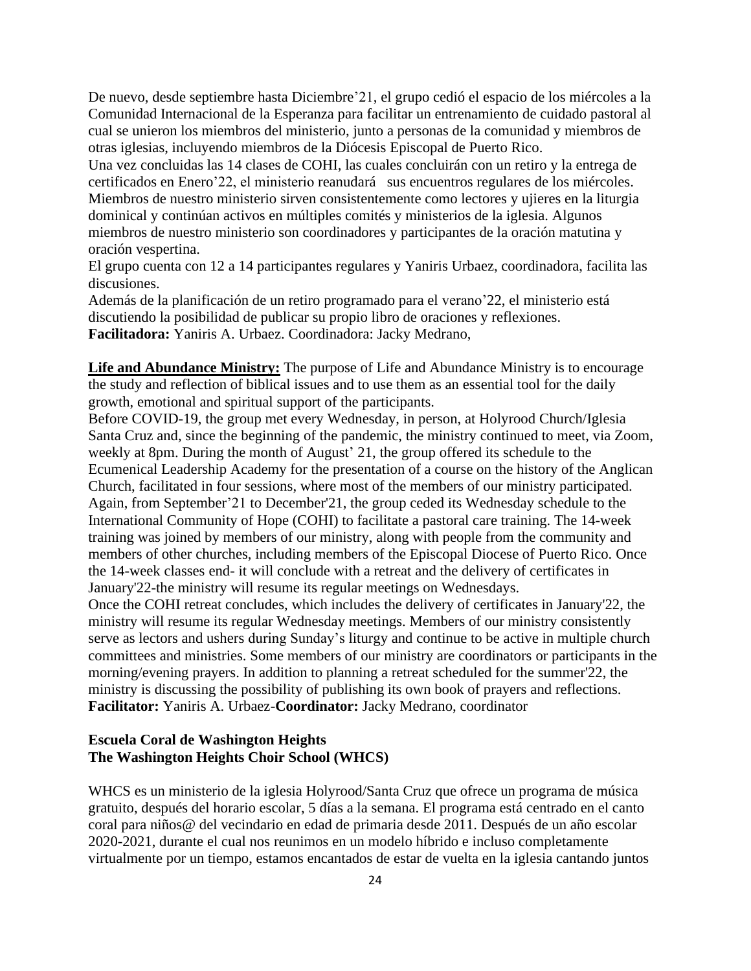De nuevo, desde septiembre hasta Diciembre'21, el grupo cedió el espacio de los miércoles a la Comunidad Internacional de la Esperanza para facilitar un entrenamiento de cuidado pastoral al cual se unieron los miembros del ministerio, junto a personas de la comunidad y miembros de otras iglesias, incluyendo miembros de la Diócesis Episcopal de Puerto Rico.

Una vez concluidas las 14 clases de COHI, las cuales concluirán con un retiro y la entrega de certificados en Enero'22, el ministerio reanudará sus encuentros regulares de los miércoles. Miembros de nuestro ministerio sirven consistentemente como lectores y ujieres en la liturgia dominical y continúan activos en múltiples comités y ministerios de la iglesia. Algunos miembros de nuestro ministerio son coordinadores y participantes de la oración matutina y oración vespertina.

El grupo cuenta con 12 a 14 participantes regulares y Yaniris Urbaez, coordinadora, facilita las discusiones.

Además de la planificación de un retiro programado para el verano'22, el ministerio está discutiendo la posibilidad de publicar su propio libro de oraciones y reflexiones. **Facilitadora:** Yaniris A. Urbaez. Coordinadora: Jacky Medrano,

**Life and Abundance Ministry:** The purpose of Life and Abundance Ministry is to encourage the study and reflection of biblical issues and to use them as an essential tool for the daily growth, emotional and spiritual support of the participants.

Before COVID-19, the group met every Wednesday, in person, at Holyrood Church/Iglesia Santa Cruz and, since the beginning of the pandemic, the ministry continued to meet, via Zoom, weekly at 8pm. During the month of August' 21, the group offered its schedule to the Ecumenical Leadership Academy for the presentation of a course on the history of the Anglican Church, facilitated in four sessions, where most of the members of our ministry participated. Again, from September'21 to December'21, the group ceded its Wednesday schedule to the International Community of Hope (COHI) to facilitate a pastoral care training. The 14-week training was joined by members of our ministry, along with people from the community and members of other churches, including members of the Episcopal Diocese of Puerto Rico. Once the 14-week classes end- it will conclude with a retreat and the delivery of certificates in January'22-the ministry will resume its regular meetings on Wednesdays.

Once the COHI retreat concludes, which includes the delivery of certificates in January'22, the ministry will resume its regular Wednesday meetings. Members of our ministry consistently serve as lectors and ushers during Sunday's liturgy and continue to be active in multiple church committees and ministries. Some members of our ministry are coordinators or participants in the morning/evening prayers. In addition to planning a retreat scheduled for the summer'22, the ministry is discussing the possibility of publishing its own book of prayers and reflections. **Facilitator:** Yaniris A. Urbaez-**Coordinator:** Jacky Medrano, coordinator

## **Escuela Coral de Washington Heights The Washington Heights Choir School (WHCS)**

WHCS es un ministerio de la iglesia Holyrood/Santa Cruz que ofrece un programa de música gratuito, después del horario escolar, 5 días a la semana. El programa está centrado en el canto coral para niños@ del vecindario en edad de primaria desde 2011. Después de un año escolar 2020-2021, durante el cual nos reunimos en un modelo híbrido e incluso completamente virtualmente por un tiempo, estamos encantados de estar de vuelta en la iglesia cantando juntos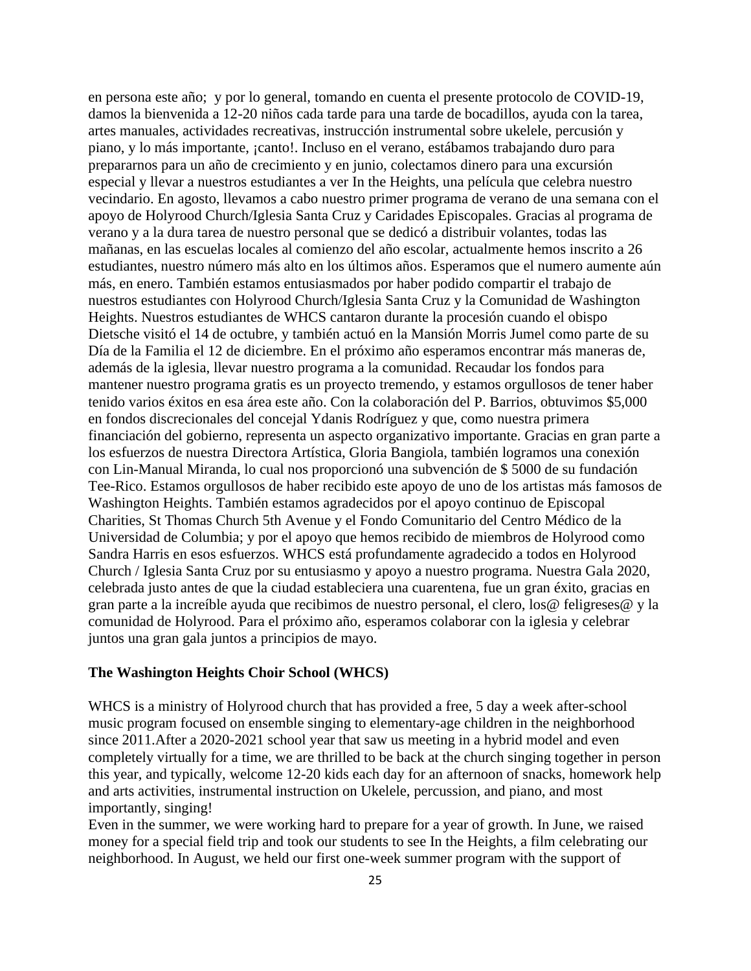en persona este año; y por lo general, tomando en cuenta el presente protocolo de COVID-19, damos la bienvenida a 12-20 niños cada tarde para una tarde de bocadillos, ayuda con la tarea, artes manuales, actividades recreativas, instrucción instrumental sobre ukelele, percusión y piano, y lo más importante, ¡canto!. Incluso en el verano, estábamos trabajando duro para prepararnos para un año de crecimiento y en junio, colectamos dinero para una excursión especial y llevar a nuestros estudiantes a ver In the Heights, una película que celebra nuestro vecindario. En agosto, llevamos a cabo nuestro primer programa de verano de una semana con el apoyo de Holyrood Church/Iglesia Santa Cruz y Caridades Episcopales. Gracias al programa de verano y a la dura tarea de nuestro personal que se dedicó a distribuir volantes, todas las mañanas, en las escuelas locales al comienzo del año escolar, actualmente hemos inscrito a 26 estudiantes, nuestro número más alto en los últimos años. Esperamos que el numero aumente aún más, en enero. También estamos entusiasmados por haber podido compartir el trabajo de nuestros estudiantes con Holyrood Church/Iglesia Santa Cruz y la Comunidad de Washington Heights. Nuestros estudiantes de WHCS cantaron durante la procesión cuando el obispo Dietsche visitó el 14 de octubre, y también actuó en la Mansión Morris Jumel como parte de su Día de la Familia el 12 de diciembre. En el próximo año esperamos encontrar más maneras de, además de la iglesia, llevar nuestro programa a la comunidad. Recaudar los fondos para mantener nuestro programa gratis es un proyecto tremendo, y estamos orgullosos de tener haber tenido varios éxitos en esa área este año. Con la colaboración del P. Barrios, obtuvimos \$5,000 en fondos discrecionales del concejal Ydanis Rodríguez y que, como nuestra primera financiación del gobierno, representa un aspecto organizativo importante. Gracias en gran parte a los esfuerzos de nuestra Directora Artística, Gloria Bangiola, también logramos una conexión con Lin-Manual Miranda, lo cual nos proporcionó una subvención de \$ 5000 de su fundación Tee-Rico. Estamos orgullosos de haber recibido este apoyo de uno de los artistas más famosos de Washington Heights. También estamos agradecidos por el apoyo continuo de Episcopal Charities, St Thomas Church 5th Avenue y el Fondo Comunitario del Centro Médico de la Universidad de Columbia; y por el apoyo que hemos recibido de miembros de Holyrood como Sandra Harris en esos esfuerzos. WHCS está profundamente agradecido a todos en Holyrood Church / Iglesia Santa Cruz por su entusiasmo y apoyo a nuestro programa. Nuestra Gala 2020, celebrada justo antes de que la ciudad estableciera una cuarentena, fue un gran éxito, gracias en gran parte a la increíble ayuda que recibimos de nuestro personal, el clero, los@ feligreses@ y la comunidad de Holyrood. Para el próximo año, esperamos colaborar con la iglesia y celebrar juntos una gran gala juntos a principios de mayo.

#### **The Washington Heights Choir School (WHCS)**

WHCS is a ministry of Holyrood church that has provided a free, 5 day a week after-school music program focused on ensemble singing to elementary-age children in the neighborhood since 2011.After a 2020-2021 school year that saw us meeting in a hybrid model and even completely virtually for a time, we are thrilled to be back at the church singing together in person this year, and typically, welcome 12-20 kids each day for an afternoon of snacks, homework help and arts activities, instrumental instruction on Ukelele, percussion, and piano, and most importantly, singing!

Even in the summer, we were working hard to prepare for a year of growth. In June, we raised money for a special field trip and took our students to see In the Heights, a film celebrating our neighborhood. In August, we held our first one-week summer program with the support of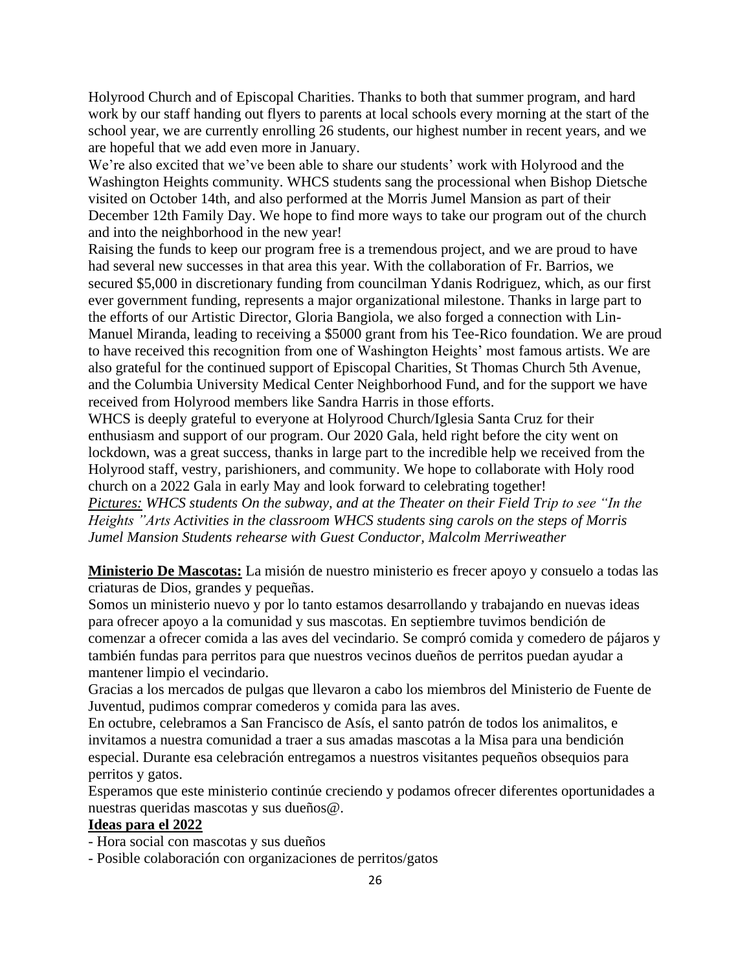Holyrood Church and of Episcopal Charities. Thanks to both that summer program, and hard work by our staff handing out flyers to parents at local schools every morning at the start of the school year, we are currently enrolling 26 students, our highest number in recent years, and we are hopeful that we add even more in January.

We're also excited that we've been able to share our students' work with Holyrood and the Washington Heights community. WHCS students sang the processional when Bishop Dietsche visited on October 14th, and also performed at the Morris Jumel Mansion as part of their December 12th Family Day. We hope to find more ways to take our program out of the church and into the neighborhood in the new year!

Raising the funds to keep our program free is a tremendous project, and we are proud to have had several new successes in that area this year. With the collaboration of Fr. Barrios, we secured \$5,000 in discretionary funding from councilman Ydanis Rodriguez, which, as our first ever government funding, represents a major organizational milestone. Thanks in large part to the efforts of our Artistic Director, Gloria Bangiola, we also forged a connection with Lin-Manuel Miranda, leading to receiving a \$5000 grant from his Tee-Rico foundation. We are proud to have received this recognition from one of Washington Heights' most famous artists. We are also grateful for the continued support of Episcopal Charities, St Thomas Church 5th Avenue, and the Columbia University Medical Center Neighborhood Fund, and for the support we have received from Holyrood members like Sandra Harris in those efforts.

WHCS is deeply grateful to everyone at Holyrood Church/Iglesia Santa Cruz for their enthusiasm and support of our program. Our 2020 Gala, held right before the city went on lockdown, was a great success, thanks in large part to the incredible help we received from the Holyrood staff, vestry, parishioners, and community. We hope to collaborate with Holy rood church on a 2022 Gala in early May and look forward to celebrating together!

*Pictures: WHCS students On the subway, and at the Theater on their Field Trip to see "In the Heights "Arts Activities in the classroom WHCS students sing carols on the steps of Morris Jumel Mansion Students rehearse with Guest Conductor, Malcolm Merriweather*

**Ministerio De Mascotas:** La misión de nuestro ministerio es frecer apoyo y consuelo a todas las criaturas de Dios, grandes y pequeñas.

Somos un ministerio nuevo y por lo tanto estamos desarrollando y trabajando en nuevas ideas para ofrecer apoyo a la comunidad y sus mascotas. En septiembre tuvimos bendición de comenzar a ofrecer comida a las aves del vecindario. Se compró comida y comedero de pájaros y también fundas para perritos para que nuestros vecinos dueños de perritos puedan ayudar a mantener limpio el vecindario.

Gracias a los mercados de pulgas que llevaron a cabo los miembros del Ministerio de Fuente de Juventud, pudimos comprar comederos y comida para las aves.

En octubre, celebramos a San Francisco de Asís, el santo patrón de todos los animalitos, e invitamos a nuestra comunidad a traer a sus amadas mascotas a la Misa para una bendición especial. Durante esa celebración entregamos a nuestros visitantes pequeños obsequios para perritos y gatos.

Esperamos que este ministerio continúe creciendo y podamos ofrecer diferentes oportunidades a nuestras queridas mascotas y sus dueños@.

# **Ideas para el 2022**

- Hora social con mascotas y sus dueños

- Posible colaboración con organizaciones de perritos/gatos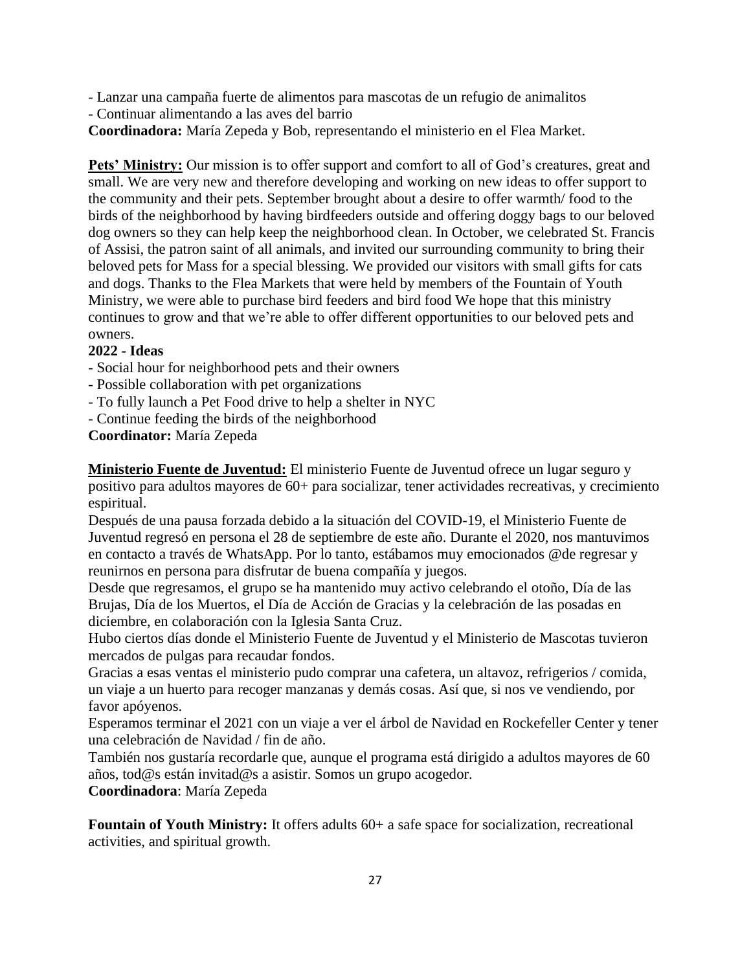- Lanzar una campaña fuerte de alimentos para mascotas de un refugio de animalitos

- Continuar alimentando a las aves del barrio

**Coordinadora:** María Zepeda y Bob, representando el ministerio en el Flea Market.

**Pets' Ministry:** Our mission is to offer support and comfort to all of God's creatures, great and small. We are very new and therefore developing and working on new ideas to offer support to the community and their pets. September brought about a desire to offer warmth/ food to the birds of the neighborhood by having birdfeeders outside and offering doggy bags to our beloved dog owners so they can help keep the neighborhood clean. In October, we celebrated St. Francis of Assisi, the patron saint of all animals, and invited our surrounding community to bring their beloved pets for Mass for a special blessing. We provided our visitors with small gifts for cats and dogs. Thanks to the Flea Markets that were held by members of the Fountain of Youth Ministry, we were able to purchase bird feeders and bird food We hope that this ministry continues to grow and that we're able to offer different opportunities to our beloved pets and owners.

# **2022 - Ideas**

- Social hour for neighborhood pets and their owners
- Possible collaboration with pet organizations
- To fully launch a Pet Food drive to help a shelter in NYC
- Continue feeding the birds of the neighborhood

# **Coordinator:** María Zepeda

**Ministerio Fuente de Juventud:** El ministerio Fuente de Juventud ofrece un lugar seguro y positivo para adultos mayores de 60+ para socializar, tener actividades recreativas, y crecimiento espiritual.

Después de una pausa forzada debido a la situación del COVID-19, el Ministerio Fuente de Juventud regresó en persona el 28 de septiembre de este año. Durante el 2020, nos mantuvimos en contacto a través de WhatsApp. Por lo tanto, estábamos muy emocionados @de regresar y reunirnos en persona para disfrutar de buena compañía y juegos.

Desde que regresamos, el grupo se ha mantenido muy activo celebrando el otoño, Día de las Brujas, Día de los Muertos, el Día de Acción de Gracias y la celebración de las posadas en diciembre, en colaboración con la Iglesia Santa Cruz.

Hubo ciertos días donde el Ministerio Fuente de Juventud y el Ministerio de Mascotas tuvieron mercados de pulgas para recaudar fondos.

Gracias a esas ventas el ministerio pudo comprar una cafetera, un altavoz, refrigerios / comida, un viaje a un huerto para recoger manzanas y demás cosas. Así que, si nos ve vendiendo, por favor apóyenos.

Esperamos terminar el 2021 con un viaje a ver el árbol de Navidad en Rockefeller Center y tener una celebración de Navidad / fin de año.

También nos gustaría recordarle que, aunque el programa está dirigido a adultos mayores de 60 años, tod@s están invitad@s a asistir. Somos un grupo acogedor.

**Coordinadora**: María Zepeda

**Fountain of Youth Ministry:** It offers adults 60+ a safe space for socialization, recreational activities, and spiritual growth.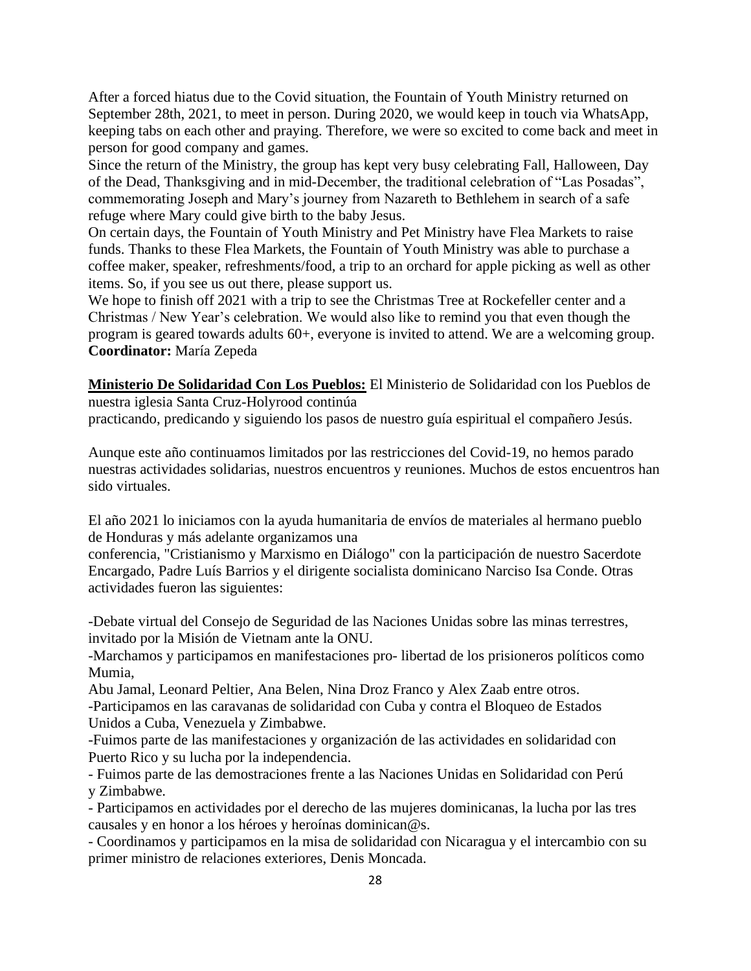After a forced hiatus due to the Covid situation, the Fountain of Youth Ministry returned on September 28th, 2021, to meet in person. During 2020, we would keep in touch via WhatsApp, keeping tabs on each other and praying. Therefore, we were so excited to come back and meet in person for good company and games.

Since the return of the Ministry, the group has kept very busy celebrating Fall, Halloween, Day of the Dead, Thanksgiving and in mid-December, the traditional celebration of "Las Posadas", commemorating Joseph and Mary's journey from Nazareth to Bethlehem in search of a safe refuge where Mary could give birth to the baby Jesus.

On certain days, the Fountain of Youth Ministry and Pet Ministry have Flea Markets to raise funds. Thanks to these Flea Markets, the Fountain of Youth Ministry was able to purchase a coffee maker, speaker, refreshments/food, a trip to an orchard for apple picking as well as other items. So, if you see us out there, please support us.

We hope to finish off 2021 with a trip to see the Christmas Tree at Rockefeller center and a Christmas / New Year's celebration. We would also like to remind you that even though the program is geared towards adults 60+, everyone is invited to attend. We are a welcoming group. **Coordinator:** María Zepeda

**Ministerio De Solidaridad Con Los Pueblos:** El Ministerio de Solidaridad con los Pueblos de nuestra iglesia Santa Cruz-Holyrood continúa

practicando, predicando y siguiendo los pasos de nuestro guía espiritual el compañero Jesús.

Aunque este año continuamos limitados por las restricciones del Covid-19, no hemos parado nuestras actividades solidarias, nuestros encuentros y reuniones. Muchos de estos encuentros han sido virtuales.

El año 2021 lo iniciamos con la ayuda humanitaria de envíos de materiales al hermano pueblo de Honduras y más adelante organizamos una

conferencia, "Cristianismo y Marxismo en Diálogo" con la participación de nuestro Sacerdote Encargado, Padre Luís Barrios y el dirigente socialista dominicano Narciso Isa Conde. Otras actividades fueron las siguientes:

-Debate virtual del Consejo de Seguridad de las Naciones Unidas sobre las minas terrestres, invitado por la Misión de Vietnam ante la ONU.

-Marchamos y participamos en manifestaciones pro- libertad de los prisioneros políticos como Mumia,

Abu Jamal, Leonard Peltier, Ana Belen, Nina Droz Franco y Alex Zaab entre otros.

-Participamos en las caravanas de solidaridad con Cuba y contra el Bloqueo de Estados Unidos a Cuba, Venezuela y Zimbabwe.

-Fuimos parte de las manifestaciones y organización de las actividades en solidaridad con Puerto Rico y su lucha por la independencia.

- Fuimos parte de las demostraciones frente a las Naciones Unidas en Solidaridad con Perú y Zimbabwe.

- Participamos en actividades por el derecho de las mujeres dominicanas, la lucha por las tres causales y en honor a los héroes y heroínas dominican@s.

- Coordinamos y participamos en la misa de solidaridad con Nicaragua y el intercambio con su primer ministro de relaciones exteriores, Denis Moncada.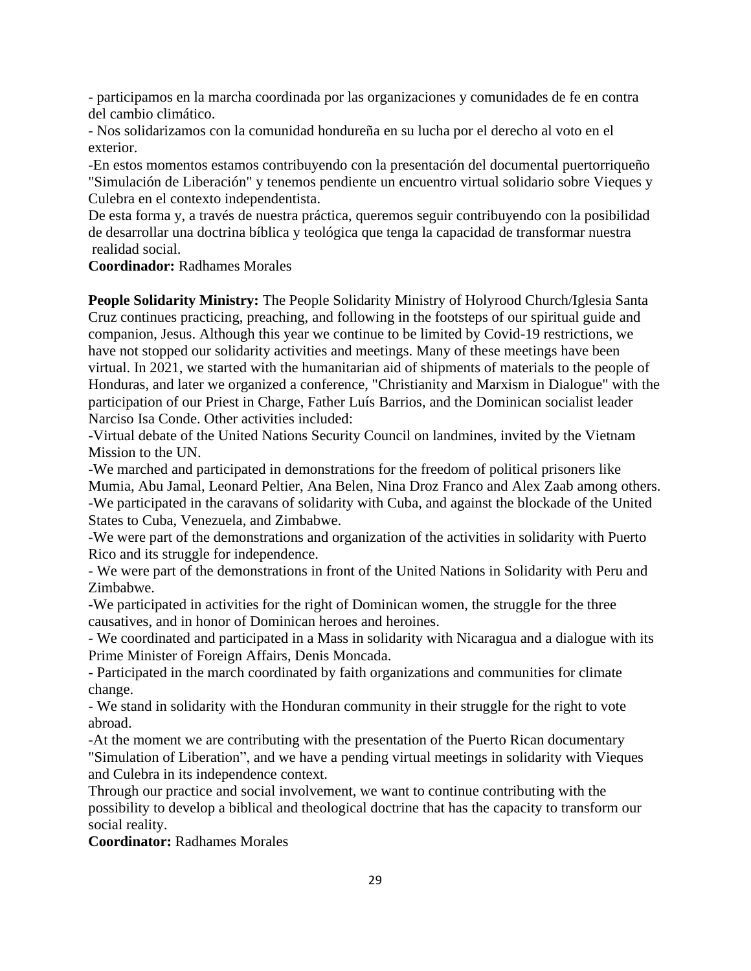- participamos en la marcha coordinada por las organizaciones y comunidades de fe en contra del cambio climático.

- Nos solidarizamos con la comunidad hondureña en su lucha por el derecho al voto en el exterior.

-En estos momentos estamos contribuyendo con la presentación del documental puertorriqueño "Simulación de Liberación" y tenemos pendiente un encuentro virtual solidario sobre Vieques y Culebra en el contexto independentista.

De esta forma y, a través de nuestra práctica, queremos seguir contribuyendo con la posibilidad de desarrollar una doctrina bíblica y teológica que tenga la capacidad de transformar nuestra realidad social.

**Coordinador:** Radhames Morales

**People Solidarity Ministry:** The People Solidarity Ministry of Holyrood Church/Iglesia Santa Cruz continues practicing, preaching, and following in the footsteps of our spiritual guide and companion, Jesus. Although this year we continue to be limited by Covid-19 restrictions, we have not stopped our solidarity activities and meetings. Many of these meetings have been virtual. In 2021, we started with the humanitarian aid of shipments of materials to the people of Honduras, and later we organized a conference, "Christianity and Marxism in Dialogue" with the participation of our Priest in Charge, Father Luís Barrios, and the Dominican socialist leader Narciso Isa Conde. Other activities included:

-Virtual debate of the United Nations Security Council on landmines, invited by the Vietnam Mission to the UN.

-We marched and participated in demonstrations for the freedom of political prisoners like Mumia, Abu Jamal, Leonard Peltier, Ana Belen, Nina Droz Franco and Alex Zaab among others. -We participated in the caravans of solidarity with Cuba, and against the blockade of the United States to Cuba, Venezuela, and Zimbabwe.

-We were part of the demonstrations and organization of the activities in solidarity with Puerto Rico and its struggle for independence.

- We were part of the demonstrations in front of the United Nations in Solidarity with Peru and Zimbabwe.

-We participated in activities for the right of Dominican women, the struggle for the three causatives, and in honor of Dominican heroes and heroines.

- We coordinated and participated in a Mass in solidarity with Nicaragua and a dialogue with its Prime Minister of Foreign Affairs, Denis Moncada.

- Participated in the march coordinated by faith organizations and communities for climate change.

- We stand in solidarity with the Honduran community in their struggle for the right to vote abroad.

-At the moment we are contributing with the presentation of the Puerto Rican documentary "Simulation of Liberation", and we have a pending virtual meetings in solidarity with Vieques and Culebra in its independence context.

Through our practice and social involvement, we want to continue contributing with the possibility to develop a biblical and theological doctrine that has the capacity to transform our social reality.

**Coordinator:** Radhames Morales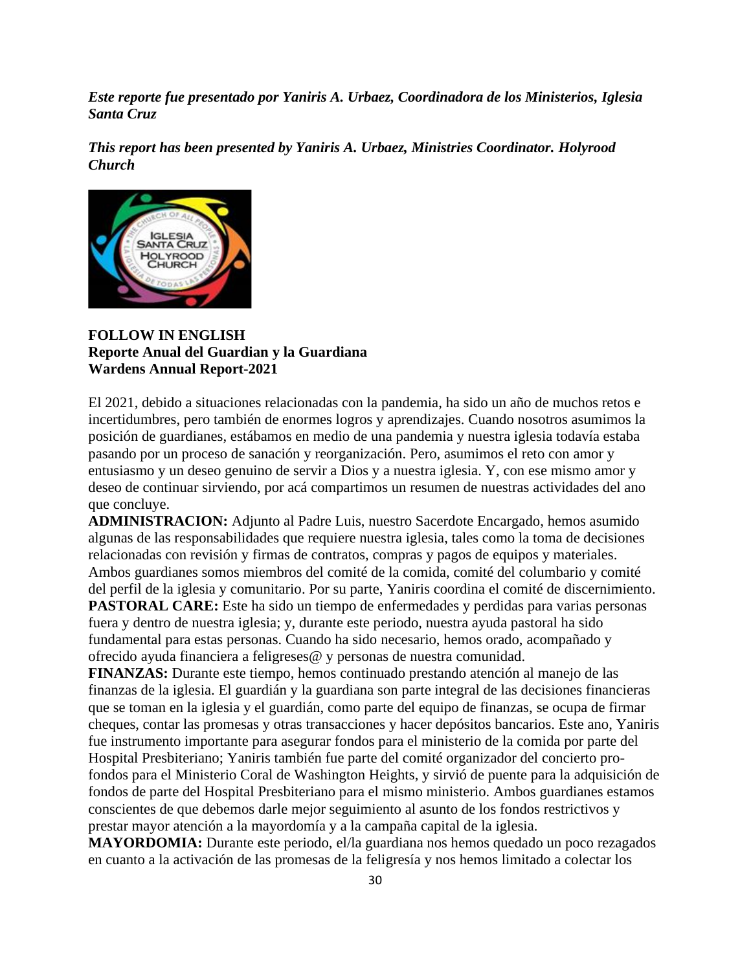*Este reporte fue presentado por Yaniris A. Urbaez, Coordinadora de los Ministerios, Iglesia Santa Cruz*

*This report has been presented by Yaniris A. Urbaez, Ministries Coordinator. Holyrood Church*



**FOLLOW IN ENGLISH Reporte Anual del Guardian y la Guardiana Wardens Annual Report-2021**

El 2021, debido a situaciones relacionadas con la pandemia, ha sido un año de muchos retos e incertidumbres, pero también de enormes logros y aprendizajes. Cuando nosotros asumimos la posición de guardianes, estábamos en medio de una pandemia y nuestra iglesia todavía estaba pasando por un proceso de sanación y reorganización. Pero, asumimos el reto con amor y entusiasmo y un deseo genuino de servir a Dios y a nuestra iglesia. Y, con ese mismo amor y deseo de continuar sirviendo, por acá compartimos un resumen de nuestras actividades del ano que concluye.

**ADMINISTRACION:** Adjunto al Padre Luis, nuestro Sacerdote Encargado, hemos asumido algunas de las responsabilidades que requiere nuestra iglesia, tales como la toma de decisiones relacionadas con revisión y firmas de contratos, compras y pagos de equipos y materiales. Ambos guardianes somos miembros del comité de la comida, comité del columbario y comité del perfil de la iglesia y comunitario. Por su parte, Yaniris coordina el comité de discernimiento. **PASTORAL CARE:** Este ha sido un tiempo de enfermedades y perdidas para varias personas fuera y dentro de nuestra iglesia; y, durante este periodo, nuestra ayuda pastoral ha sido fundamental para estas personas. Cuando ha sido necesario, hemos orado, acompañado y ofrecido ayuda financiera a feligreses@ y personas de nuestra comunidad.

**FINANZAS:** Durante este tiempo, hemos continuado prestando atención al manejo de las finanzas de la iglesia. El guardián y la guardiana son parte integral de las decisiones financieras que se toman en la iglesia y el guardián, como parte del equipo de finanzas, se ocupa de firmar cheques, contar las promesas y otras transacciones y hacer depósitos bancarios. Este ano, Yaniris fue instrumento importante para asegurar fondos para el ministerio de la comida por parte del Hospital Presbiteriano; Yaniris también fue parte del comité organizador del concierto profondos para el Ministerio Coral de Washington Heights, y sirvió de puente para la adquisición de fondos de parte del Hospital Presbiteriano para el mismo ministerio. Ambos guardianes estamos conscientes de que debemos darle mejor seguimiento al asunto de los fondos restrictivos y prestar mayor atención a la mayordomía y a la campaña capital de la iglesia.

**MAYORDOMIA:** Durante este periodo, el/la guardiana nos hemos quedado un poco rezagados en cuanto a la activación de las promesas de la feligresía y nos hemos limitado a colectar los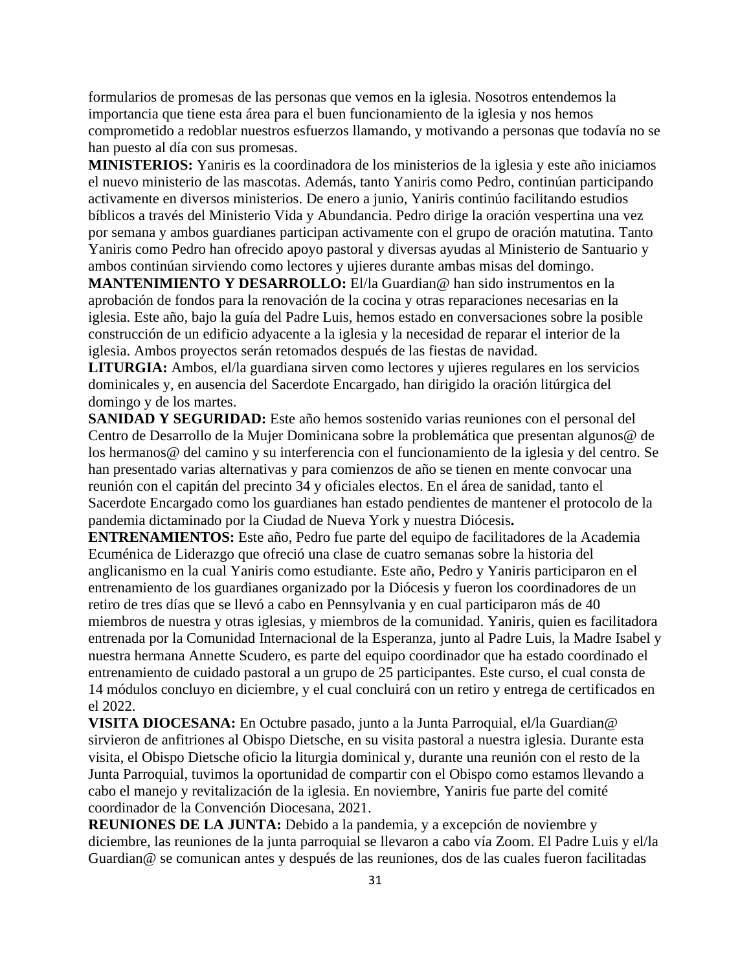formularios de promesas de las personas que vemos en la iglesia. Nosotros entendemos la importancia que tiene esta área para el buen funcionamiento de la iglesia y nos hemos comprometido a redoblar nuestros esfuerzos llamando, y motivando a personas que todavía no se han puesto al día con sus promesas.

**MINISTERIOS:** Yaniris es la coordinadora de los ministerios de la iglesia y este año iniciamos el nuevo ministerio de las mascotas. Además, tanto Yaniris como Pedro, continúan participando activamente en diversos ministerios. De enero a junio, Yaniris continúo facilitando estudios bíblicos a través del Ministerio Vida y Abundancia. Pedro dirige la oración vespertina una vez por semana y ambos guardianes participan activamente con el grupo de oración matutina. Tanto Yaniris como Pedro han ofrecido apoyo pastoral y diversas ayudas al Ministerio de Santuario y ambos continúan sirviendo como lectores y ujieres durante ambas misas del domingo.

**MANTENIMIENTO Y DESARROLLO:** El/la Guardian@ han sido instrumentos en la aprobación de fondos para la renovación de la cocina y otras reparaciones necesarias en la iglesia. Este año, bajo la guía del Padre Luis, hemos estado en conversaciones sobre la posible construcción de un edificio adyacente a la iglesia y la necesidad de reparar el interior de la iglesia. Ambos proyectos serán retomados después de las fiestas de navidad.

**LITURGIA:** Ambos, el/la guardiana sirven como lectores y ujieres regulares en los servicios dominicales y, en ausencia del Sacerdote Encargado, han dirigido la oración litúrgica del domingo y de los martes.

**SANIDAD Y SEGURIDAD:** Este año hemos sostenido varias reuniones con el personal del Centro de Desarrollo de la Mujer Dominicana sobre la problemática que presentan algunos@ de los hermanos@ del camino y su interferencia con el funcionamiento de la iglesia y del centro. Se han presentado varias alternativas y para comienzos de año se tienen en mente convocar una reunión con el capitán del precinto 34 y oficiales electos. En el área de sanidad, tanto el Sacerdote Encargado como los guardianes han estado pendientes de mantener el protocolo de la pandemia dictaminado por la Ciudad de Nueva York y nuestra Diócesis**.**

**ENTRENAMIENTOS:** Este año, Pedro fue parte del equipo de facilitadores de la Academia Ecuménica de Liderazgo que ofreció una clase de cuatro semanas sobre la historia del anglicanismo en la cual Yaniris como estudiante. Este año, Pedro y Yaniris participaron en el entrenamiento de los guardianes organizado por la Diócesis y fueron los coordinadores de un retiro de tres días que se llevó a cabo en Pennsylvania y en cual participaron más de 40 miembros de nuestra y otras iglesias, y miembros de la comunidad. Yaniris, quien es facilitadora entrenada por la Comunidad Internacional de la Esperanza, junto al Padre Luis, la Madre Isabel y nuestra hermana Annette Scudero, es parte del equipo coordinador que ha estado coordinado el entrenamiento de cuidado pastoral a un grupo de 25 participantes. Este curso, el cual consta de 14 módulos concluyo en diciembre, y el cual concluirá con un retiro y entrega de certificados en el 2022.

**VISITA DIOCESANA:** En Octubre pasado, junto a la Junta Parroquial, el/la Guardian@ sirvieron de anfitriones al Obispo Dietsche, en su visita pastoral a nuestra iglesia. Durante esta visita, el Obispo Dietsche oficio la liturgia dominical y, durante una reunión con el resto de la Junta Parroquial, tuvimos la oportunidad de compartir con el Obispo como estamos llevando a cabo el manejo y revitalización de la iglesia. En noviembre, Yaniris fue parte del comité coordinador de la Convención Diocesana, 2021.

**REUNIONES DE LA JUNTA:** Debido a la pandemia, y a excepción de noviembre y diciembre, las reuniones de la junta parroquial se llevaron a cabo vía Zoom. El Padre Luis y el/la Guardian@ se comunican antes y después de las reuniones, dos de las cuales fueron facilitadas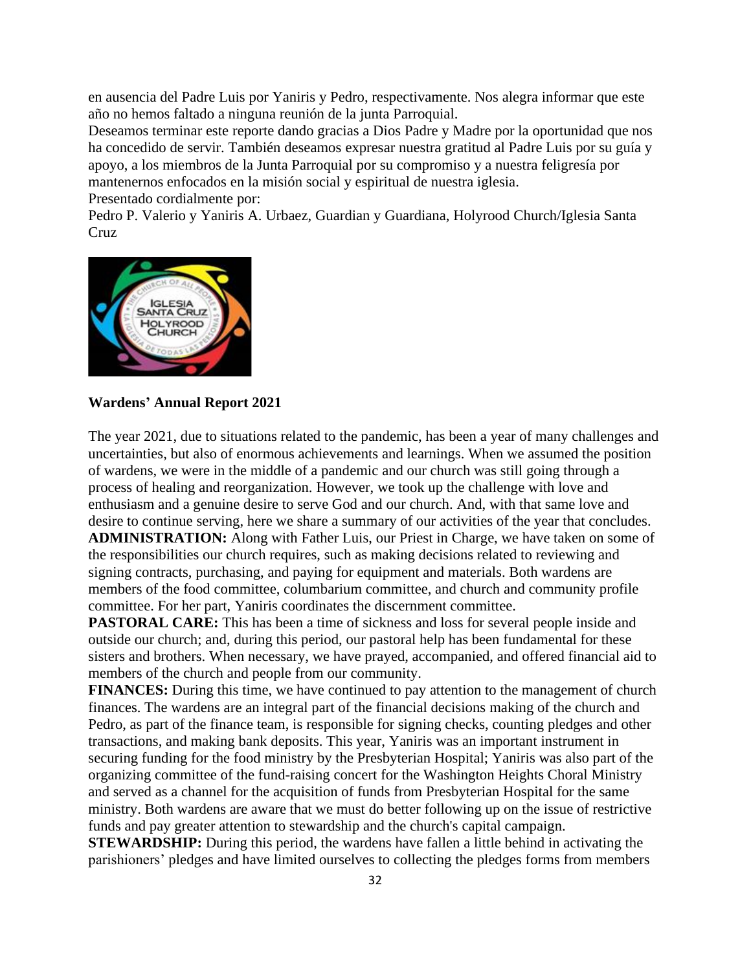en ausencia del Padre Luis por Yaniris y Pedro, respectivamente. Nos alegra informar que este año no hemos faltado a ninguna reunión de la junta Parroquial.

Deseamos terminar este reporte dando gracias a Dios Padre y Madre por la oportunidad que nos ha concedido de servir. También deseamos expresar nuestra gratitud al Padre Luis por su guía y apoyo, a los miembros de la Junta Parroquial por su compromiso y a nuestra feligresía por mantenernos enfocados en la misión social y espiritual de nuestra iglesia. Presentado cordialmente por:

Pedro P. Valerio y Yaniris A. Urbaez, Guardian y Guardiana, Holyrood Church/Iglesia Santa Cruz



**Wardens' Annual Report 2021**

The year 2021, due to situations related to the pandemic, has been a year of many challenges and uncertainties, but also of enormous achievements and learnings. When we assumed the position of wardens, we were in the middle of a pandemic and our church was still going through a process of healing and reorganization. However, we took up the challenge with love and enthusiasm and a genuine desire to serve God and our church. And, with that same love and desire to continue serving, here we share a summary of our activities of the year that concludes. **ADMINISTRATION:** Along with Father Luis, our Priest in Charge, we have taken on some of the responsibilities our church requires, such as making decisions related to reviewing and signing contracts, purchasing, and paying for equipment and materials. Both wardens are members of the food committee, columbarium committee, and church and community profile committee. For her part, Yaniris coordinates the discernment committee.

**PASTORAL CARE:** This has been a time of sickness and loss for several people inside and outside our church; and, during this period, our pastoral help has been fundamental for these sisters and brothers. When necessary, we have prayed, accompanied, and offered financial aid to members of the church and people from our community.

**FINANCES:** During this time, we have continued to pay attention to the management of church finances. The wardens are an integral part of the financial decisions making of the church and Pedro, as part of the finance team, is responsible for signing checks, counting pledges and other transactions, and making bank deposits. This year, Yaniris was an important instrument in securing funding for the food ministry by the Presbyterian Hospital; Yaniris was also part of the organizing committee of the fund-raising concert for the Washington Heights Choral Ministry and served as a channel for the acquisition of funds from Presbyterian Hospital for the same ministry. Both wardens are aware that we must do better following up on the issue of restrictive funds and pay greater attention to stewardship and the church's capital campaign.

**STEWARDSHIP:** During this period, the wardens have fallen a little behind in activating the parishioners' pledges and have limited ourselves to collecting the pledges forms from members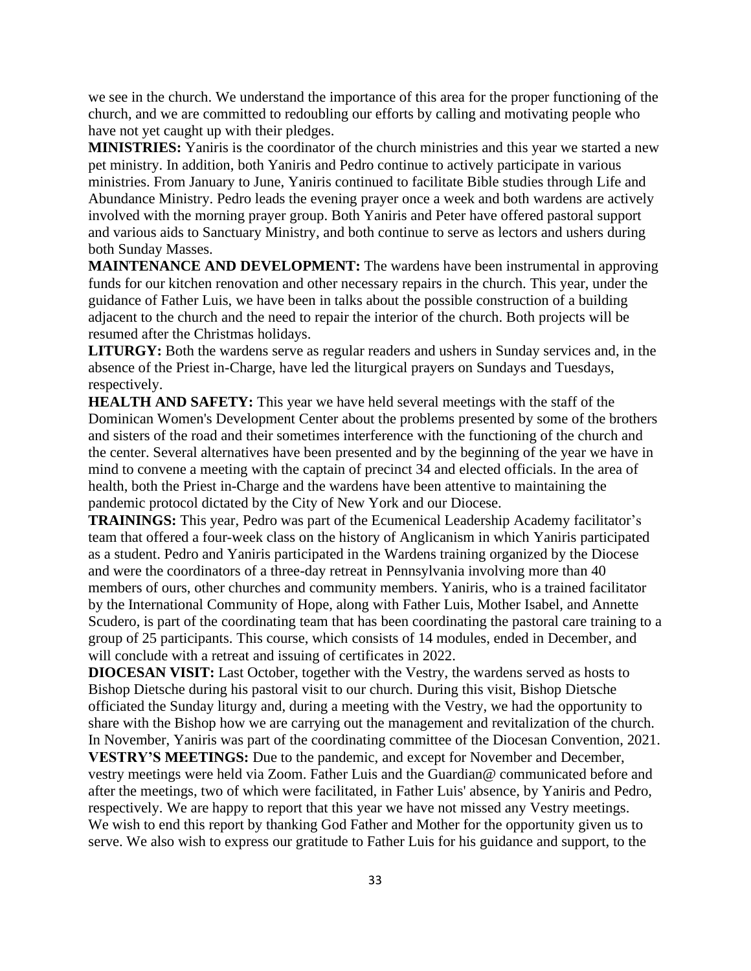we see in the church. We understand the importance of this area for the proper functioning of the church, and we are committed to redoubling our efforts by calling and motivating people who have not yet caught up with their pledges.

**MINISTRIES:** Yaniris is the coordinator of the church ministries and this year we started a new pet ministry. In addition, both Yaniris and Pedro continue to actively participate in various ministries. From January to June, Yaniris continued to facilitate Bible studies through Life and Abundance Ministry. Pedro leads the evening prayer once a week and both wardens are actively involved with the morning prayer group. Both Yaniris and Peter have offered pastoral support and various aids to Sanctuary Ministry, and both continue to serve as lectors and ushers during both Sunday Masses.

**MAINTENANCE AND DEVELOPMENT:** The wardens have been instrumental in approving funds for our kitchen renovation and other necessary repairs in the church. This year, under the guidance of Father Luis, we have been in talks about the possible construction of a building adjacent to the church and the need to repair the interior of the church. Both projects will be resumed after the Christmas holidays.

**LITURGY:** Both the wardens serve as regular readers and ushers in Sunday services and, in the absence of the Priest in-Charge, have led the liturgical prayers on Sundays and Tuesdays, respectively.

**HEALTH AND SAFETY:** This year we have held several meetings with the staff of the Dominican Women's Development Center about the problems presented by some of the brothers and sisters of the road and their sometimes interference with the functioning of the church and the center. Several alternatives have been presented and by the beginning of the year we have in mind to convene a meeting with the captain of precinct 34 and elected officials. In the area of health, both the Priest in-Charge and the wardens have been attentive to maintaining the pandemic protocol dictated by the City of New York and our Diocese.

**TRAININGS:** This year, Pedro was part of the Ecumenical Leadership Academy facilitator's team that offered a four-week class on the history of Anglicanism in which Yaniris participated as a student. Pedro and Yaniris participated in the Wardens training organized by the Diocese and were the coordinators of a three-day retreat in Pennsylvania involving more than 40 members of ours, other churches and community members. Yaniris, who is a trained facilitator by the International Community of Hope, along with Father Luis, Mother Isabel, and Annette Scudero, is part of the coordinating team that has been coordinating the pastoral care training to a group of 25 participants. This course, which consists of 14 modules, ended in December, and will conclude with a retreat and issuing of certificates in 2022.

**DIOCESAN VISIT:** Last October, together with the Vestry, the wardens served as hosts to Bishop Dietsche during his pastoral visit to our church. During this visit, Bishop Dietsche officiated the Sunday liturgy and, during a meeting with the Vestry, we had the opportunity to share with the Bishop how we are carrying out the management and revitalization of the church. In November, Yaniris was part of the coordinating committee of the Diocesan Convention, 2021.

**VESTRY'S MEETINGS:** Due to the pandemic, and except for November and December, vestry meetings were held via Zoom. Father Luis and the Guardian@ communicated before and after the meetings, two of which were facilitated, in Father Luis' absence, by Yaniris and Pedro, respectively. We are happy to report that this year we have not missed any Vestry meetings. We wish to end this report by thanking God Father and Mother for the opportunity given us to serve. We also wish to express our gratitude to Father Luis for his guidance and support, to the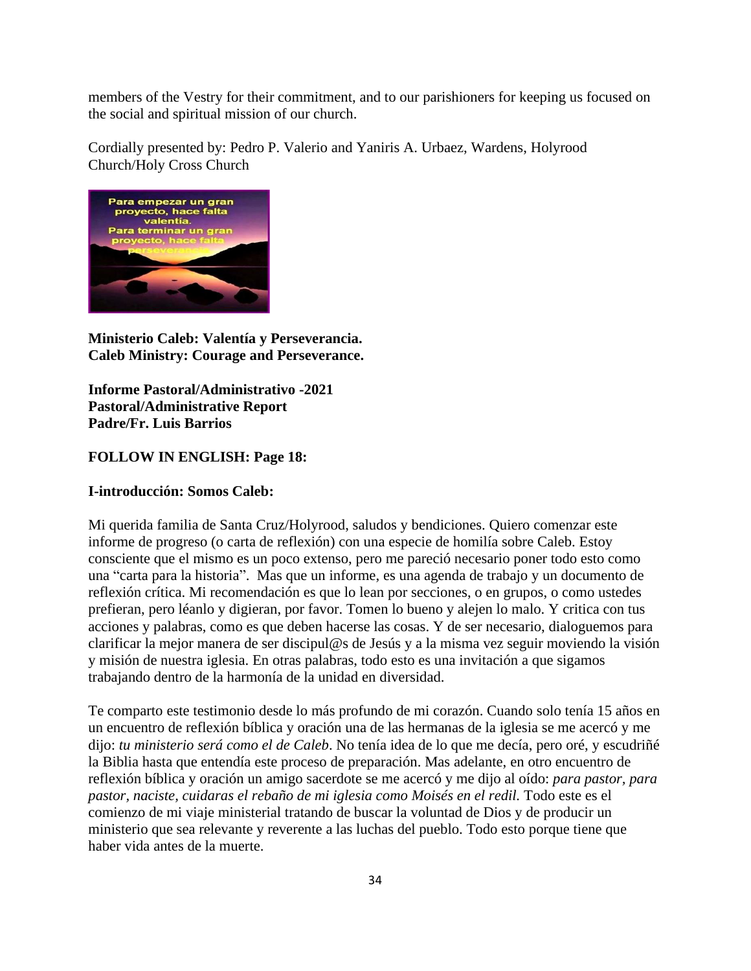members of the Vestry for their commitment, and to our parishioners for keeping us focused on the social and spiritual mission of our church.

Cordially presented by: Pedro P. Valerio and Yaniris A. Urbaez, Wardens, Holyrood Church/Holy Cross Church



**Ministerio Caleb: Valentía y Perseverancia. Caleb Ministry: Courage and Perseverance.**

**Informe Pastoral/Administrativo -2021 Pastoral/Administrative Report Padre/Fr. Luis Barrios**

#### **FOLLOW IN ENGLISH: Page 18:**

#### **I-introducción: Somos Caleb:**

Mi querida familia de Santa Cruz/Holyrood, saludos y bendiciones. Quiero comenzar este informe de progreso (o carta de reflexión) con una especie de homilía sobre Caleb. Estoy consciente que el mismo es un poco extenso, pero me pareció necesario poner todo esto como una "carta para la historia". Mas que un informe, es una agenda de trabajo y un documento de reflexión crítica. Mi recomendación es que lo lean por secciones, o en grupos, o como ustedes prefieran, pero léanlo y digieran, por favor. Tomen lo bueno y alejen lo malo. Y critica con tus acciones y palabras, como es que deben hacerse las cosas. Y de ser necesario, dialoguemos para clarificar la mejor manera de ser discipul@s de Jesús y a la misma vez seguir moviendo la visión y misión de nuestra iglesia. En otras palabras, todo esto es una invitación a que sigamos trabajando dentro de la harmonía de la unidad en diversidad.

Te comparto este testimonio desde lo más profundo de mi corazón. Cuando solo tenía 15 años en un encuentro de reflexión bíblica y oración una de las hermanas de la iglesia se me acercó y me dijo: *tu ministerio será como el de Caleb*. No tenía idea de lo que me decía, pero oré, y escudriñé la Biblia hasta que entendía este proceso de preparación. Mas adelante, en otro encuentro de reflexión bíblica y oración un amigo sacerdote se me acercó y me dijo al oído: *para pastor, para pastor, naciste, cuidaras el rebaño de mi iglesia como Moisés en el redil.* Todo este es el comienzo de mi viaje ministerial tratando de buscar la voluntad de Dios y de producir un ministerio que sea relevante y reverente a las luchas del pueblo. Todo esto porque tiene que haber vida antes de la muerte.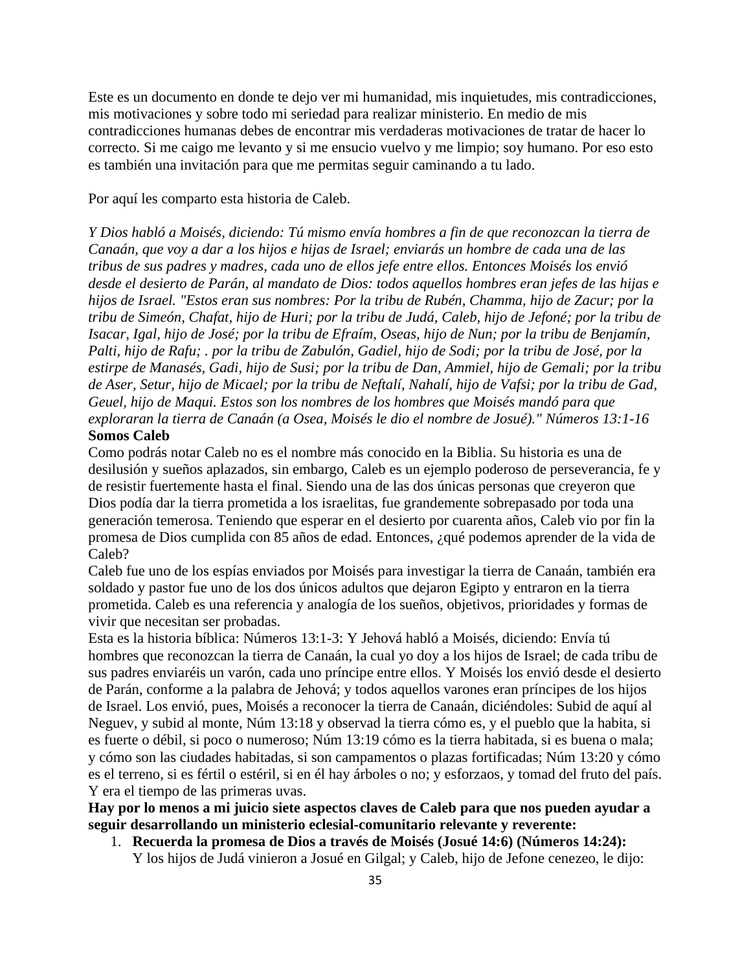Este es un documento en donde te dejo ver mi humanidad, mis inquietudes, mis contradicciones, mis motivaciones y sobre todo mi seriedad para realizar ministerio. En medio de mis contradicciones humanas debes de encontrar mis verdaderas motivaciones de tratar de hacer lo correcto. Si me caigo me levanto y si me ensucio vuelvo y me limpio; soy humano. Por eso esto es también una invitación para que me permitas seguir caminando a tu lado.

Por aquí les comparto esta historia de Caleb.

*Y Dios habló a Moisés, diciendo: Tú mismo envía hombres a fin de que reconozcan la tierra de Canaán, que voy a dar a los hijos e hijas de Israel; enviarás un hombre de cada una de las tribus de sus padres y madres, cada uno de ellos jefe entre ellos. Entonces Moisés los envió desde el desierto de Parán, al mandato de Dios: todos aquellos hombres eran jefes de las hijas e hijos de Israel. "Estos eran sus nombres: Por la tribu de Rubén, Chamma, hijo de Zacur; por la tribu de Simeón, Chafat, hijo de Huri; por la tribu de Judá, Caleb, hijo de Jefoné; por la tribu de Isacar, Igal, hijo de José; por la tribu de Efraím, Oseas, hijo de Nun; por la tribu de Benjamín, Palti, hijo de Rafu; . por la tribu de Zabulón, Gadiel, hijo de Sodi; por la tribu de José, por la estirpe de Manasés, Gadi, hijo de Susi; por la tribu de Dan, Ammiel, hijo de Gemali; por la tribu de Aser, Setur, hijo de Micael; por la tribu de Neftalí, Nahalí, hijo de Vafsi; por la tribu de Gad, Geuel, hijo de Maqui. Estos son los nombres de los hombres que Moisés mandó para que exploraran la tierra de Canaán (a Osea, Moisés le dio el nombre de Josué)." Números 13:1-16* **Somos Caleb**

Como podrás notar Caleb no es el nombre más conocido en la Biblia. Su historia es una de desilusión y sueños aplazados, sin embargo, Caleb es un ejemplo poderoso de perseverancia, fe y de resistir fuertemente hasta el final. Siendo una de las dos únicas personas que creyeron que Dios podía dar la tierra prometida a los israelitas, fue grandemente sobrepasado por toda una generación temerosa. Teniendo que esperar en el desierto por cuarenta años, Caleb vio por fin la promesa de Dios cumplida con 85 años de edad. Entonces, ¿qué podemos aprender de la vida de Caleb?

Caleb fue uno de los espías enviados por Moisés para investigar la tierra de Canaán, también era soldado y pastor fue uno de los dos únicos adultos que dejaron Egipto y entraron en la tierra prometida. Caleb es una referencia y analogía de los sueños, objetivos, prioridades y formas de vivir que necesitan ser probadas.

Esta es la historia bíblica: Números 13:1-3: Y Jehová habló a Moisés, diciendo: Envía tú hombres que reconozcan la tierra de Canaán, la cual yo doy a los hijos de Israel; de cada tribu de sus padres enviaréis un varón, cada uno príncipe entre ellos. Y Moisés los envió desde el desierto de Parán, conforme a la palabra de Jehová; y todos aquellos varones eran príncipes de los hijos de Israel. Los envió, pues, Moisés a reconocer la tierra de Canaán, diciéndoles: Subid de aquí al Neguev, y subid al monte, Núm 13:18 y observad la tierra cómo es, y el pueblo que la habita, si es fuerte o débil, si poco o numeroso; Núm 13:19 cómo es la tierra habitada, si es buena o mala; y cómo son las ciudades habitadas, si son campamentos o plazas fortificadas; Núm 13:20 y cómo es el terreno, si es fértil o estéril, si en él hay árboles o no; y esforzaos, y tomad del fruto del país. Y era el tiempo de las primeras uvas.

# **Hay por lo menos a mi juicio siete aspectos claves de Caleb para que nos pueden ayudar a seguir desarrollando un ministerio eclesial-comunitario relevante y reverente:**

1. **Recuerda la promesa de Dios a través de Moisés (Josué 14:6) (Números 14:24):** Y los hijos de Judá vinieron a Josué en Gilgal; y Caleb, hijo de Jefone cenezeo, le dijo: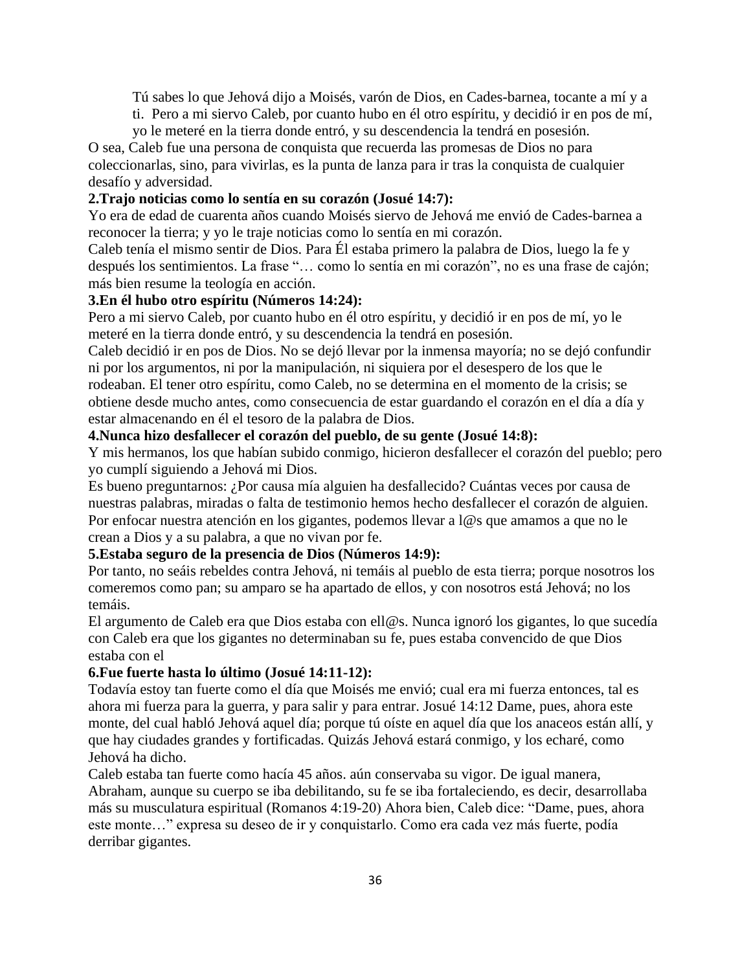Tú sabes lo que Jehová dijo a Moisés, varón de Dios, en Cades-barnea, tocante a mí y a

ti. Pero a mi siervo Caleb, por cuanto hubo en él otro espíritu, y decidió ir en pos de mí,

yo le meteré en la tierra donde entró, y su descendencia la tendrá en posesión.

O sea, Caleb fue una persona de conquista que recuerda las promesas de Dios no para coleccionarlas, sino, para vivirlas, es la punta de lanza para ir tras la conquista de cualquier desafío y adversidad.

# **2.Trajo noticias como lo sentía en su corazón (Josué 14:7):**

Yo era de edad de cuarenta años cuando Moisés siervo de Jehová me envió de Cades-barnea a reconocer la tierra; y yo le traje noticias como lo sentía en mi corazón.

Caleb tenía el mismo sentir de Dios. Para Él estaba primero la palabra de Dios, luego la fe y después los sentimientos. La frase "… como lo sentía en mi corazón", no es una frase de cajón; más bien resume la teología en acción.

# **3.En él hubo otro espíritu (Números 14:24):**

Pero a mi siervo Caleb, por cuanto hubo en él otro espíritu, y decidió ir en pos de mí, yo le meteré en la tierra donde entró, y su descendencia la tendrá en posesión.

Caleb decidió ir en pos de Dios. No se dejó llevar por la inmensa mayoría; no se dejó confundir ni por los argumentos, ni por la manipulación, ni siquiera por el desespero de los que le rodeaban. El tener otro espíritu, como Caleb, no se determina en el momento de la crisis; se obtiene desde mucho antes, como consecuencia de estar guardando el corazón en el día a día y estar almacenando en él el tesoro de la palabra de Dios.

# **4.Nunca hizo desfallecer el corazón del pueblo, de su gente (Josué 14:8):**

Y mis hermanos, los que habían subido conmigo, hicieron desfallecer el corazón del pueblo; pero yo cumplí siguiendo a Jehová mi Dios.

Es bueno preguntarnos: ¿Por causa mía alguien ha desfallecido? Cuántas veces por causa de nuestras palabras, miradas o falta de testimonio hemos hecho desfallecer el corazón de alguien. Por enfocar nuestra atención en los gigantes, podemos llevar a l@s que amamos a que no le crean a Dios y a su palabra, a que no vivan por fe.

# **5.Estaba seguro de la presencia de Dios (Números 14:9):**

Por tanto, no seáis rebeldes contra Jehová, ni temáis al pueblo de esta tierra; porque nosotros los comeremos como pan; su amparo se ha apartado de ellos, y con nosotros está Jehová; no los temáis.

El argumento de Caleb era que Dios estaba con ell@s. Nunca ignoró los gigantes, lo que sucedía con Caleb era que los gigantes no determinaban su fe, pues estaba convencido de que Dios estaba con el

# **6.Fue fuerte hasta lo último (Josué 14:11-12):**

Todavía estoy tan fuerte como el día que Moisés me envió; cual era mi fuerza entonces, tal es ahora mi fuerza para la guerra, y para salir y para entrar. Josué 14:12 Dame, pues, ahora este monte, del cual habló Jehová aquel día; porque tú oíste en aquel día que los anaceos están allí, y que hay ciudades grandes y fortificadas. Quizás Jehová estará conmigo, y los echaré, como Jehová ha dicho.

Caleb estaba tan fuerte como hacía 45 años. aún conservaba su vigor. De igual manera, Abraham, aunque su cuerpo se iba debilitando, su fe se iba fortaleciendo, es decir, desarrollaba más su musculatura espiritual (Romanos 4:19-20) Ahora bien, Caleb dice: "Dame, pues, ahora este monte…" expresa su deseo de ir y conquistarlo. Como era cada vez más fuerte, podía derribar gigantes.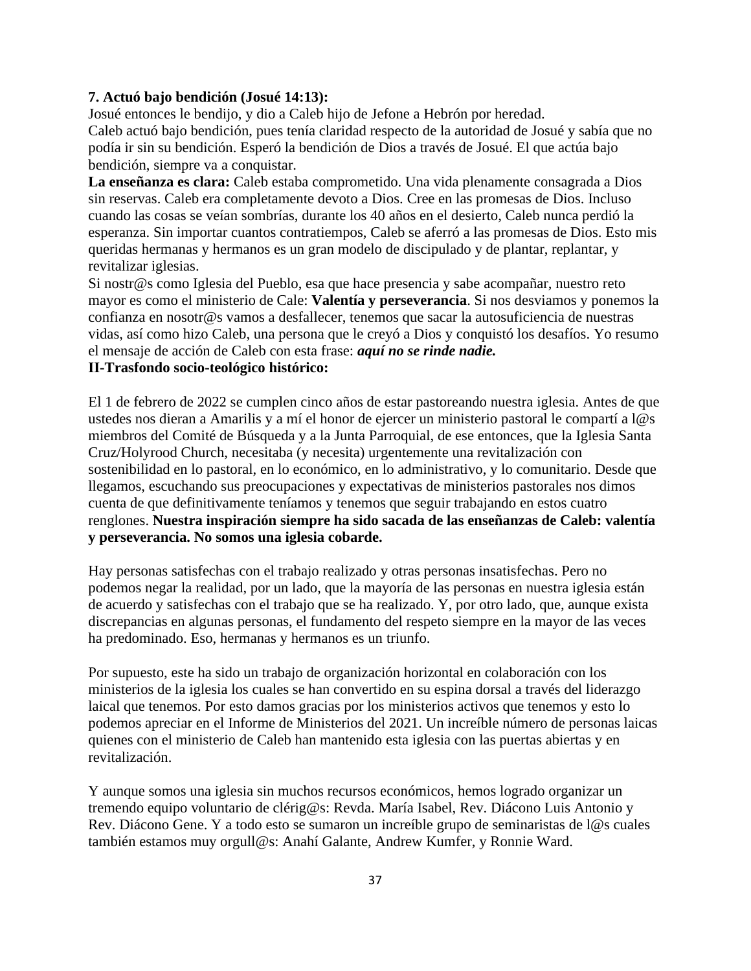#### **7. Actuó bajo bendición (Josué 14:13):**

Josué entonces le bendijo, y dio a Caleb hijo de Jefone a Hebrón por heredad. Caleb actuó bajo bendición, pues tenía claridad respecto de la autoridad de Josué y sabía que no podía ir sin su bendición. Esperó la bendición de Dios a través de Josué. El que actúa bajo bendición, siempre va a conquistar.

**La enseñanza es clara:** Caleb estaba comprometido. Una vida plenamente consagrada a Dios sin reservas. Caleb era completamente devoto a Dios. Cree en las promesas de Dios. Incluso cuando las cosas se veían sombrías, durante los 40 años en el desierto, Caleb nunca perdió la esperanza. Sin importar cuantos contratiempos, Caleb se aferró a las promesas de Dios. Esto mis queridas hermanas y hermanos es un gran modelo de discipulado y de plantar, replantar, y revitalizar iglesias.

Si nostr@s como Iglesia del Pueblo, esa que hace presencia y sabe acompañar, nuestro reto mayor es como el ministerio de Cale: **Valentía y perseverancia**. Si nos desviamos y ponemos la confianza en nosotr@s vamos a desfallecer, tenemos que sacar la autosuficiencia de nuestras vidas, así como hizo Caleb, una persona que le creyó a Dios y conquistó los desafíos. Yo resumo el mensaje de acción de Caleb con esta frase: *aquí no se rinde nadie.*

# **II-Trasfondo socio-teológico histórico:**

El 1 de febrero de 2022 se cumplen cinco años de estar pastoreando nuestra iglesia. Antes de que ustedes nos dieran a Amarilis y a mí el honor de ejercer un ministerio pastoral le compartí a l@s miembros del Comité de Búsqueda y a la Junta Parroquial, de ese entonces, que la Iglesia Santa Cruz/Holyrood Church, necesitaba (y necesita) urgentemente una revitalización con sostenibilidad en lo pastoral, en lo económico, en lo administrativo, y lo comunitario. Desde que llegamos, escuchando sus preocupaciones y expectativas de ministerios pastorales nos dimos cuenta de que definitivamente teníamos y tenemos que seguir trabajando en estos cuatro renglones. **Nuestra inspiración siempre ha sido sacada de las enseñanzas de Caleb: valentía y perseverancia. No somos una iglesia cobarde.** 

Hay personas satisfechas con el trabajo realizado y otras personas insatisfechas. Pero no podemos negar la realidad, por un lado, que la mayoría de las personas en nuestra iglesia están de acuerdo y satisfechas con el trabajo que se ha realizado. Y, por otro lado, que, aunque exista discrepancias en algunas personas, el fundamento del respeto siempre en la mayor de las veces ha predominado. Eso, hermanas y hermanos es un triunfo.

Por supuesto, este ha sido un trabajo de organización horizontal en colaboración con los ministerios de la iglesia los cuales se han convertido en su espina dorsal a través del liderazgo laical que tenemos. Por esto damos gracias por los ministerios activos que tenemos y esto lo podemos apreciar en el Informe de Ministerios del 2021. Un increíble número de personas laicas quienes con el ministerio de Caleb han mantenido esta iglesia con las puertas abiertas y en revitalización.

Y aunque somos una iglesia sin muchos recursos económicos, hemos logrado organizar un tremendo equipo voluntario de clérig@s: Revda. María Isabel, Rev. Diácono Luis Antonio y Rev. Diácono Gene. Y a todo esto se sumaron un increíble grupo de seminaristas de l@s cuales también estamos muy orgull@s: Anahí Galante, Andrew Kumfer, y Ronnie Ward.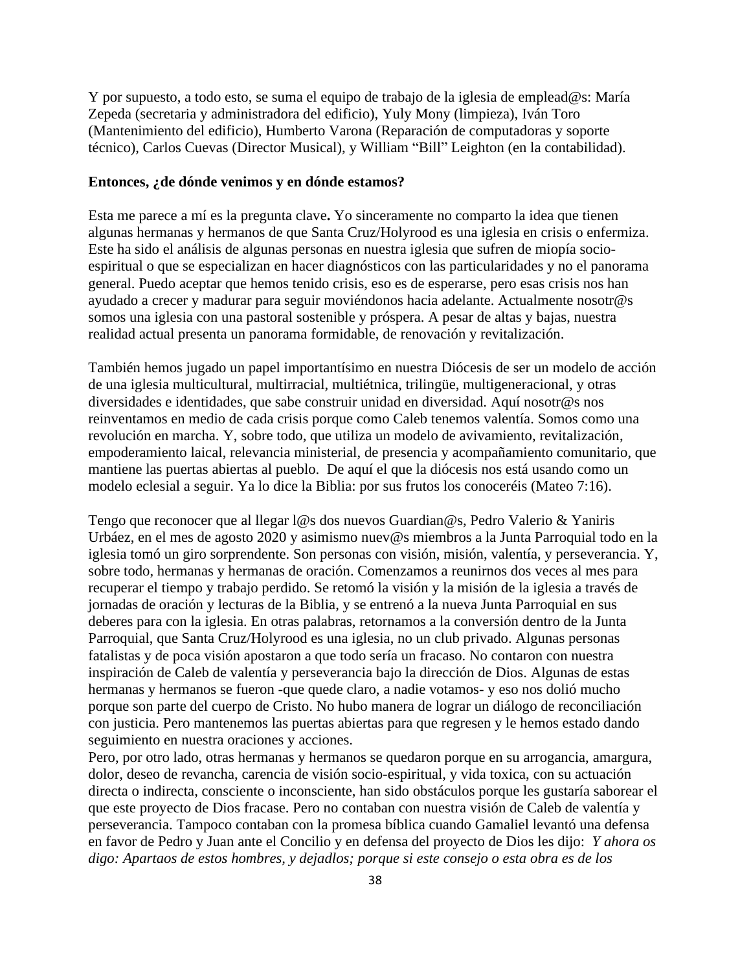Y por supuesto, a todo esto, se suma el equipo de trabajo de la iglesia de emplead@s: María Zepeda (secretaria y administradora del edificio), Yuly Mony (limpieza), Iván Toro (Mantenimiento del edificio), Humberto Varona (Reparación de computadoras y soporte técnico), Carlos Cuevas (Director Musical), y William "Bill" Leighton (en la contabilidad).

#### **Entonces, ¿de dónde venimos y en dónde estamos?**

Esta me parece a mí es la pregunta clave**.** Yo sinceramente no comparto la idea que tienen algunas hermanas y hermanos de que Santa Cruz/Holyrood es una iglesia en crisis o enfermiza. Este ha sido el análisis de algunas personas en nuestra iglesia que sufren de miopía socioespiritual o que se especializan en hacer diagnósticos con las particularidades y no el panorama general. Puedo aceptar que hemos tenido crisis, eso es de esperarse, pero esas crisis nos han ayudado a crecer y madurar para seguir moviéndonos hacia adelante. Actualmente nosotr@s somos una iglesia con una pastoral sostenible y próspera. A pesar de altas y bajas, nuestra realidad actual presenta un panorama formidable, de renovación y revitalización.

También hemos jugado un papel importantísimo en nuestra Diócesis de ser un modelo de acción de una iglesia multicultural, multirracial, multiétnica, trilingüe, multigeneracional, y otras diversidades e identidades, que sabe construir unidad en diversidad. Aquí nosotr@s nos reinventamos en medio de cada crisis porque como Caleb tenemos valentía. Somos como una revolución en marcha. Y, sobre todo, que utiliza un modelo de avivamiento, revitalización, empoderamiento laical, relevancia ministerial, de presencia y acompañamiento comunitario, que mantiene las puertas abiertas al pueblo. De aquí el que la diócesis nos está usando como un modelo eclesial a seguir. Ya lo dice la Biblia: por sus frutos los conoceréis (Mateo 7:16).

Tengo que reconocer que al llegar l@s dos nuevos Guardian@s, Pedro Valerio & Yaniris Urbáez, en el mes de agosto 2020 y asimismo nuev@s miembros a la Junta Parroquial todo en la iglesia tomó un giro sorprendente. Son personas con visión, misión, valentía, y perseverancia. Y, sobre todo, hermanas y hermanas de oración. Comenzamos a reunirnos dos veces al mes para recuperar el tiempo y trabajo perdido. Se retomó la visión y la misión de la iglesia a través de jornadas de oración y lecturas de la Biblia, y se entrenó a la nueva Junta Parroquial en sus deberes para con la iglesia. En otras palabras, retornamos a la conversión dentro de la Junta Parroquial, que Santa Cruz/Holyrood es una iglesia, no un club privado. Algunas personas fatalistas y de poca visión apostaron a que todo sería un fracaso. No contaron con nuestra inspiración de Caleb de valentía y perseverancia bajo la dirección de Dios. Algunas de estas hermanas y hermanos se fueron -que quede claro, a nadie votamos- y eso nos dolió mucho porque son parte del cuerpo de Cristo. No hubo manera de lograr un diálogo de reconciliación con justicia. Pero mantenemos las puertas abiertas para que regresen y le hemos estado dando seguimiento en nuestra oraciones y acciones.

Pero, por otro lado, otras hermanas y hermanos se quedaron porque en su arrogancia, amargura, dolor, deseo de revancha, carencia de visión socio-espiritual, y vida toxica, con su actuación directa o indirecta, consciente o inconsciente, han sido obstáculos porque les gustaría saborear el que este proyecto de Dios fracase. Pero no contaban con nuestra visión de Caleb de valentía y perseverancia. Tampoco contaban con la promesa bíblica cuando Gamaliel levantó una defensa en favor de Pedro y Juan ante el Concilio y en defensa del proyecto de Dios les dijo: *Y ahora os digo: Apartaos de estos hombres, y dejadlos; porque si este consejo o esta obra es de los*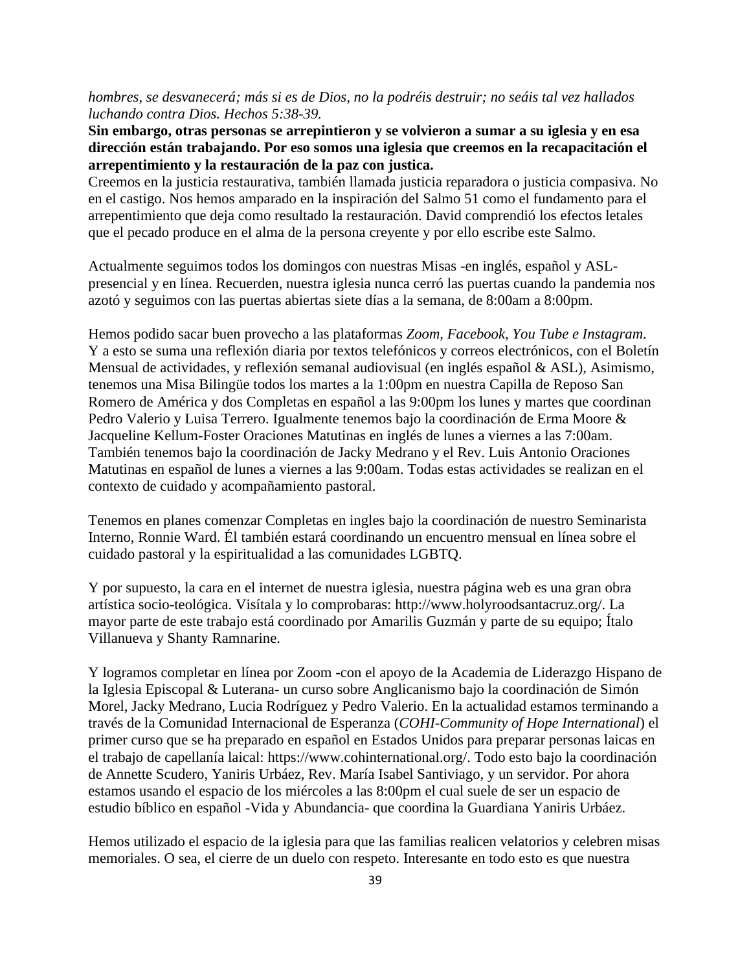## *hombres, se desvanecerá; más si es de Dios, no la podréis destruir; no seáis tal vez hallados luchando contra Dios. Hechos 5:38-39.*

**Sin embargo, otras personas se arrepintieron y se volvieron a sumar a su iglesia y en esa dirección están trabajando. Por eso somos una iglesia que creemos en la recapacitación el arrepentimiento y la restauración de la paz con justica.** 

Creemos en la justicia restaurativa, también llamada justicia reparadora o justicia compasiva. No en el castigo. Nos hemos amparado en la inspiración del Salmo 51 como el fundamento para el arrepentimiento que deja como resultado la restauración. David comprendió los efectos letales que el pecado produce en el alma de la persona creyente y por ello escribe este Salmo.

Actualmente seguimos todos los domingos con nuestras Misas -en inglés, español y ASLpresencial y en línea. Recuerden, nuestra iglesia nunca cerró las puertas cuando la pandemia nos azotó y seguimos con las puertas abiertas siete días a la semana, de 8:00am a 8:00pm.

Hemos podido sacar buen provecho a las plataformas *Zoom, Facebook, You Tube e Instagram*. Y a esto se suma una reflexión diaria por textos telefónicos y correos electrónicos, con el Boletín Mensual de actividades, y reflexión semanal audiovisual (en inglés español & ASL), Asimismo, tenemos una Misa Bilingüe todos los martes a la 1:00pm en nuestra Capilla de Reposo San Romero de América y dos Completas en español a las 9:00pm los lunes y martes que coordinan Pedro Valerio y Luisa Terrero. Igualmente tenemos bajo la coordinación de Erma Moore & Jacqueline Kellum-Foster Oraciones Matutinas en inglés de lunes a viernes a las 7:00am. También tenemos bajo la coordinación de Jacky Medrano y el Rev. Luis Antonio Oraciones Matutinas en español de lunes a viernes a las 9:00am. Todas estas actividades se realizan en el contexto de cuidado y acompañamiento pastoral.

Tenemos en planes comenzar Completas en ingles bajo la coordinación de nuestro Seminarista Interno, Ronnie Ward. Él también estará coordinando un encuentro mensual en línea sobre el cuidado pastoral y la espiritualidad a las comunidades LGBTQ.

Y por supuesto, la cara en el internet de nuestra iglesia, nuestra página web es una gran obra artística socio-teológica. Visítala y lo comprobaras: [http://www.holyroodsantacruz.org/.](http://www.holyroodsantacruz.org/) La mayor parte de este trabajo está coordinado por Amarilis Guzmán y parte de su equipo; Ítalo Villanueva y Shanty Ramnarine.

Y logramos completar en línea por Zoom -con el apoyo de la Academia de Liderazgo Hispano de la Iglesia Episcopal & Luterana- un curso sobre Anglicanismo bajo la coordinación de Simón Morel, Jacky Medrano, Lucia Rodríguez y Pedro Valerio. En la actualidad estamos terminando a través de la Comunidad Internacional de Esperanza (*COHI-Community of Hope International*) el primer curso que se ha preparado en español en Estados Unidos para preparar personas laicas en el trabajo de capellanía laical: [https://www.cohinternational.org/.](https://www.cohinternational.org/) Todo esto bajo la coordinación de Annette Scudero, Yaniris Urbáez, Rev. María Isabel Santiviago, y un servidor. Por ahora estamos usando el espacio de los miércoles a las 8:00pm el cual suele de ser un espacio de estudio bíblico en español -Vida y Abundancia- que coordina la Guardiana Yaniris Urbáez.

Hemos utilizado el espacio de la iglesia para que las familias realicen velatorios y celebren misas memoriales. O sea, el cierre de un duelo con respeto. Interesante en todo esto es que nuestra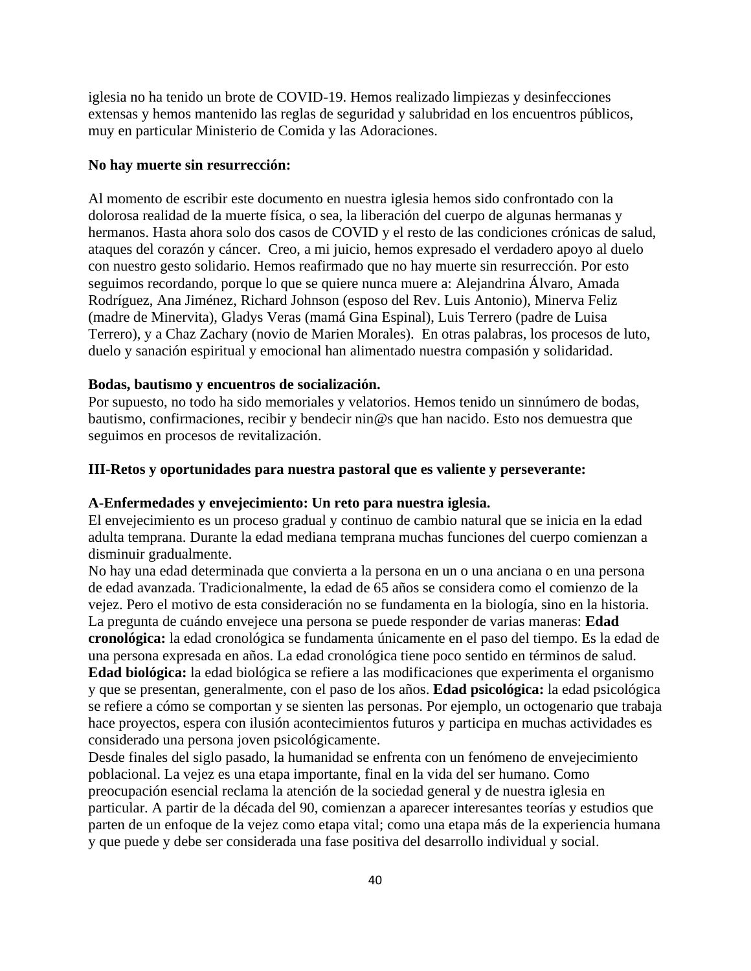iglesia no ha tenido un brote de COVID-19. Hemos realizado limpiezas y desinfecciones extensas y hemos mantenido las reglas de seguridad y salubridad en los encuentros públicos, muy en particular Ministerio de Comida y las Adoraciones.

#### **No hay muerte sin resurrección:**

Al momento de escribir este documento en nuestra iglesia hemos sido confrontado con la dolorosa realidad de la muerte física, o sea, la liberación del cuerpo de algunas hermanas y hermanos. Hasta ahora solo dos casos de COVID y el resto de las condiciones crónicas de salud, ataques del corazón y cáncer. Creo, a mi juicio, hemos expresado el verdadero apoyo al duelo con nuestro gesto solidario. Hemos reafirmado que no hay muerte sin resurrección. Por esto seguimos recordando, porque lo que se quiere nunca muere a: Alejandrina Álvaro, Amada Rodríguez, Ana Jiménez, Richard Johnson (esposo del Rev. Luis Antonio), Minerva Feliz (madre de Minervita), Gladys Veras (mamá Gina Espinal), Luis Terrero (padre de Luisa Terrero), y a Chaz Zachary (novio de Marien Morales). En otras palabras, los procesos de luto, duelo y sanación espiritual y emocional han alimentado nuestra compasión y solidaridad.

#### **Bodas, bautismo y encuentros de socialización.**

Por supuesto, no todo ha sido memoriales y velatorios. Hemos tenido un sinnúmero de bodas, bautismo, confirmaciones, recibir y bendecir nin@s que han nacido. Esto nos demuestra que seguimos en procesos de revitalización.

#### **III-Retos y oportunidades para nuestra pastoral que es valiente y perseverante:**

#### **A-Enfermedades y envejecimiento: Un reto para nuestra iglesia.**

El envejecimiento es un proceso gradual y continuo de cambio natural que se inicia en la edad adulta temprana. Durante la edad mediana temprana muchas funciones del cuerpo comienzan a disminuir gradualmente.

No hay una edad determinada que convierta a la persona en un o una anciana o en una persona de edad avanzada. Tradicionalmente, la edad de 65 años se considera como el comienzo de la vejez. Pero el motivo de esta consideración no se fundamenta en la biología, sino en la historia. La pregunta de cuándo envejece una persona se puede responder de varias maneras: **Edad cronológica:** la edad cronológica se fundamenta únicamente en el paso del tiempo. Es la edad de una persona expresada en años. La edad cronológica tiene poco sentido en términos de salud. **Edad biológica:** la edad biológica se refiere a las modificaciones que experimenta el organismo y que se presentan, generalmente, con el paso de los años. **Edad psicológica:** la edad psicológica se refiere a cómo se comportan y se sienten las personas. Por ejemplo, un octogenario que trabaja hace proyectos, espera con ilusión acontecimientos futuros y participa en muchas actividades es considerado una persona joven psicológicamente.

Desde finales del siglo pasado, la humanidad se enfrenta con un fenómeno de envejecimiento poblacional. La vejez es una etapa importante, final en la vida del ser humano. Como preocupación esencial reclama la atención de la sociedad general y de nuestra iglesia en particular. A partir de la década del 90, comienzan a aparecer interesantes teorías y estudios que parten de un enfoque de la vejez como etapa vital; como una etapa más de la experiencia humana y que puede y debe ser considerada una fase positiva del desarrollo individual y social.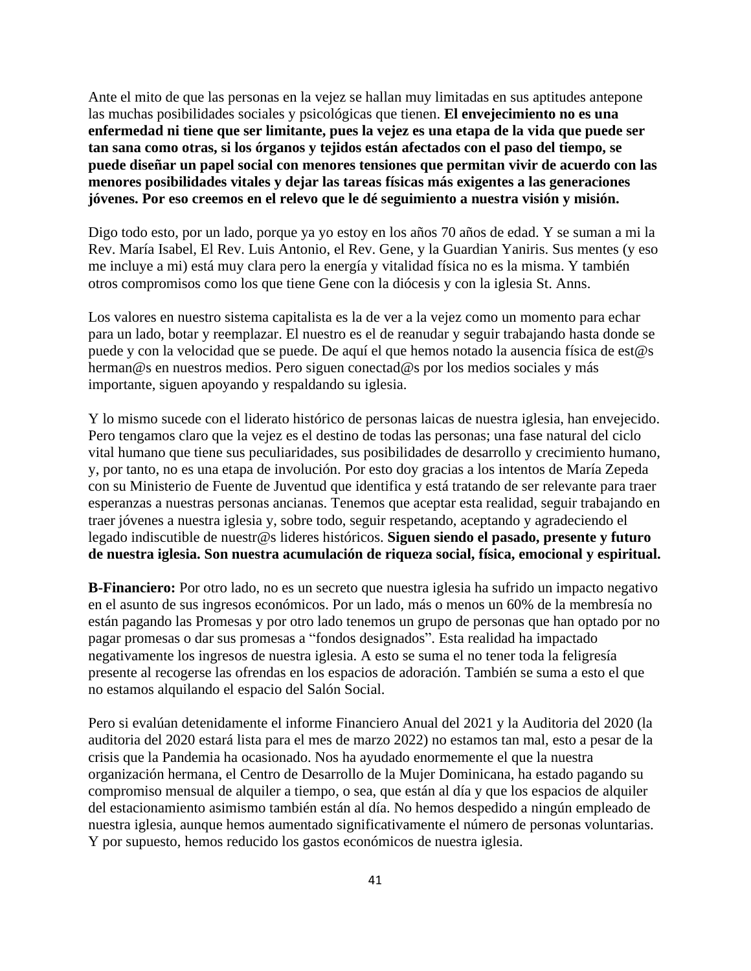Ante el mito de que las personas en la vejez se hallan muy limitadas en sus aptitudes antepone las muchas posibilidades sociales y psicológicas que tienen. **El envejecimiento no es una enfermedad ni tiene que ser limitante, pues la vejez es una etapa de la vida que puede ser tan sana como otras, si los órganos y tejidos están afectados con el paso del tiempo, se puede diseñar un papel social con menores tensiones que permitan vivir de acuerdo con las menores posibilidades vitales y dejar las tareas físicas más exigentes a las generaciones jóvenes. Por eso creemos en el relevo que le dé seguimiento a nuestra visión y misión.**

Digo todo esto, por un lado, porque ya yo estoy en los años 70 años de edad. Y se suman a mi la Rev. María Isabel, El Rev. Luis Antonio, el Rev. Gene, y la Guardian Yaniris. Sus mentes (y eso me incluye a mi) está muy clara pero la energía y vitalidad física no es la misma. Y también otros compromisos como los que tiene Gene con la diócesis y con la iglesia St. Anns.

Los valores en nuestro sistema capitalista es la de ver a la vejez como un momento para echar para un lado, botar y reemplazar. El nuestro es el de reanudar y seguir trabajando hasta donde se puede y con la velocidad que se puede. De aquí el que hemos notado la ausencia física de est@s herman@s en nuestros medios. Pero siguen conectad@s por los medios sociales y más importante, siguen apoyando y respaldando su iglesia.

Y lo mismo sucede con el liderato histórico de personas laicas de nuestra iglesia, han envejecido. Pero tengamos claro que la vejez es el destino de todas las personas; una fase natural del ciclo vital humano que tiene sus peculiaridades, sus posibilidades de desarrollo y crecimiento humano, y, por tanto, no es una etapa de involución. Por esto doy gracias a los intentos de María Zepeda con su Ministerio de Fuente de Juventud que identifica y está tratando de ser relevante para traer esperanzas a nuestras personas ancianas. Tenemos que aceptar esta realidad, seguir trabajando en traer jóvenes a nuestra iglesia y, sobre todo, seguir respetando, aceptando y agradeciendo el legado indiscutible de nuestr@s lideres históricos. **Siguen siendo el pasado, presente y futuro de nuestra iglesia. Son nuestra acumulación de riqueza social, física, emocional y espiritual.** 

**B-Financiero:** Por otro lado, no es un secreto que nuestra iglesia ha sufrido un impacto negativo en el asunto de sus ingresos económicos. Por un lado, más o menos un 60% de la membresía no están pagando las Promesas y por otro lado tenemos un grupo de personas que han optado por no pagar promesas o dar sus promesas a "fondos designados". Esta realidad ha impactado negativamente los ingresos de nuestra iglesia. A esto se suma el no tener toda la feligresía presente al recogerse las ofrendas en los espacios de adoración. También se suma a esto el que no estamos alquilando el espacio del Salón Social.

Pero si evalúan detenidamente el informe Financiero Anual del 2021 y la Auditoria del 2020 (la auditoria del 2020 estará lista para el mes de marzo 2022) no estamos tan mal, esto a pesar de la crisis que la Pandemia ha ocasionado. Nos ha ayudado enormemente el que la nuestra organización hermana, el Centro de Desarrollo de la Mujer Dominicana, ha estado pagando su compromiso mensual de alquiler a tiempo, o sea, que están al día y que los espacios de alquiler del estacionamiento asimismo también están al día. No hemos despedido a ningún empleado de nuestra iglesia, aunque hemos aumentado significativamente el número de personas voluntarias. Y por supuesto, hemos reducido los gastos económicos de nuestra iglesia.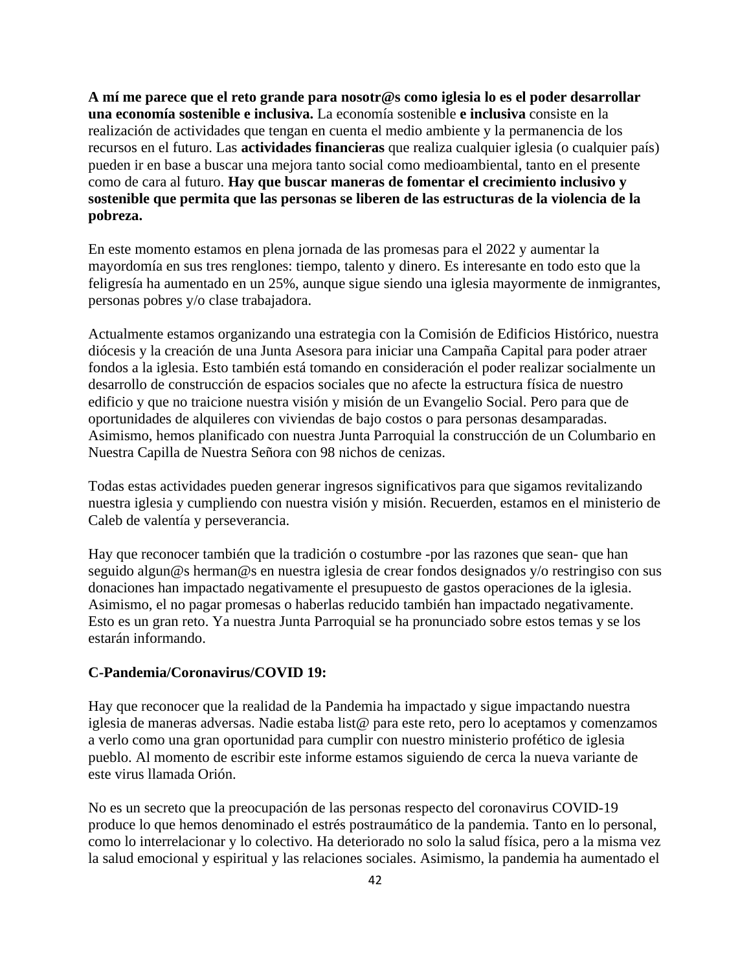**A mí me parece que el reto grande para nosotr@s como iglesia lo es el poder desarrollar una economía sostenible e inclusiva.** La economía sostenible **e inclusiva** consiste en la realización de actividades que tengan en cuenta el medio ambiente y la permanencia de los recursos en el futuro. Las **actividades financieras** que realiza cualquier iglesia (o cualquier país) pueden ir en base a buscar una mejora tanto social como medioambiental, tanto en el presente como de cara al futuro. **Hay que buscar maneras de fomentar el crecimiento inclusivo y sostenible que permita que las personas se liberen de las estructuras de la violencia de la pobreza.**

En este momento estamos en plena jornada de las promesas para el 2022 y aumentar la mayordomía en sus tres renglones: tiempo, talento y dinero. Es interesante en todo esto que la feligresía ha aumentado en un 25%, aunque sigue siendo una iglesia mayormente de inmigrantes, personas pobres y/o clase trabajadora.

Actualmente estamos organizando una estrategia con la Comisión de Edificios Histórico, nuestra diócesis y la creación de una Junta Asesora para iniciar una Campaña Capital para poder atraer fondos a la iglesia. Esto también está tomando en consideración el poder realizar socialmente un desarrollo de construcción de espacios sociales que no afecte la estructura física de nuestro edificio y que no traicione nuestra visión y misión de un Evangelio Social. Pero para que de oportunidades de alquileres con viviendas de bajo costos o para personas desamparadas. Asimismo, hemos planificado con nuestra Junta Parroquial la construcción de un Columbario en Nuestra Capilla de Nuestra Señora con 98 nichos de cenizas.

Todas estas actividades pueden generar ingresos significativos para que sigamos revitalizando nuestra iglesia y cumpliendo con nuestra visión y misión. Recuerden, estamos en el ministerio de Caleb de valentía y perseverancia.

Hay que reconocer también que la tradición o costumbre -por las razones que sean- que han seguido algun@s herman@s en nuestra iglesia de crear fondos designados y/o restringiso con sus donaciones han impactado negativamente el presupuesto de gastos operaciones de la iglesia. Asimismo, el no pagar promesas o haberlas reducido también han impactado negativamente. Esto es un gran reto. Ya nuestra Junta Parroquial se ha pronunciado sobre estos temas y se los estarán informando.

#### **C-Pandemia/Coronavirus/COVID 19:**

Hay que reconocer que la realidad de la Pandemia ha impactado y sigue impactando nuestra iglesia de maneras adversas. Nadie estaba list@ para este reto, pero lo aceptamos y comenzamos a verlo como una gran oportunidad para cumplir con nuestro ministerio profético de iglesia pueblo. Al momento de escribir este informe estamos siguiendo de cerca la nueva variante de este virus llamada Orión.

No es un secreto que la preocupación de las personas respecto del coronavirus COVID-19 produce lo que hemos denominado el estrés postraumático de la pandemia. Tanto en lo personal, como lo interrelacionar y lo colectivo. Ha deteriorado no solo la salud física, pero a la misma vez la salud emocional y espiritual y las relaciones sociales. Asimismo, la pandemia ha aumentado el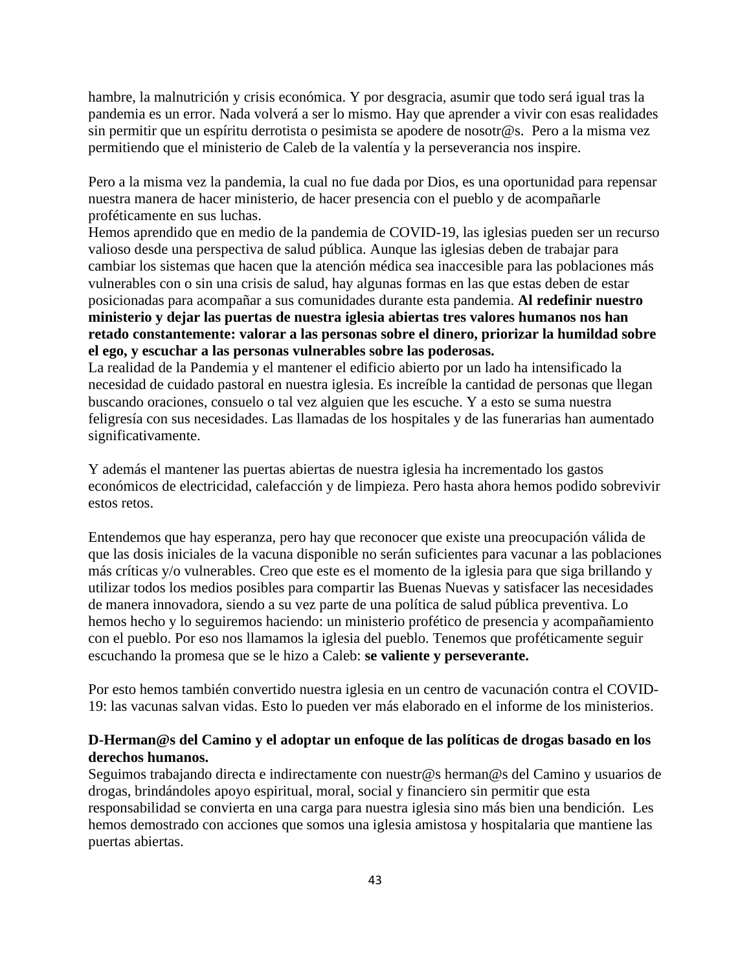hambre, la malnutrición y crisis económica. Y por desgracia, asumir que todo será igual tras la pandemia es un error. Nada volverá a ser lo mismo. Hay que aprender a vivir con esas realidades sin permitir que un espíritu derrotista o pesimista se apodere de nosotr@s. Pero a la misma vez permitiendo que el ministerio de Caleb de la valentía y la perseverancia nos inspire.

Pero a la misma vez la pandemia, la cual no fue dada por Dios, es una oportunidad para repensar nuestra manera de hacer ministerio, de hacer presencia con el pueblo y de acompañarle proféticamente en sus luchas.

Hemos aprendido que en medio de la pandemia de COVID-19, las iglesias pueden ser un recurso valioso desde una perspectiva de salud pública. Aunque las iglesias deben de trabajar para cambiar los sistemas que hacen que la atención médica sea inaccesible para las poblaciones más vulnerables con o sin una crisis de salud, hay algunas formas en las que estas deben de estar posicionadas para acompañar a sus comunidades durante esta pandemia. **Al redefinir nuestro ministerio y dejar las puertas de nuestra iglesia abiertas tres valores humanos nos han retado constantemente: valorar a las personas sobre el dinero, priorizar la humildad sobre el ego, y escuchar a las personas vulnerables sobre las poderosas.** 

La realidad de la Pandemia y el mantener el edificio abierto por un lado ha intensificado la necesidad de cuidado pastoral en nuestra iglesia. Es increíble la cantidad de personas que llegan buscando oraciones, consuelo o tal vez alguien que les escuche. Y a esto se suma nuestra feligresía con sus necesidades. Las llamadas de los hospitales y de las funerarias han aumentado significativamente.

Y además el mantener las puertas abiertas de nuestra iglesia ha incrementado los gastos económicos de electricidad, calefacción y de limpieza. Pero hasta ahora hemos podido sobrevivir estos retos.

Entendemos que hay esperanza, pero hay que reconocer que existe una preocupación válida de que las dosis iniciales de la vacuna disponible no serán suficientes para vacunar a las poblaciones más críticas y/o vulnerables. Creo que este es el momento de la iglesia para que siga brillando y utilizar todos los medios posibles para compartir las Buenas Nuevas y satisfacer las necesidades de manera innovadora, siendo a su vez parte de una política de salud pública preventiva. Lo hemos hecho y lo seguiremos haciendo: un ministerio profético de presencia y acompañamiento con el pueblo. Por eso nos llamamos la iglesia del pueblo. Tenemos que proféticamente seguir escuchando la promesa que se le hizo a Caleb: **se valiente y perseverante.** 

Por esto hemos también convertido nuestra iglesia en un centro de vacunación contra el COVID-19: las vacunas salvan vidas. Esto lo pueden ver más elaborado en el informe de los ministerios.

## **D-Herman@s del Camino y el adoptar un enfoque de las políticas de drogas basado en los derechos humanos.**

Seguimos trabajando directa e indirectamente con nuestr@s herman@s del Camino y usuarios de drogas, brindándoles apoyo espiritual, moral, social y financiero sin permitir que esta responsabilidad se convierta en una carga para nuestra iglesia sino más bien una bendición. Les hemos demostrado con acciones que somos una iglesia amistosa y hospitalaria que mantiene las puertas abiertas.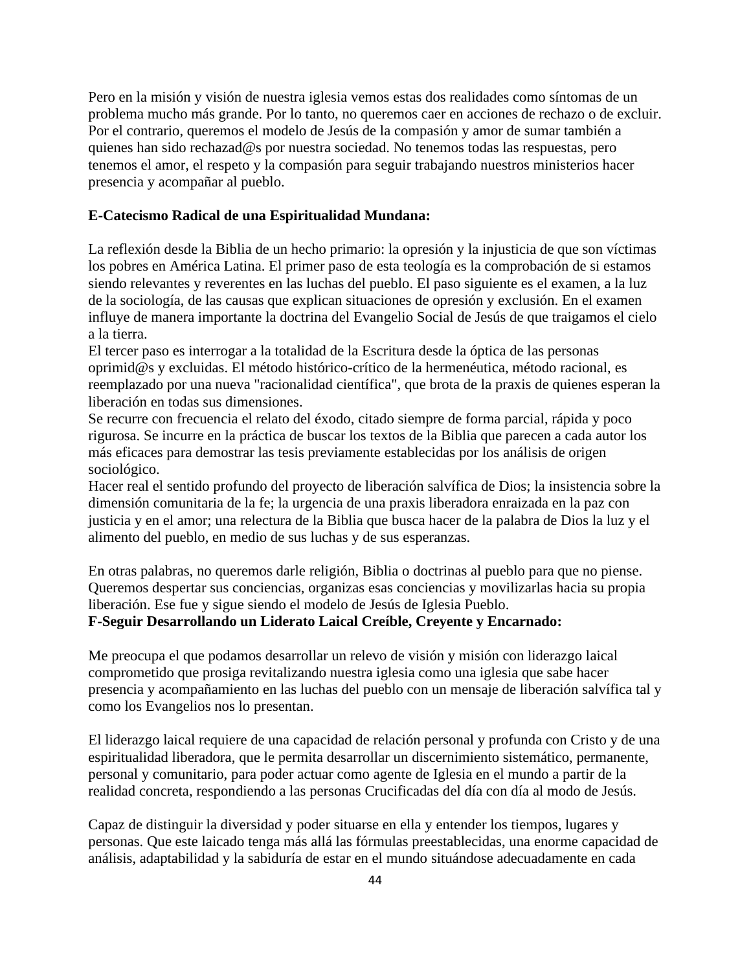Pero en la misión y visión de nuestra iglesia vemos estas dos realidades como síntomas de un problema mucho más grande. Por lo tanto, no queremos caer en acciones de rechazo o de excluir. Por el contrario, queremos el modelo de Jesús de la compasión y amor de sumar también a quienes han sido rechazad@s por nuestra sociedad. No tenemos todas las respuestas, pero tenemos el amor, el respeto y la compasión para seguir trabajando nuestros ministerios hacer presencia y acompañar al pueblo.

#### **E-Catecismo Radical de una Espiritualidad Mundana:**

La reflexión desde la Biblia de un hecho primario: la opresión y la injusticia de que son víctimas los pobres en América Latina. El primer paso de esta teología es la comprobación de si estamos siendo relevantes y reverentes en las luchas del pueblo. El paso siguiente es el examen, a la luz de la sociología, de las causas que explican situaciones de opresión y exclusión. En el examen influye de manera importante la doctrina del Evangelio Social de Jesús de que traigamos el cielo a la tierra.

El tercer paso es interrogar a la totalidad de la Escritura desde la óptica de las personas oprimid@s y excluidas. El método histórico-crítico de la hermenéutica, método racional, es reemplazado por una nueva "racionalidad científica", que brota de la praxis de quienes esperan la liberación en todas sus dimensiones.

Se recurre con frecuencia el relato del éxodo, citado siempre de forma parcial, rápida y poco rigurosa. Se incurre en la práctica de buscar los textos de la Biblia que parecen a cada autor los más eficaces para demostrar las tesis previamente establecidas por los análisis de origen sociológico.

Hacer real el sentido profundo del proyecto de liberación salvífica de Dios; la insistencia sobre la dimensión comunitaria de la fe; la urgencia de una praxis liberadora enraizada en la paz con justicia y en el amor; una relectura de la Biblia que busca hacer de la palabra de Dios la luz y el alimento del pueblo, en medio de sus luchas y de sus esperanzas.

En otras palabras, no queremos darle religión, Biblia o doctrinas al pueblo para que no piense. Queremos despertar sus conciencias, organizas esas conciencias y movilizarlas hacia su propia liberación. Ese fue y sigue siendo el modelo de Jesús de Iglesia Pueblo. **F-Seguir Desarrollando un Liderato Laical Creíble, Creyente y Encarnado:**

Me preocupa el que podamos desarrollar un relevo de visión y misión con liderazgo laical comprometido que prosiga revitalizando nuestra iglesia como una iglesia que sabe hacer presencia y acompañamiento en las luchas del pueblo con un mensaje de liberación salvífica tal y como los Evangelios nos lo presentan.

El liderazgo laical requiere de una capacidad de relación personal y profunda con Cristo y de una espiritualidad liberadora, que le permita desarrollar un discernimiento sistemático, permanente, personal y comunitario, para poder actuar como agente de Iglesia en el mundo a partir de la realidad concreta, respondiendo a las personas Crucificadas del día con día al modo de Jesús.

Capaz de distinguir la diversidad y poder situarse en ella y entender los tiempos, lugares y personas. Que este laicado tenga más allá las fórmulas preestablecidas, una enorme capacidad de análisis, adaptabilidad y la sabiduría de estar en el mundo situándose adecuadamente en cada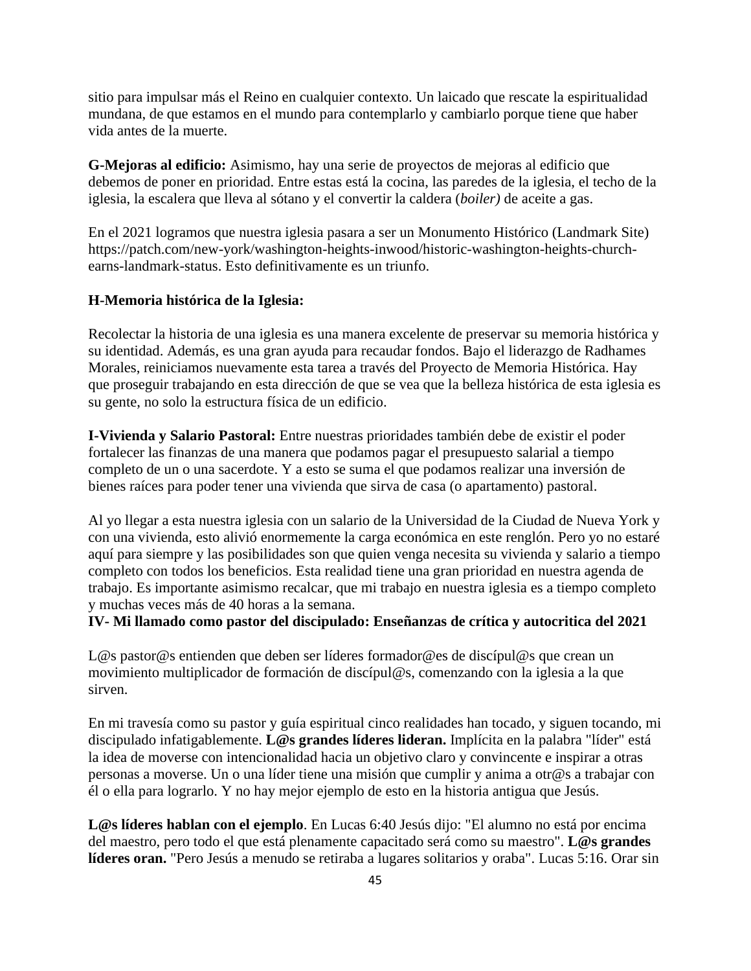sitio para impulsar más el Reino en cualquier contexto. Un laicado que rescate la espiritualidad mundana, de que estamos en el mundo para contemplarlo y cambiarlo porque tiene que haber vida antes de la muerte.

**G-Mejoras al edificio:** Asimismo, hay una serie de proyectos de mejoras al edificio que debemos de poner en prioridad. Entre estas está la cocina, las paredes de la iglesia, el techo de la iglesia, la escalera que lleva al sótano y el convertir la caldera (*boiler)* de aceite a gas.

En el 2021 logramos que nuestra iglesia pasara a ser un Monumento Histórico (Landmark Site) [https://patch.com/new-york/washington-heights-inwood/historic-washington-heights-church](https://patch.com/new-york/washington-heights-inwood/historic-washington-heights-church-earns-landmark-status)[earns-landmark-status.](https://patch.com/new-york/washington-heights-inwood/historic-washington-heights-church-earns-landmark-status) Esto definitivamente es un triunfo.

#### **H-Memoria histórica de la Iglesia:**

Recolectar la historia de una iglesia es una manera excelente de preservar su memoria histórica y su identidad. Además, es una gran ayuda para recaudar fondos. Bajo el liderazgo de Radhames Morales, reiniciamos nuevamente esta tarea a través del Proyecto de Memoria Histórica. Hay que proseguir trabajando en esta dirección de que se vea que la belleza histórica de esta iglesia es su gente, no solo la estructura física de un edificio.

**I-Vivienda y Salario Pastoral:** Entre nuestras prioridades también debe de existir el poder fortalecer las finanzas de una manera que podamos pagar el presupuesto salarial a tiempo completo de un o una sacerdote. Y a esto se suma el que podamos realizar una inversión de bienes raíces para poder tener una vivienda que sirva de casa (o apartamento) pastoral.

Al yo llegar a esta nuestra iglesia con un salario de la Universidad de la Ciudad de Nueva York y con una vivienda, esto alivió enormemente la carga económica en este renglón. Pero yo no estaré aquí para siempre y las posibilidades son que quien venga necesita su vivienda y salario a tiempo completo con todos los beneficios. Esta realidad tiene una gran prioridad en nuestra agenda de trabajo. Es importante asimismo recalcar, que mi trabajo en nuestra iglesia es a tiempo completo y muchas veces más de 40 horas a la semana.

**IV- Mi llamado como pastor del discipulado: Enseñanzas de crítica y autocritica del 2021**

L@s pastor@s entienden que deben ser líderes formador@es de discípul@s que crean un movimiento multiplicador de formación de discípul@s, comenzando con la iglesia a la que sirven.

En mi travesía como su pastor y guía espiritual cinco realidades han tocado, y siguen tocando, mi discipulado infatigablemente. **L@s grandes líderes lideran.** Implícita en la palabra "líder" está la idea de moverse con intencionalidad hacia un objetivo claro y convincente e inspirar a otras personas a moverse. Un o una líder tiene una misión que cumplir y anima a otr@s a trabajar con él o ella para lograrlo. Y no hay mejor ejemplo de esto en la historia antigua que Jesús.

**L@s líderes hablan con el ejemplo**. En Lucas 6:40 Jesús dijo: "El alumno no está por encima del maestro, pero todo el que está plenamente capacitado será como su maestro". **L@s grandes líderes oran.** "Pero Jesús a menudo se retiraba a lugares solitarios y oraba". Lucas 5:16. Orar sin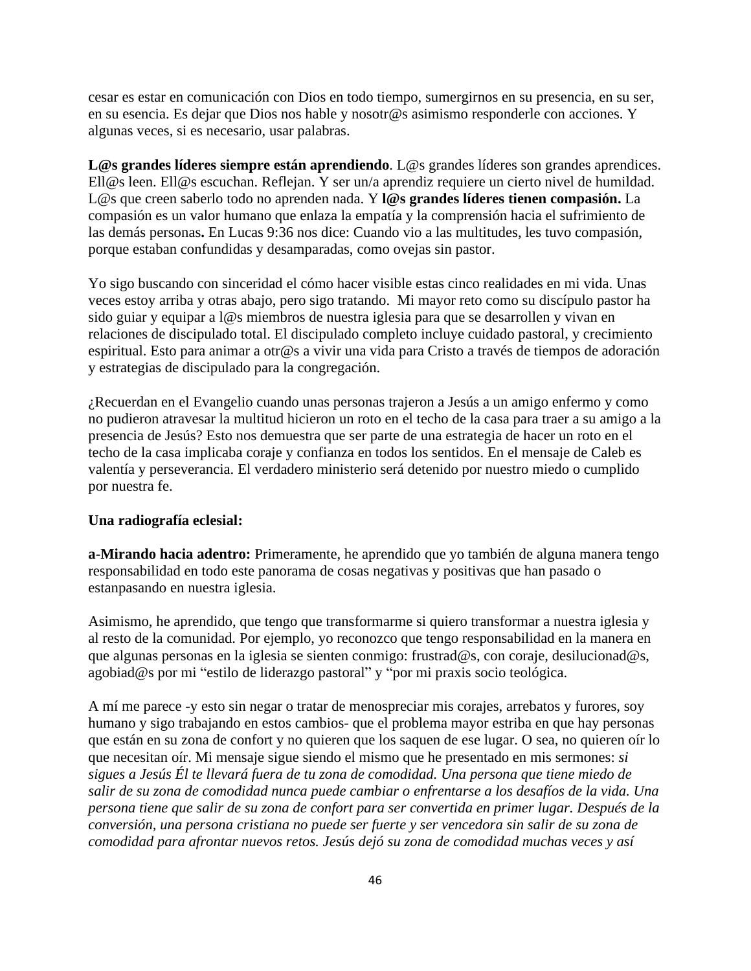cesar es estar en comunicación con Dios en todo tiempo, sumergirnos en su presencia, en su ser, en su esencia. Es dejar que Dios nos hable y nosotr@s asimismo responderle con acciones. Y algunas veces, si es necesario, usar palabras.

**L@s grandes líderes siempre están aprendiendo**. L@s grandes líderes son grandes aprendices. Ell@s leen. Ell@s escuchan. Reflejan. Y ser un/a aprendiz requiere un cierto nivel de humildad. L@s que creen saberlo todo no aprenden nada. Y **l@s grandes líderes tienen compasión.** La compasión es un valor humano que enlaza la empatía y la comprensión hacia el sufrimiento de las demás personas**.** En Lucas 9:36 nos dice: Cuando vio a las multitudes, les tuvo compasión, porque estaban confundidas y desamparadas, como ovejas sin pastor.

Yo sigo buscando con sinceridad el cómo hacer visible estas cinco realidades en mi vida. Unas veces estoy arriba y otras abajo, pero sigo tratando. Mi mayor reto como su discípulo pastor ha sido guiar y equipar a l@s miembros de nuestra iglesia para que se desarrollen y vivan en relaciones de discipulado total. El discipulado completo incluye cuidado pastoral, y crecimiento espiritual. Esto para animar a otr@s a vivir una vida para Cristo a través de tiempos de adoración y estrategias de discipulado para la congregación.

¿Recuerdan en el Evangelio cuando unas personas trajeron a Jesús a un amigo enfermo y como no pudieron atravesar la multitud hicieron un roto en el techo de la casa para traer a su amigo a la presencia de Jesús? Esto nos demuestra que ser parte de una estrategia de hacer un roto en el techo de la casa implicaba coraje y confianza en todos los sentidos. En el mensaje de Caleb es valentía y perseverancia. El verdadero ministerio será detenido por nuestro miedo o cumplido por nuestra fe.

#### **Una radiografía eclesial:**

**a-Mirando hacia adentro:** Primeramente, he aprendido que yo también de alguna manera tengo responsabilidad en todo este panorama de cosas negativas y positivas que han pasado o estanpasando en nuestra iglesia.

Asimismo, he aprendido, que tengo que transformarme si quiero transformar a nuestra iglesia y al resto de la comunidad. Por ejemplo, yo reconozco que tengo responsabilidad en la manera en que algunas personas en la iglesia se sienten conmigo: frustrad@s, con coraje, desilucionad@s, agobiad@s por mi "estilo de liderazgo pastoral" y "por mi praxis socio teológica.

A mí me parece -y esto sin negar o tratar de menospreciar mis corajes, arrebatos y furores, soy humano y sigo trabajando en estos cambios- que el problema mayor estriba en que hay personas que están en su zona de confort y no quieren que los saquen de ese lugar. O sea, no quieren oír lo que necesitan oír. Mi mensaje sigue siendo el mismo que he presentado en mis sermones: *si sigues a Jesús Él te llevará fuera de tu zona de comodidad. Una persona que tiene miedo de salir de su zona de comodidad nunca puede cambiar o enfrentarse a los desafíos de la vida. Una persona tiene que salir de su zona de confort para ser convertida en primer lugar. Después de la conversión, una persona cristiana no puede ser fuerte y ser vencedora sin salir de su zona de comodidad para afrontar nuevos retos. Jesús dejó su zona de comodidad muchas veces y así*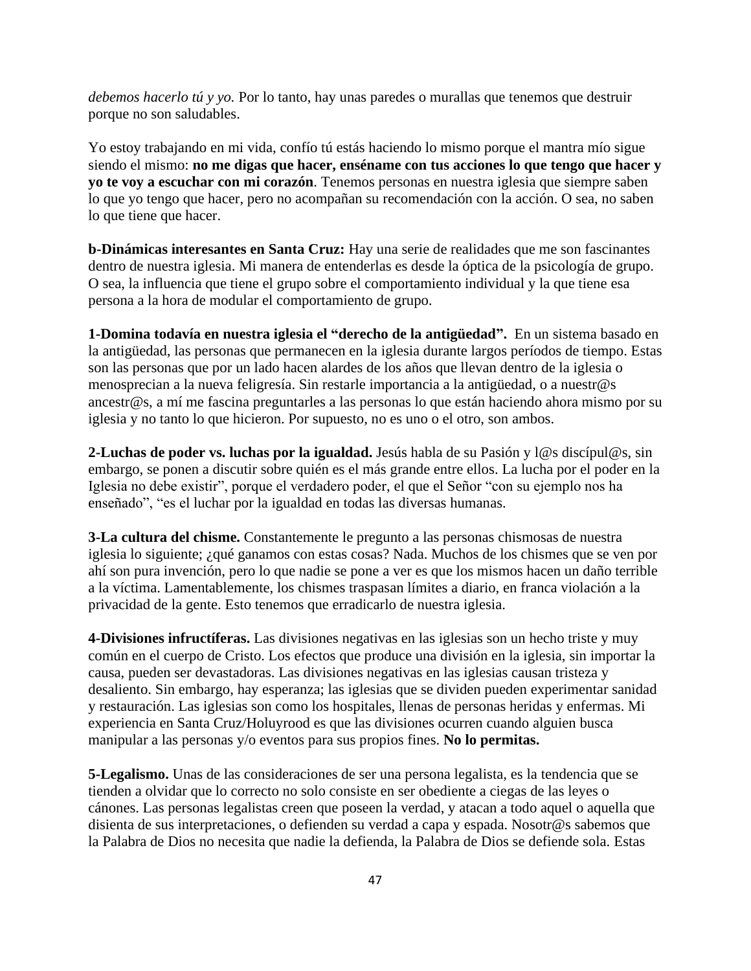*debemos hacerlo tú y yo.* Por lo tanto, hay unas paredes o murallas que tenemos que destruir porque no son saludables.

Yo estoy trabajando en mi vida, confío tú estás haciendo lo mismo porque el mantra mío sigue siendo el mismo: **no me digas que hacer, enséname con tus acciones lo que tengo que hacer y yo te voy a escuchar con mi corazón**. Tenemos personas en nuestra iglesia que siempre saben lo que yo tengo que hacer, pero no acompañan su recomendación con la acción. O sea, no saben lo que tiene que hacer.

**b-Dinámicas interesantes en Santa Cruz:** Hay una serie de realidades que me son fascinantes dentro de nuestra iglesia. Mi manera de entenderlas es desde la óptica de la psicología de grupo. O sea, la influencia que tiene el grupo sobre el comportamiento individual y la que tiene esa persona a la hora de modular el comportamiento de grupo.

**1-Domina todavía en nuestra iglesia el "derecho de la antigüedad".** En un sistema basado en la antigüedad, las personas que permanecen en la iglesia durante largos períodos de tiempo. Estas son las personas que por un lado hacen alardes de los años que llevan dentro de la iglesia o menosprecian a la nueva feligresía. Sin restarle importancia a la antigüedad, o a nuestr@s ancestr@s, a mí me fascina preguntarles a las personas lo que están haciendo ahora mismo por su iglesia y no tanto lo que hicieron. Por supuesto, no es uno o el otro, son ambos.

**2-Luchas de poder vs. luchas por la igualdad.** Jesús habla de su Pasión y l@s discípul@s, sin embargo, se ponen a discutir sobre quién es el más grande entre ellos. La lucha por el poder en la Iglesia no debe existir", porque el verdadero poder, el que el Señor "con su ejemplo nos ha enseñado", "es el luchar por la igualdad en todas las diversas humanas.

**3-La cultura del chisme.** Constantemente le pregunto a las personas chismosas de nuestra iglesia lo siguiente; ¿qué ganamos con estas cosas? Nada. Muchos de los chismes que se ven por ahí son pura invención, pero lo que nadie se pone a ver es que los mismos hacen un daño terrible a la víctima. Lamentablemente, los chismes traspasan límites a diario, en franca violación a la privacidad de la gente. Esto tenemos que erradicarlo de nuestra iglesia.

**4-Divisiones infructíferas.** Las divisiones negativas en las iglesias son un hecho triste y muy común en el cuerpo de Cristo. Los efectos que produce una división en la iglesia, sin importar la causa, pueden ser devastadoras. Las divisiones negativas en las iglesias causan tristeza y desaliento. Sin embargo, hay esperanza; las iglesias que se dividen pueden experimentar sanidad y restauración. Las iglesias son como los hospitales, llenas de personas heridas y enfermas. Mi experiencia en Santa Cruz/Holuyrood es que las divisiones ocurren cuando alguien busca manipular a las personas y/o eventos para sus propios fines. **No lo permitas.**

**5-Legalismo.** Unas de las consideraciones de ser una persona legalista, es la tendencia que se tienden a olvidar que lo correcto no solo consiste en ser obediente a ciegas de las leyes o cánones. Las personas legalistas creen que poseen la verdad, y atacan a todo aquel o aquella que disienta de sus interpretaciones, o defienden su verdad a capa y espada. Nosotr@s sabemos que la Palabra de Dios no necesita que nadie la defienda, la Palabra de Dios se defiende sola. Estas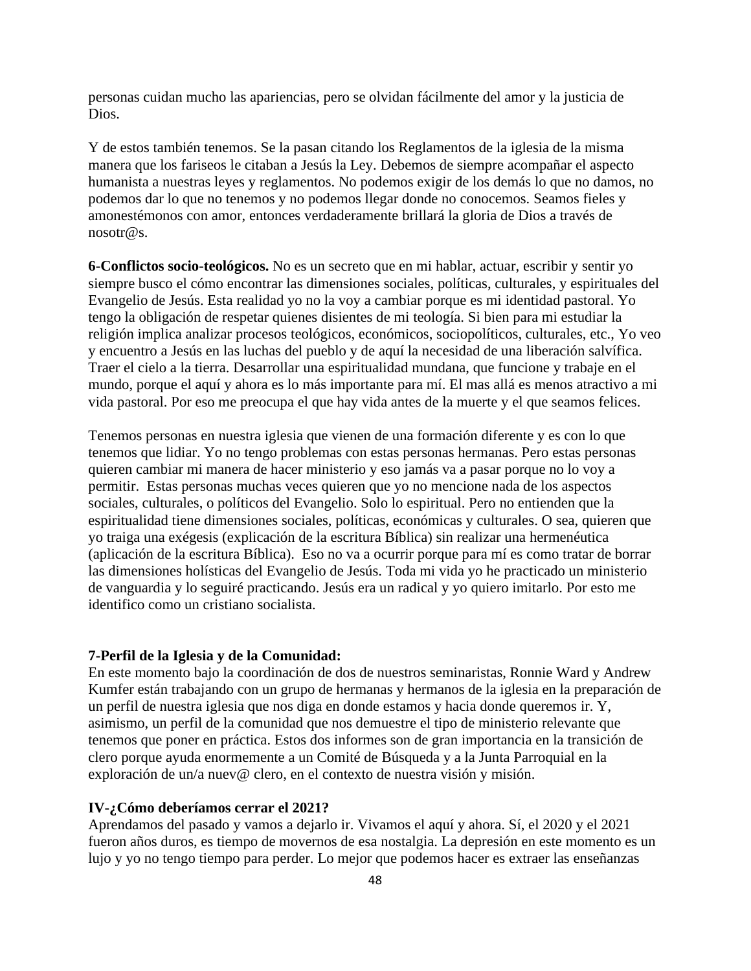personas cuidan mucho las apariencias, pero se olvidan fácilmente del amor y la justicia de Dios.

Y de estos también tenemos. Se la pasan citando los Reglamentos de la iglesia de la misma manera que los fariseos le citaban a Jesús la Ley. Debemos de siempre acompañar el aspecto humanista a nuestras leyes y reglamentos. No podemos exigir de los demás lo que no damos, no podemos dar lo que no tenemos y no podemos llegar donde no conocemos. Seamos fieles y amonestémonos con amor, entonces verdaderamente brillará la gloria de Dios a través de nosotr@s.

**6-Conflictos socio-teológicos.** No es un secreto que en mi hablar, actuar, escribir y sentir yo siempre busco el cómo encontrar las dimensiones sociales, políticas, culturales, y espirituales del Evangelio de Jesús. Esta realidad yo no la voy a cambiar porque es mi identidad pastoral. Yo tengo la obligación de respetar quienes disientes de mi teología. Si bien para mi estudiar la religión implica analizar procesos teológicos, económicos, sociopolíticos, culturales, etc., Yo veo y encuentro a Jesús en las luchas del pueblo y de aquí la necesidad de una liberación salvífica. Traer el cielo a la tierra. Desarrollar una espiritualidad mundana, que funcione y trabaje en el mundo, porque el aquí y ahora es lo más importante para mí. El mas allá es menos atractivo a mi vida pastoral. Por eso me preocupa el que hay vida antes de la muerte y el que seamos felices.

Tenemos personas en nuestra iglesia que vienen de una formación diferente y es con lo que tenemos que lidiar. Yo no tengo problemas con estas personas hermanas. Pero estas personas quieren cambiar mi manera de hacer ministerio y eso jamás va a pasar porque no lo voy a permitir. Estas personas muchas veces quieren que yo no mencione nada de los aspectos sociales, culturales, o políticos del Evangelio. Solo lo espiritual. Pero no entienden que la espiritualidad tiene dimensiones sociales, políticas, económicas y culturales. O sea, quieren que yo traiga una exégesis (explicación de la escritura Bíblica) sin realizar una hermenéutica (aplicación de la escritura Bíblica). Eso no va a ocurrir porque para mí es como tratar de borrar las dimensiones holísticas del Evangelio de Jesús. Toda mi vida yo he practicado un ministerio de vanguardia y lo seguiré practicando. Jesús era un radical y yo quiero imitarlo. Por esto me identifico como un cristiano socialista.

#### **7-Perfil de la Iglesia y de la Comunidad:**

En este momento bajo la coordinación de dos de nuestros seminaristas, Ronnie Ward y Andrew Kumfer están trabajando con un grupo de hermanas y hermanos de la iglesia en la preparación de un perfil de nuestra iglesia que nos diga en donde estamos y hacia donde queremos ir. Y, asimismo, un perfil de la comunidad que nos demuestre el tipo de ministerio relevante que tenemos que poner en práctica. Estos dos informes son de gran importancia en la transición de clero porque ayuda enormemente a un Comité de Búsqueda y a la Junta Parroquial en la exploración de un/a nuev@ clero, en el contexto de nuestra visión y misión.

#### **IV-¿Cómo deberíamos cerrar el 2021?**

Aprendamos del pasado y vamos a dejarlo ir. Vivamos el aquí y ahora. Sí, el 2020 y el 2021 fueron años duros, es tiempo de movernos de esa nostalgia. La depresión en este momento es un lujo y yo no tengo tiempo para perder. Lo mejor que podemos hacer es extraer las enseñanzas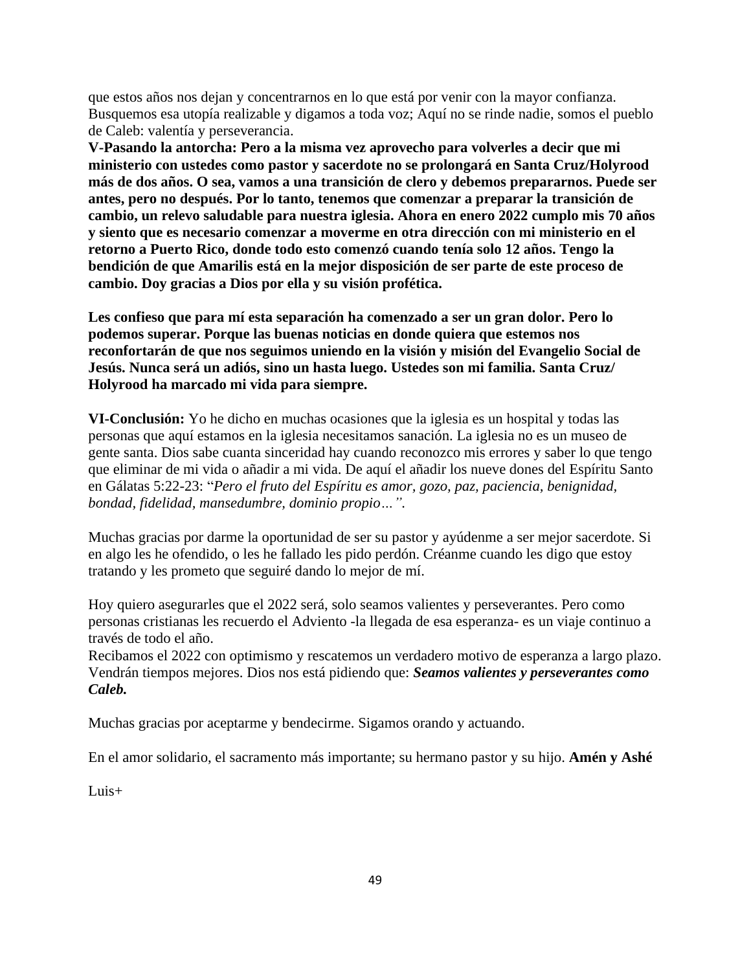que estos años nos dejan y concentrarnos en lo que está por venir con la mayor confianza. Busquemos esa utopía realizable y digamos a toda voz; Aquí no se rinde nadie, somos el pueblo de Caleb: valentía y perseverancia.

**V-Pasando la antorcha: Pero a la misma vez aprovecho para volverles a decir que mi ministerio con ustedes como pastor y sacerdote no se prolongará en Santa Cruz/Holyrood más de dos años. O sea, vamos a una transición de clero y debemos prepararnos. Puede ser antes, pero no después. Por lo tanto, tenemos que comenzar a preparar la transición de cambio, un relevo saludable para nuestra iglesia. Ahora en enero 2022 cumplo mis 70 años y siento que es necesario comenzar a moverme en otra dirección con mi ministerio en el retorno a Puerto Rico, donde todo esto comenzó cuando tenía solo 12 años. Tengo la bendición de que Amarilis está en la mejor disposición de ser parte de este proceso de cambio. Doy gracias a Dios por ella y su visión profética.**

**Les confieso que para mí esta separación ha comenzado a ser un gran dolor. Pero lo podemos superar. Porque las buenas noticias en donde quiera que estemos nos reconfortarán de que nos seguimos uniendo en la visión y misión del Evangelio Social de Jesús. Nunca será un adiós, sino un hasta luego. Ustedes son mi familia. Santa Cruz/ Holyrood ha marcado mi vida para siempre.** 

**VI-Conclusión:** Yo he dicho en muchas ocasiones que la iglesia es un hospital y todas las personas que aquí estamos en la iglesia necesitamos sanación. La iglesia no es un museo de gente santa. Dios sabe cuanta sinceridad hay cuando reconozco mis errores y saber lo que tengo que eliminar de mi vida o añadir a mi vida. De aquí el añadir los nueve dones del Espíritu Santo en Gálatas 5:22-23: "*Pero el fruto del Espíritu es amor, gozo, paz, paciencia, benignidad, bondad, fidelidad, mansedumbre, dominio propio…".* 

Muchas gracias por darme la oportunidad de ser su pastor y ayúdenme a ser mejor sacerdote. Si en algo les he ofendido, o les he fallado les pido perdón. Créanme cuando les digo que estoy tratando y les prometo que seguiré dando lo mejor de mí.

Hoy quiero asegurarles que el 2022 será, solo seamos valientes y perseverantes. Pero como personas cristianas les recuerdo el Adviento -la llegada de esa esperanza- es un viaje continuo a través de todo el año.

Recibamos el 2022 con optimismo y rescatemos un verdadero motivo de esperanza a largo plazo. Vendrán tiempos mejores. Dios nos está pidiendo que: *Seamos valientes y perseverantes como Caleb.* 

Muchas gracias por aceptarme y bendecirme. Sigamos orando y actuando.

En el amor solidario, el sacramento más importante; su hermano pastor y su hijo. **Amén y Ashé**

Luis+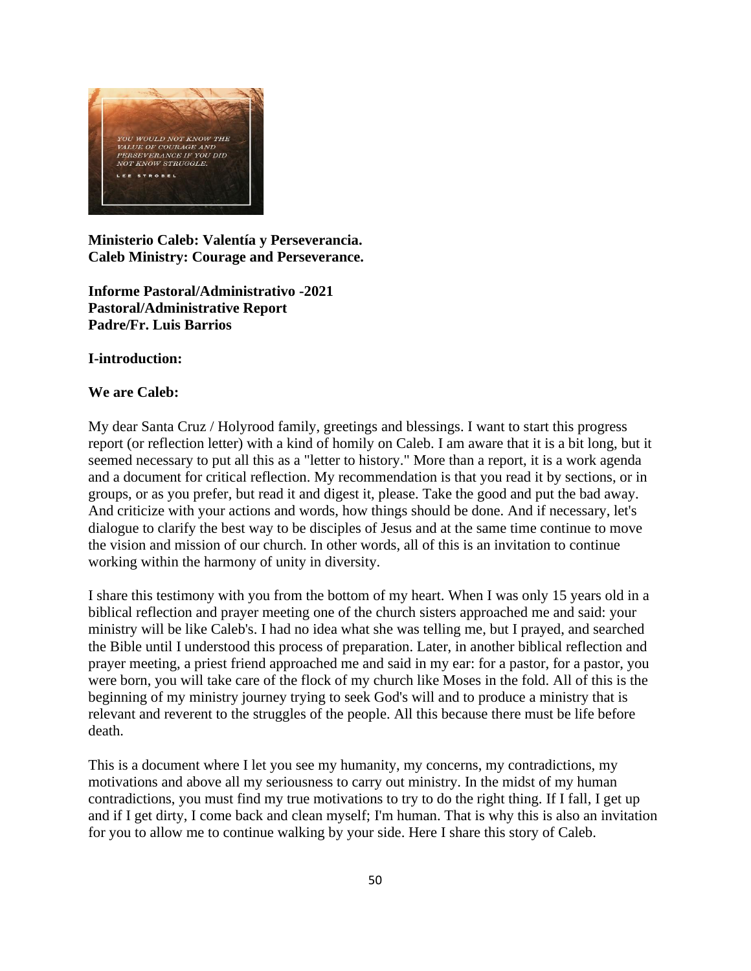

**Ministerio Caleb: Valentía y Perseverancia. Caleb Ministry: Courage and Perseverance.**

**Informe Pastoral/Administrativo -2021 Pastoral/Administrative Report Padre/Fr. Luis Barrios**

**I-introduction:** 

# **We are Caleb:**

My dear Santa Cruz / Holyrood family, greetings and blessings. I want to start this progress report (or reflection letter) with a kind of homily on Caleb. I am aware that it is a bit long, but it seemed necessary to put all this as a "letter to history." More than a report, it is a work agenda and a document for critical reflection. My recommendation is that you read it by sections, or in groups, or as you prefer, but read it and digest it, please. Take the good and put the bad away. And criticize with your actions and words, how things should be done. And if necessary, let's dialogue to clarify the best way to be disciples of Jesus and at the same time continue to move the vision and mission of our church. In other words, all of this is an invitation to continue working within the harmony of unity in diversity.

I share this testimony with you from the bottom of my heart. When I was only 15 years old in a biblical reflection and prayer meeting one of the church sisters approached me and said: your ministry will be like Caleb's. I had no idea what she was telling me, but I prayed, and searched the Bible until I understood this process of preparation. Later, in another biblical reflection and prayer meeting, a priest friend approached me and said in my ear: for a pastor, for a pastor, you were born, you will take care of the flock of my church like Moses in the fold. All of this is the beginning of my ministry journey trying to seek God's will and to produce a ministry that is relevant and reverent to the struggles of the people. All this because there must be life before death.

This is a document where I let you see my humanity, my concerns, my contradictions, my motivations and above all my seriousness to carry out ministry. In the midst of my human contradictions, you must find my true motivations to try to do the right thing. If I fall, I get up and if I get dirty, I come back and clean myself; I'm human. That is why this is also an invitation for you to allow me to continue walking by your side. Here I share this story of Caleb.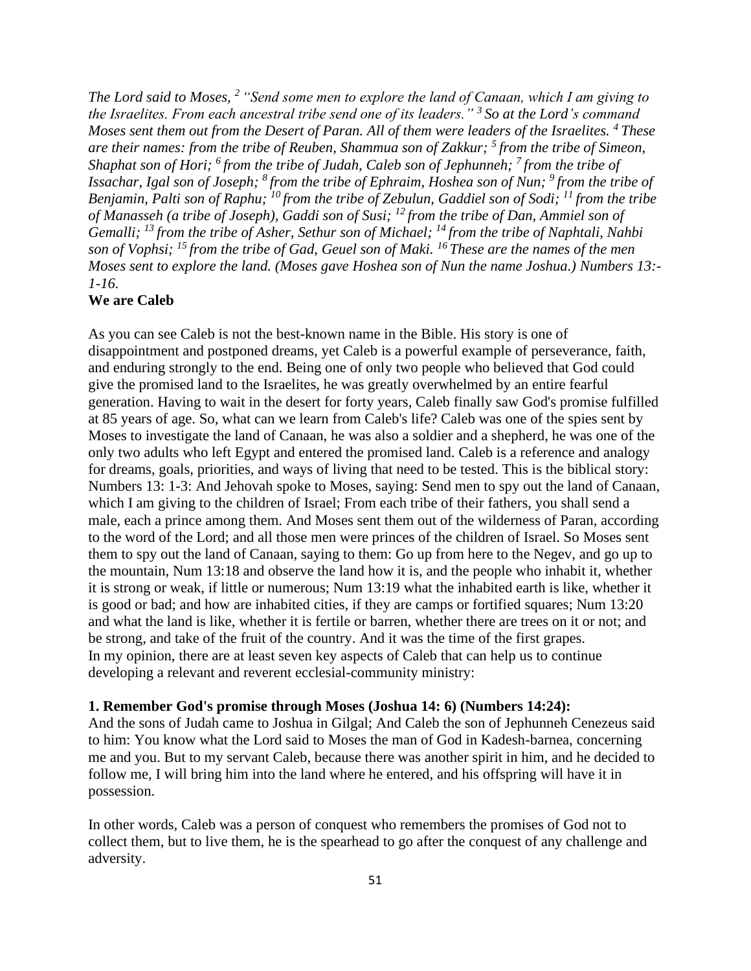*The Lord said to Moses, <sup>2</sup> "Send some men to explore the land of Canaan, which I am giving to the Israelites. From each ancestral tribe send one of its leaders." <sup>3</sup> So at the Lord's command Moses sent them out from the Desert of Paran. All of them were leaders of the Israelites. <sup>4</sup> These are their names: from the tribe of Reuben, Shammua son of Zakkur; <sup>5</sup> from the tribe of Simeon, Shaphat son of Hori; <sup>6</sup> from the tribe of Judah, Caleb son of Jephunneh; <sup>7</sup> from the tribe of Issachar, Igal son of Joseph; <sup>8</sup> from the tribe of Ephraim, Hoshea son of Nun; <sup>9</sup> from the tribe of Benjamin, Palti son of Raphu; <sup>10</sup> from the tribe of Zebulun, Gaddiel son of Sodi; <sup>11</sup> from the tribe of Manasseh (a tribe of Joseph), Gaddi son of Susi; <sup>12</sup> from the tribe of Dan, Ammiel son of Gemalli; <sup>13</sup> from the tribe of Asher, Sethur son of Michael; <sup>14</sup> from the tribe of Naphtali, Nahbi son of Vophsi; <sup>15</sup> from the tribe of Gad, Geuel son of Maki. <sup>16</sup> These are the names of the men Moses sent to explore the land. (Moses gave Hoshea son of Nun the name Joshua.) Numbers 13:- 1-16.* 

#### **We are Caleb**

As you can see Caleb is not the best-known name in the Bible. His story is one of disappointment and postponed dreams, yet Caleb is a powerful example of perseverance, faith, and enduring strongly to the end. Being one of only two people who believed that God could give the promised land to the Israelites, he was greatly overwhelmed by an entire fearful generation. Having to wait in the desert for forty years, Caleb finally saw God's promise fulfilled at 85 years of age. So, what can we learn from Caleb's life? Caleb was one of the spies sent by Moses to investigate the land of Canaan, he was also a soldier and a shepherd, he was one of the only two adults who left Egypt and entered the promised land. Caleb is a reference and analogy for dreams, goals, priorities, and ways of living that need to be tested. This is the biblical story: Numbers 13: 1-3: And Jehovah spoke to Moses, saying: Send men to spy out the land of Canaan, which I am giving to the children of Israel; From each tribe of their fathers, you shall send a male, each a prince among them. And Moses sent them out of the wilderness of Paran, according to the word of the Lord; and all those men were princes of the children of Israel. So Moses sent them to spy out the land of Canaan, saying to them: Go up from here to the Negev, and go up to the mountain, Num 13:18 and observe the land how it is, and the people who inhabit it, whether it is strong or weak, if little or numerous; Num 13:19 what the inhabited earth is like, whether it is good or bad; and how are inhabited cities, if they are camps or fortified squares; Num 13:20 and what the land is like, whether it is fertile or barren, whether there are trees on it or not; and be strong, and take of the fruit of the country. And it was the time of the first grapes. In my opinion, there are at least seven key aspects of Caleb that can help us to continue developing a relevant and reverent ecclesial-community ministry:

#### **1. Remember God's promise through Moses (Joshua 14: 6) (Numbers 14:24):**

And the sons of Judah came to Joshua in Gilgal; And Caleb the son of Jephunneh Cenezeus said to him: You know what the Lord said to Moses the man of God in Kadesh-barnea, concerning me and you. But to my servant Caleb, because there was another spirit in him, and he decided to follow me, I will bring him into the land where he entered, and his offspring will have it in possession.

In other words, Caleb was a person of conquest who remembers the promises of God not to collect them, but to live them, he is the spearhead to go after the conquest of any challenge and adversity.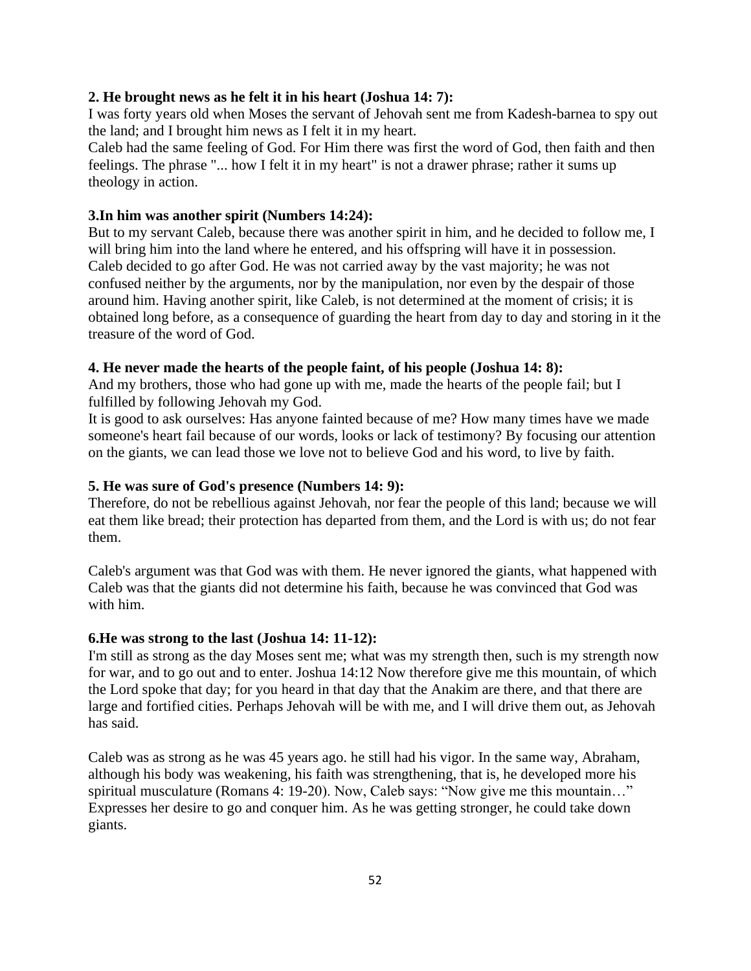#### **2. He brought news as he felt it in his heart (Joshua 14: 7):**

I was forty years old when Moses the servant of Jehovah sent me from Kadesh-barnea to spy out the land; and I brought him news as I felt it in my heart.

Caleb had the same feeling of God. For Him there was first the word of God, then faith and then feelings. The phrase "... how I felt it in my heart" is not a drawer phrase; rather it sums up theology in action.

#### **3.In him was another spirit (Numbers 14:24):**

But to my servant Caleb, because there was another spirit in him, and he decided to follow me, I will bring him into the land where he entered, and his offspring will have it in possession. Caleb decided to go after God. He was not carried away by the vast majority; he was not confused neither by the arguments, nor by the manipulation, nor even by the despair of those around him. Having another spirit, like Caleb, is not determined at the moment of crisis; it is obtained long before, as a consequence of guarding the heart from day to day and storing in it the treasure of the word of God.

#### **4. He never made the hearts of the people faint, of his people (Joshua 14: 8):**

And my brothers, those who had gone up with me, made the hearts of the people fail; but I fulfilled by following Jehovah my God.

It is good to ask ourselves: Has anyone fainted because of me? How many times have we made someone's heart fail because of our words, looks or lack of testimony? By focusing our attention on the giants, we can lead those we love not to believe God and his word, to live by faith.

#### **5. He was sure of God's presence (Numbers 14: 9):**

Therefore, do not be rebellious against Jehovah, nor fear the people of this land; because we will eat them like bread; their protection has departed from them, and the Lord is with us; do not fear them.

Caleb's argument was that God was with them. He never ignored the giants, what happened with Caleb was that the giants did not determine his faith, because he was convinced that God was with him.

#### **6.He was strong to the last (Joshua 14: 11-12):**

I'm still as strong as the day Moses sent me; what was my strength then, such is my strength now for war, and to go out and to enter. Joshua 14:12 Now therefore give me this mountain, of which the Lord spoke that day; for you heard in that day that the Anakim are there, and that there are large and fortified cities. Perhaps Jehovah will be with me, and I will drive them out, as Jehovah has said.

Caleb was as strong as he was 45 years ago. he still had his vigor. In the same way, Abraham, although his body was weakening, his faith was strengthening, that is, he developed more his spiritual musculature (Romans 4: 19-20). Now, Caleb says: "Now give me this mountain…" Expresses her desire to go and conquer him. As he was getting stronger, he could take down giants.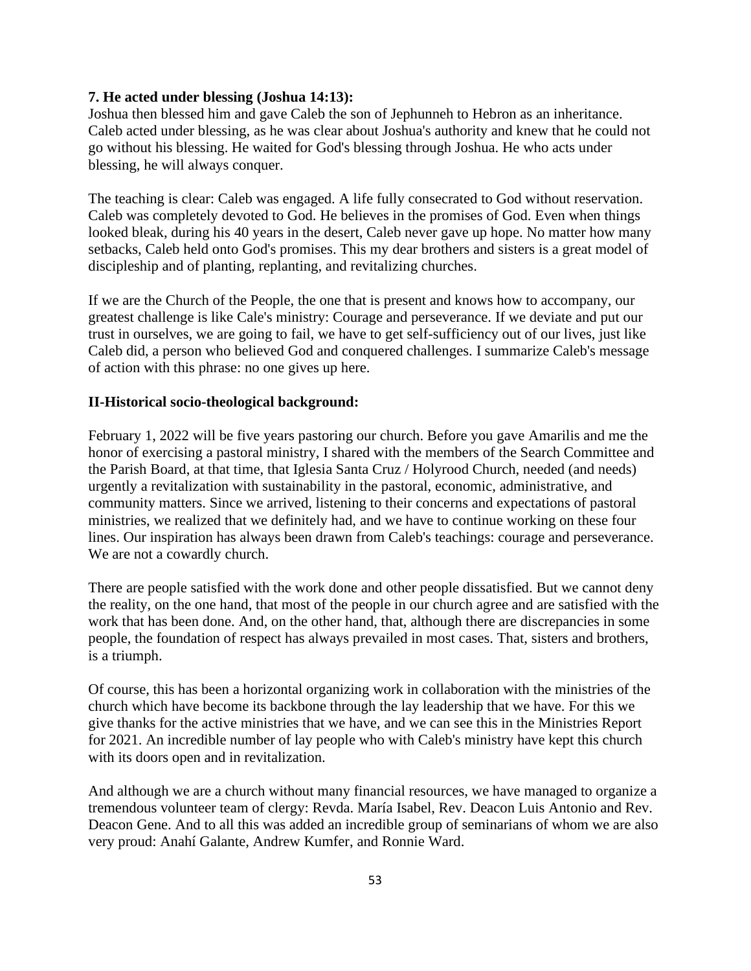#### **7. He acted under blessing (Joshua 14:13):**

Joshua then blessed him and gave Caleb the son of Jephunneh to Hebron as an inheritance. Caleb acted under blessing, as he was clear about Joshua's authority and knew that he could not go without his blessing. He waited for God's blessing through Joshua. He who acts under blessing, he will always conquer.

The teaching is clear: Caleb was engaged. A life fully consecrated to God without reservation. Caleb was completely devoted to God. He believes in the promises of God. Even when things looked bleak, during his 40 years in the desert, Caleb never gave up hope. No matter how many setbacks, Caleb held onto God's promises. This my dear brothers and sisters is a great model of discipleship and of planting, replanting, and revitalizing churches.

If we are the Church of the People, the one that is present and knows how to accompany, our greatest challenge is like Cale's ministry: Courage and perseverance. If we deviate and put our trust in ourselves, we are going to fail, we have to get self-sufficiency out of our lives, just like Caleb did, a person who believed God and conquered challenges. I summarize Caleb's message of action with this phrase: no one gives up here.

#### **II-Historical socio-theological background:**

February 1, 2022 will be five years pastoring our church. Before you gave Amarilis and me the honor of exercising a pastoral ministry, I shared with the members of the Search Committee and the Parish Board, at that time, that Iglesia Santa Cruz / Holyrood Church, needed (and needs) urgently a revitalization with sustainability in the pastoral, economic, administrative, and community matters. Since we arrived, listening to their concerns and expectations of pastoral ministries, we realized that we definitely had, and we have to continue working on these four lines. Our inspiration has always been drawn from Caleb's teachings: courage and perseverance. We are not a cowardly church.

There are people satisfied with the work done and other people dissatisfied. But we cannot deny the reality, on the one hand, that most of the people in our church agree and are satisfied with the work that has been done. And, on the other hand, that, although there are discrepancies in some people, the foundation of respect has always prevailed in most cases. That, sisters and brothers, is a triumph.

Of course, this has been a horizontal organizing work in collaboration with the ministries of the church which have become its backbone through the lay leadership that we have. For this we give thanks for the active ministries that we have, and we can see this in the Ministries Report for 2021. An incredible number of lay people who with Caleb's ministry have kept this church with its doors open and in revitalization.

And although we are a church without many financial resources, we have managed to organize a tremendous volunteer team of clergy: Revda. María Isabel, Rev. Deacon Luis Antonio and Rev. Deacon Gene. And to all this was added an incredible group of seminarians of whom we are also very proud: Anahí Galante, Andrew Kumfer, and Ronnie Ward.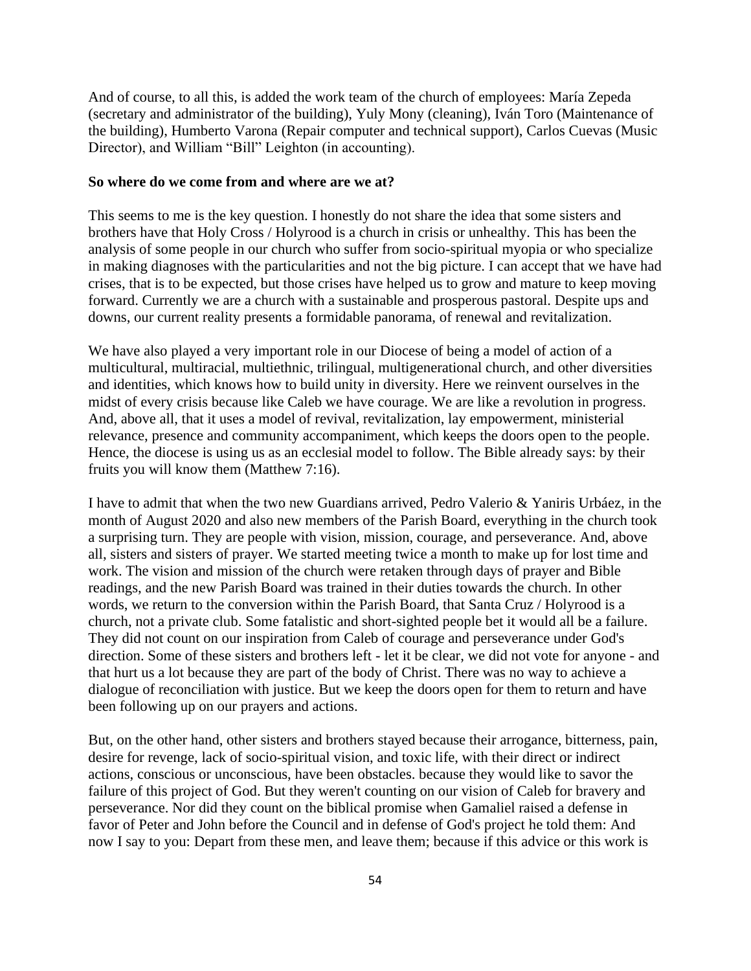And of course, to all this, is added the work team of the church of employees: María Zepeda (secretary and administrator of the building), Yuly Mony (cleaning), Iván Toro (Maintenance of the building), Humberto Varona (Repair computer and technical support), Carlos Cuevas (Music Director), and William "Bill" Leighton (in accounting).

#### **So where do we come from and where are we at?**

This seems to me is the key question. I honestly do not share the idea that some sisters and brothers have that Holy Cross / Holyrood is a church in crisis or unhealthy. This has been the analysis of some people in our church who suffer from socio-spiritual myopia or who specialize in making diagnoses with the particularities and not the big picture. I can accept that we have had crises, that is to be expected, but those crises have helped us to grow and mature to keep moving forward. Currently we are a church with a sustainable and prosperous pastoral. Despite ups and downs, our current reality presents a formidable panorama, of renewal and revitalization.

We have also played a very important role in our Diocese of being a model of action of a multicultural, multiracial, multiethnic, trilingual, multigenerational church, and other diversities and identities, which knows how to build unity in diversity. Here we reinvent ourselves in the midst of every crisis because like Caleb we have courage. We are like a revolution in progress. And, above all, that it uses a model of revival, revitalization, lay empowerment, ministerial relevance, presence and community accompaniment, which keeps the doors open to the people. Hence, the diocese is using us as an ecclesial model to follow. The Bible already says: by their fruits you will know them (Matthew 7:16).

I have to admit that when the two new Guardians arrived, Pedro Valerio & Yaniris Urbáez, in the month of August 2020 and also new members of the Parish Board, everything in the church took a surprising turn. They are people with vision, mission, courage, and perseverance. And, above all, sisters and sisters of prayer. We started meeting twice a month to make up for lost time and work. The vision and mission of the church were retaken through days of prayer and Bible readings, and the new Parish Board was trained in their duties towards the church. In other words, we return to the conversion within the Parish Board, that Santa Cruz / Holyrood is a church, not a private club. Some fatalistic and short-sighted people bet it would all be a failure. They did not count on our inspiration from Caleb of courage and perseverance under God's direction. Some of these sisters and brothers left - let it be clear, we did not vote for anyone - and that hurt us a lot because they are part of the body of Christ. There was no way to achieve a dialogue of reconciliation with justice. But we keep the doors open for them to return and have been following up on our prayers and actions.

But, on the other hand, other sisters and brothers stayed because their arrogance, bitterness, pain, desire for revenge, lack of socio-spiritual vision, and toxic life, with their direct or indirect actions, conscious or unconscious, have been obstacles. because they would like to savor the failure of this project of God. But they weren't counting on our vision of Caleb for bravery and perseverance. Nor did they count on the biblical promise when Gamaliel raised a defense in favor of Peter and John before the Council and in defense of God's project he told them: And now I say to you: Depart from these men, and leave them; because if this advice or this work is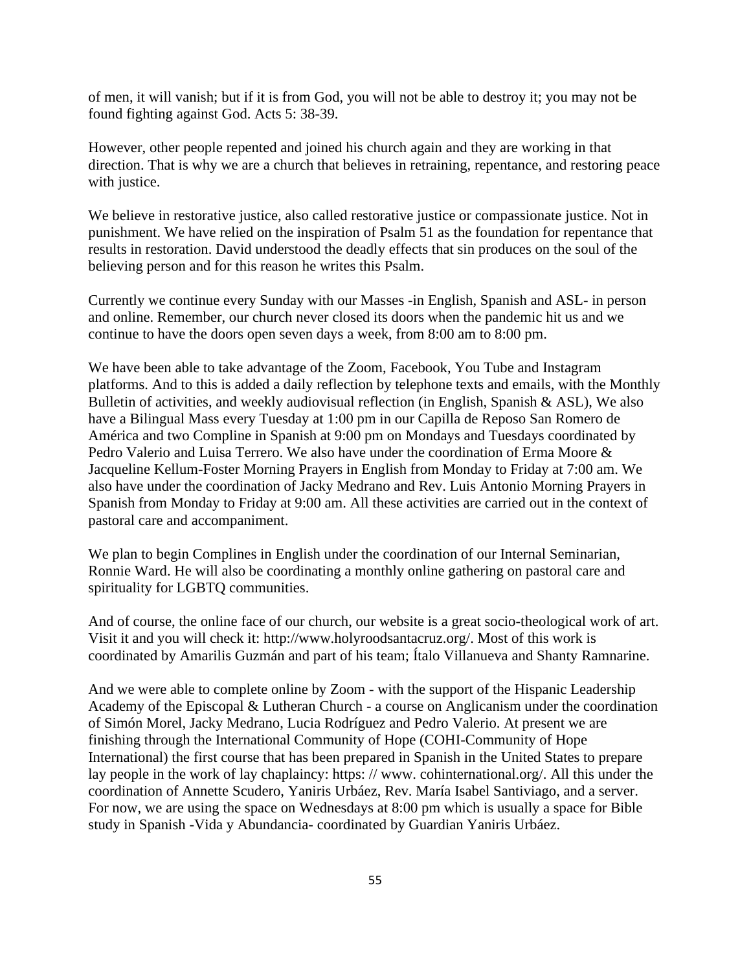of men, it will vanish; but if it is from God, you will not be able to destroy it; you may not be found fighting against God. Acts 5: 38-39.

However, other people repented and joined his church again and they are working in that direction. That is why we are a church that believes in retraining, repentance, and restoring peace with justice.

We believe in restorative justice, also called restorative justice or compassionate justice. Not in punishment. We have relied on the inspiration of Psalm 51 as the foundation for repentance that results in restoration. David understood the deadly effects that sin produces on the soul of the believing person and for this reason he writes this Psalm.

Currently we continue every Sunday with our Masses -in English, Spanish and ASL- in person and online. Remember, our church never closed its doors when the pandemic hit us and we continue to have the doors open seven days a week, from 8:00 am to 8:00 pm.

We have been able to take advantage of the Zoom, Facebook, You Tube and Instagram platforms. And to this is added a daily reflection by telephone texts and emails, with the Monthly Bulletin of activities, and weekly audiovisual reflection (in English, Spanish & ASL), We also have a Bilingual Mass every Tuesday at 1:00 pm in our Capilla de Reposo San Romero de América and two Compline in Spanish at 9:00 pm on Mondays and Tuesdays coordinated by Pedro Valerio and Luisa Terrero. We also have under the coordination of Erma Moore & Jacqueline Kellum-Foster Morning Prayers in English from Monday to Friday at 7:00 am. We also have under the coordination of Jacky Medrano and Rev. Luis Antonio Morning Prayers in Spanish from Monday to Friday at 9:00 am. All these activities are carried out in the context of pastoral care and accompaniment.

We plan to begin Complines in English under the coordination of our Internal Seminarian, Ronnie Ward. He will also be coordinating a monthly online gathering on pastoral care and spirituality for LGBTQ communities.

And of course, the online face of our church, our website is a great socio-theological work of art. Visit it and you will check it: http://www.holyroodsantacruz.org/. Most of this work is coordinated by Amarilis Guzmán and part of his team; Ítalo Villanueva and Shanty Ramnarine.

And we were able to complete online by Zoom - with the support of the Hispanic Leadership Academy of the Episcopal & Lutheran Church - a course on Anglicanism under the coordination of Simón Morel, Jacky Medrano, Lucia Rodríguez and Pedro Valerio. At present we are finishing through the International Community of Hope (COHI-Community of Hope International) the first course that has been prepared in Spanish in the United States to prepare lay people in the work of lay chaplaincy: https: // www. cohinternational.org/. All this under the coordination of Annette Scudero, Yaniris Urbáez, Rev. María Isabel Santiviago, and a server. For now, we are using the space on Wednesdays at 8:00 pm which is usually a space for Bible study in Spanish -Vida y Abundancia- coordinated by Guardian Yaniris Urbáez.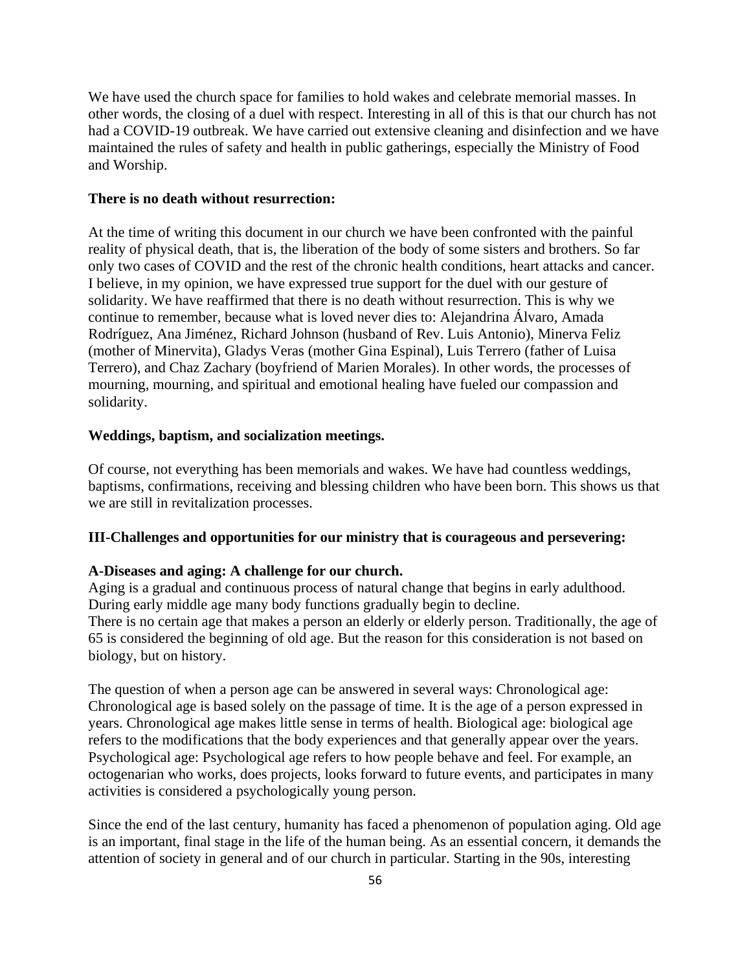We have used the church space for families to hold wakes and celebrate memorial masses. In other words, the closing of a duel with respect. Interesting in all of this is that our church has not had a COVID-19 outbreak. We have carried out extensive cleaning and disinfection and we have maintained the rules of safety and health in public gatherings, especially the Ministry of Food and Worship.

#### **There is no death without resurrection:**

At the time of writing this document in our church we have been confronted with the painful reality of physical death, that is, the liberation of the body of some sisters and brothers. So far only two cases of COVID and the rest of the chronic health conditions, heart attacks and cancer. I believe, in my opinion, we have expressed true support for the duel with our gesture of solidarity. We have reaffirmed that there is no death without resurrection. This is why we continue to remember, because what is loved never dies to: Alejandrina Álvaro, Amada Rodríguez, Ana Jiménez, Richard Johnson (husband of Rev. Luis Antonio), Minerva Feliz (mother of Minervita), Gladys Veras (mother Gina Espinal), Luis Terrero (father of Luisa Terrero), and Chaz Zachary (boyfriend of Marien Morales). In other words, the processes of mourning, mourning, and spiritual and emotional healing have fueled our compassion and solidarity.

#### **Weddings, baptism, and socialization meetings.**

Of course, not everything has been memorials and wakes. We have had countless weddings, baptisms, confirmations, receiving and blessing children who have been born. This shows us that we are still in revitalization processes.

#### **III-Challenges and opportunities for our ministry that is courageous and persevering:**

#### **A-Diseases and aging: A challenge for our church.**

Aging is a gradual and continuous process of natural change that begins in early adulthood. During early middle age many body functions gradually begin to decline. There is no certain age that makes a person an elderly or elderly person. Traditionally, the age of 65 is considered the beginning of old age. But the reason for this consideration is not based on biology, but on history.

The question of when a person age can be answered in several ways: Chronological age: Chronological age is based solely on the passage of time. It is the age of a person expressed in years. Chronological age makes little sense in terms of health. Biological age: biological age refers to the modifications that the body experiences and that generally appear over the years. Psychological age: Psychological age refers to how people behave and feel. For example, an octogenarian who works, does projects, looks forward to future events, and participates in many activities is considered a psychologically young person.

Since the end of the last century, humanity has faced a phenomenon of population aging. Old age is an important, final stage in the life of the human being. As an essential concern, it demands the attention of society in general and of our church in particular. Starting in the 90s, interesting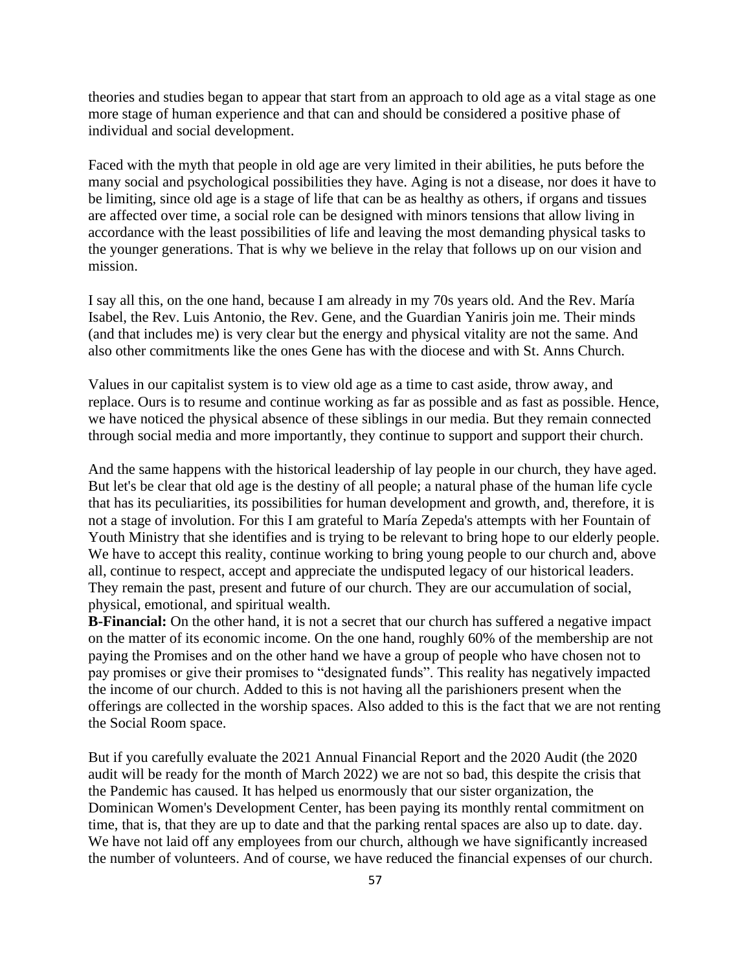theories and studies began to appear that start from an approach to old age as a vital stage as one more stage of human experience and that can and should be considered a positive phase of individual and social development.

Faced with the myth that people in old age are very limited in their abilities, he puts before the many social and psychological possibilities they have. Aging is not a disease, nor does it have to be limiting, since old age is a stage of life that can be as healthy as others, if organs and tissues are affected over time, a social role can be designed with minors tensions that allow living in accordance with the least possibilities of life and leaving the most demanding physical tasks to the younger generations. That is why we believe in the relay that follows up on our vision and mission.

I say all this, on the one hand, because I am already in my 70s years old. And the Rev. María Isabel, the Rev. Luis Antonio, the Rev. Gene, and the Guardian Yaniris join me. Their minds (and that includes me) is very clear but the energy and physical vitality are not the same. And also other commitments like the ones Gene has with the diocese and with St. Anns Church.

Values in our capitalist system is to view old age as a time to cast aside, throw away, and replace. Ours is to resume and continue working as far as possible and as fast as possible. Hence, we have noticed the physical absence of these siblings in our media. But they remain connected through social media and more importantly, they continue to support and support their church.

And the same happens with the historical leadership of lay people in our church, they have aged. But let's be clear that old age is the destiny of all people; a natural phase of the human life cycle that has its peculiarities, its possibilities for human development and growth, and, therefore, it is not a stage of involution. For this I am grateful to María Zepeda's attempts with her Fountain of Youth Ministry that she identifies and is trying to be relevant to bring hope to our elderly people. We have to accept this reality, continue working to bring young people to our church and, above all, continue to respect, accept and appreciate the undisputed legacy of our historical leaders. They remain the past, present and future of our church. They are our accumulation of social, physical, emotional, and spiritual wealth.

**B-Financial:** On the other hand, it is not a secret that our church has suffered a negative impact on the matter of its economic income. On the one hand, roughly 60% of the membership are not paying the Promises and on the other hand we have a group of people who have chosen not to pay promises or give their promises to "designated funds". This reality has negatively impacted the income of our church. Added to this is not having all the parishioners present when the offerings are collected in the worship spaces. Also added to this is the fact that we are not renting the Social Room space.

But if you carefully evaluate the 2021 Annual Financial Report and the 2020 Audit (the 2020 audit will be ready for the month of March 2022) we are not so bad, this despite the crisis that the Pandemic has caused. It has helped us enormously that our sister organization, the Dominican Women's Development Center, has been paying its monthly rental commitment on time, that is, that they are up to date and that the parking rental spaces are also up to date. day. We have not laid off any employees from our church, although we have significantly increased the number of volunteers. And of course, we have reduced the financial expenses of our church.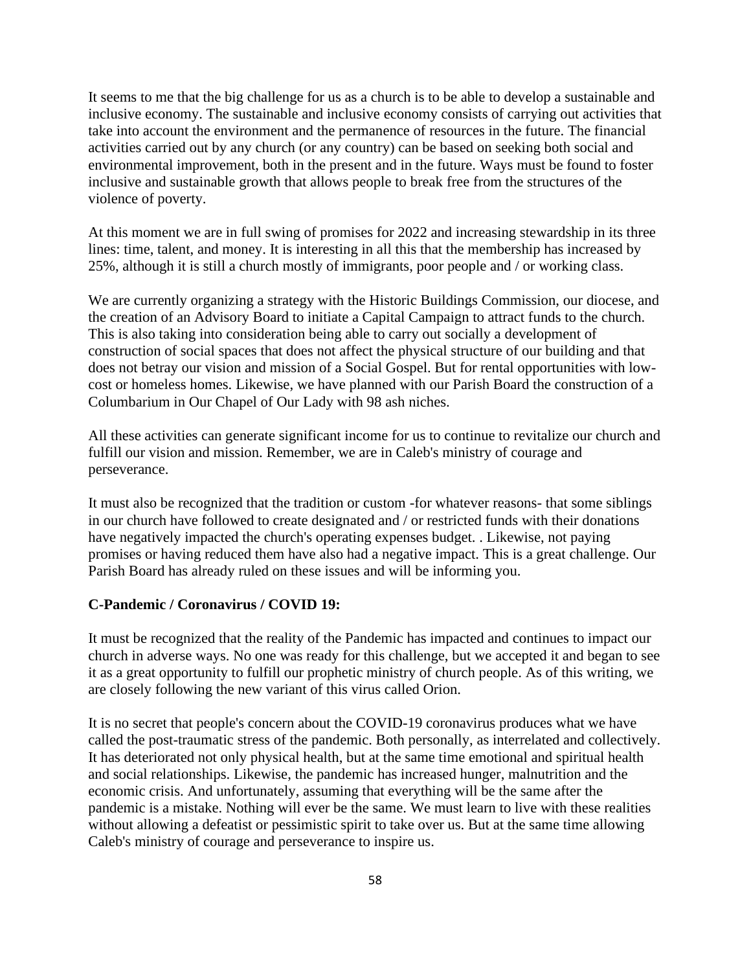It seems to me that the big challenge for us as a church is to be able to develop a sustainable and inclusive economy. The sustainable and inclusive economy consists of carrying out activities that take into account the environment and the permanence of resources in the future. The financial activities carried out by any church (or any country) can be based on seeking both social and environmental improvement, both in the present and in the future. Ways must be found to foster inclusive and sustainable growth that allows people to break free from the structures of the violence of poverty.

At this moment we are in full swing of promises for 2022 and increasing stewardship in its three lines: time, talent, and money. It is interesting in all this that the membership has increased by 25%, although it is still a church mostly of immigrants, poor people and / or working class.

We are currently organizing a strategy with the Historic Buildings Commission, our diocese, and the creation of an Advisory Board to initiate a Capital Campaign to attract funds to the church. This is also taking into consideration being able to carry out socially a development of construction of social spaces that does not affect the physical structure of our building and that does not betray our vision and mission of a Social Gospel. But for rental opportunities with lowcost or homeless homes. Likewise, we have planned with our Parish Board the construction of a Columbarium in Our Chapel of Our Lady with 98 ash niches.

All these activities can generate significant income for us to continue to revitalize our church and fulfill our vision and mission. Remember, we are in Caleb's ministry of courage and perseverance.

It must also be recognized that the tradition or custom -for whatever reasons- that some siblings in our church have followed to create designated and / or restricted funds with their donations have negatively impacted the church's operating expenses budget. . Likewise, not paying promises or having reduced them have also had a negative impact. This is a great challenge. Our Parish Board has already ruled on these issues and will be informing you.

#### **C-Pandemic / Coronavirus / COVID 19:**

It must be recognized that the reality of the Pandemic has impacted and continues to impact our church in adverse ways. No one was ready for this challenge, but we accepted it and began to see it as a great opportunity to fulfill our prophetic ministry of church people. As of this writing, we are closely following the new variant of this virus called Orion.

It is no secret that people's concern about the COVID-19 coronavirus produces what we have called the post-traumatic stress of the pandemic. Both personally, as interrelated and collectively. It has deteriorated not only physical health, but at the same time emotional and spiritual health and social relationships. Likewise, the pandemic has increased hunger, malnutrition and the economic crisis. And unfortunately, assuming that everything will be the same after the pandemic is a mistake. Nothing will ever be the same. We must learn to live with these realities without allowing a defeatist or pessimistic spirit to take over us. But at the same time allowing Caleb's ministry of courage and perseverance to inspire us.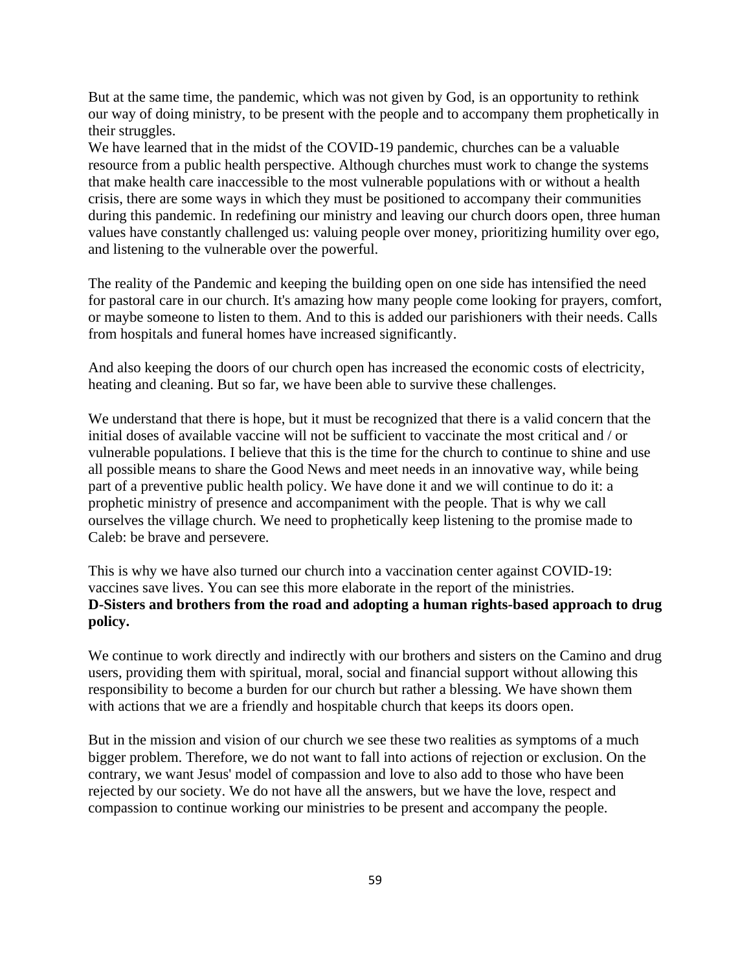But at the same time, the pandemic, which was not given by God, is an opportunity to rethink our way of doing ministry, to be present with the people and to accompany them prophetically in their struggles.

We have learned that in the midst of the COVID-19 pandemic, churches can be a valuable resource from a public health perspective. Although churches must work to change the systems that make health care inaccessible to the most vulnerable populations with or without a health crisis, there are some ways in which they must be positioned to accompany their communities during this pandemic. In redefining our ministry and leaving our church doors open, three human values have constantly challenged us: valuing people over money, prioritizing humility over ego, and listening to the vulnerable over the powerful.

The reality of the Pandemic and keeping the building open on one side has intensified the need for pastoral care in our church. It's amazing how many people come looking for prayers, comfort, or maybe someone to listen to them. And to this is added our parishioners with their needs. Calls from hospitals and funeral homes have increased significantly.

And also keeping the doors of our church open has increased the economic costs of electricity, heating and cleaning. But so far, we have been able to survive these challenges.

We understand that there is hope, but it must be recognized that there is a valid concern that the initial doses of available vaccine will not be sufficient to vaccinate the most critical and / or vulnerable populations. I believe that this is the time for the church to continue to shine and use all possible means to share the Good News and meet needs in an innovative way, while being part of a preventive public health policy. We have done it and we will continue to do it: a prophetic ministry of presence and accompaniment with the people. That is why we call ourselves the village church. We need to prophetically keep listening to the promise made to Caleb: be brave and persevere.

This is why we have also turned our church into a vaccination center against COVID-19: vaccines save lives. You can see this more elaborate in the report of the ministries. **D-Sisters and brothers from the road and adopting a human rights-based approach to drug policy.**

We continue to work directly and indirectly with our brothers and sisters on the Camino and drug users, providing them with spiritual, moral, social and financial support without allowing this responsibility to become a burden for our church but rather a blessing. We have shown them with actions that we are a friendly and hospitable church that keeps its doors open.

But in the mission and vision of our church we see these two realities as symptoms of a much bigger problem. Therefore, we do not want to fall into actions of rejection or exclusion. On the contrary, we want Jesus' model of compassion and love to also add to those who have been rejected by our society. We do not have all the answers, but we have the love, respect and compassion to continue working our ministries to be present and accompany the people.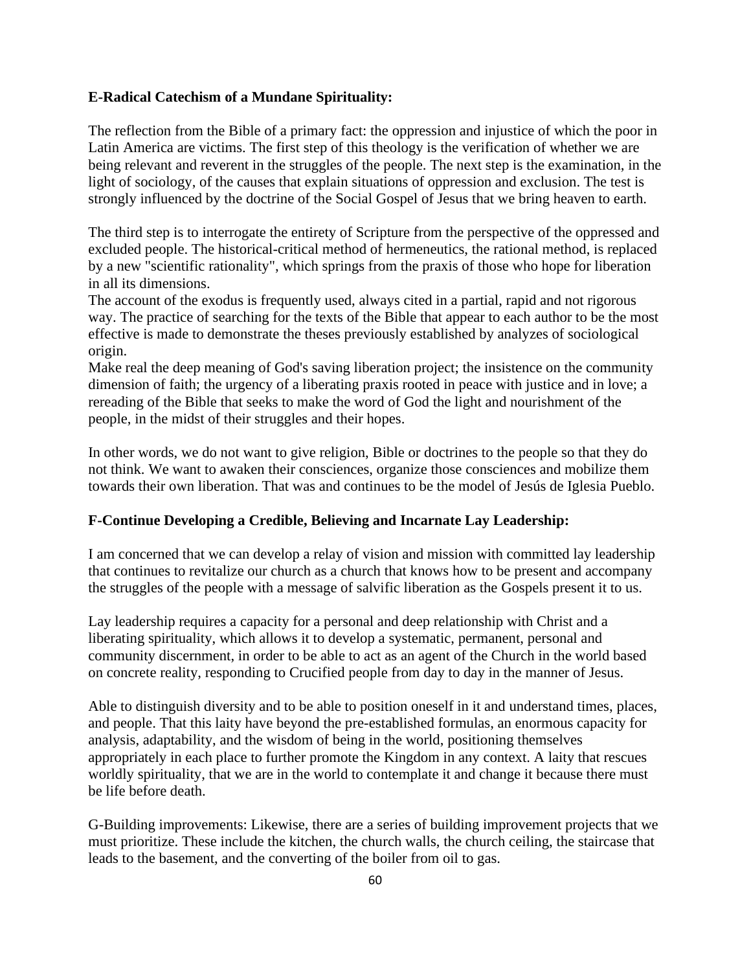#### **E-Radical Catechism of a Mundane Spirituality:**

The reflection from the Bible of a primary fact: the oppression and injustice of which the poor in Latin America are victims. The first step of this theology is the verification of whether we are being relevant and reverent in the struggles of the people. The next step is the examination, in the light of sociology, of the causes that explain situations of oppression and exclusion. The test is strongly influenced by the doctrine of the Social Gospel of Jesus that we bring heaven to earth.

The third step is to interrogate the entirety of Scripture from the perspective of the oppressed and excluded people. The historical-critical method of hermeneutics, the rational method, is replaced by a new "scientific rationality", which springs from the praxis of those who hope for liberation in all its dimensions.

The account of the exodus is frequently used, always cited in a partial, rapid and not rigorous way. The practice of searching for the texts of the Bible that appear to each author to be the most effective is made to demonstrate the theses previously established by analyzes of sociological origin.

Make real the deep meaning of God's saving liberation project; the insistence on the community dimension of faith; the urgency of a liberating praxis rooted in peace with justice and in love; a rereading of the Bible that seeks to make the word of God the light and nourishment of the people, in the midst of their struggles and their hopes.

In other words, we do not want to give religion, Bible or doctrines to the people so that they do not think. We want to awaken their consciences, organize those consciences and mobilize them towards their own liberation. That was and continues to be the model of Jesús de Iglesia Pueblo.

#### **F-Continue Developing a Credible, Believing and Incarnate Lay Leadership:**

I am concerned that we can develop a relay of vision and mission with committed lay leadership that continues to revitalize our church as a church that knows how to be present and accompany the struggles of the people with a message of salvific liberation as the Gospels present it to us.

Lay leadership requires a capacity for a personal and deep relationship with Christ and a liberating spirituality, which allows it to develop a systematic, permanent, personal and community discernment, in order to be able to act as an agent of the Church in the world based on concrete reality, responding to Crucified people from day to day in the manner of Jesus.

Able to distinguish diversity and to be able to position oneself in it and understand times, places, and people. That this laity have beyond the pre-established formulas, an enormous capacity for analysis, adaptability, and the wisdom of being in the world, positioning themselves appropriately in each place to further promote the Kingdom in any context. A laity that rescues worldly spirituality, that we are in the world to contemplate it and change it because there must be life before death.

G-Building improvements: Likewise, there are a series of building improvement projects that we must prioritize. These include the kitchen, the church walls, the church ceiling, the staircase that leads to the basement, and the converting of the boiler from oil to gas.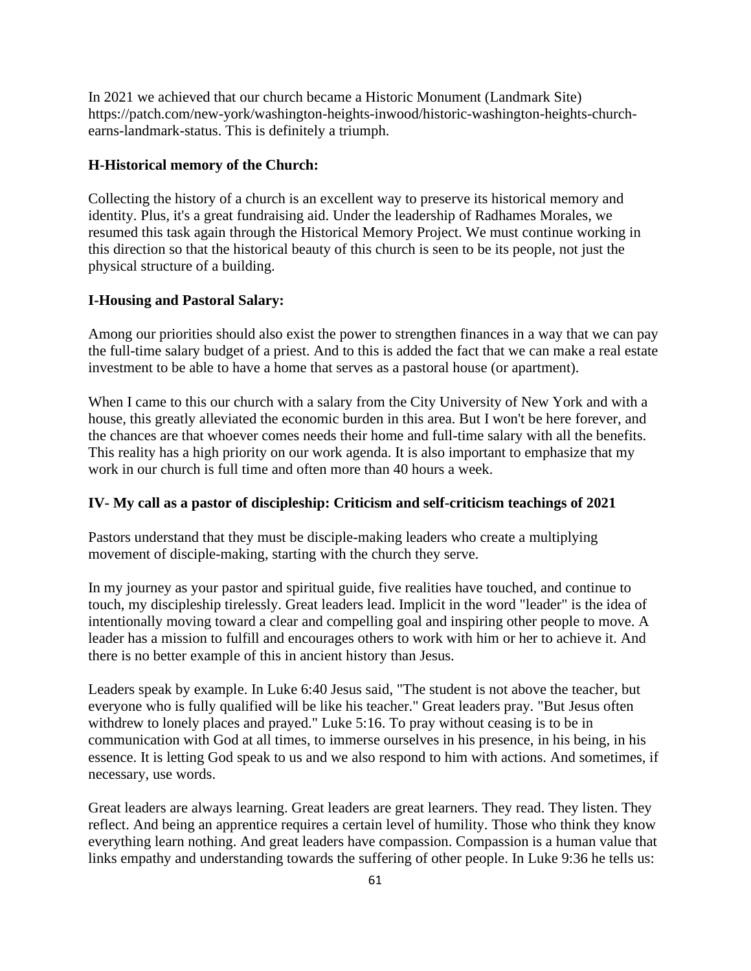In 2021 we achieved that our church became a Historic Monument (Landmark Site) https://patch.com/new-york/washington-heights-inwood/historic-washington-heights-churchearns-landmark-status. This is definitely a triumph.

# **H-Historical memory of the Church:**

Collecting the history of a church is an excellent way to preserve its historical memory and identity. Plus, it's a great fundraising aid. Under the leadership of Radhames Morales, we resumed this task again through the Historical Memory Project. We must continue working in this direction so that the historical beauty of this church is seen to be its people, not just the physical structure of a building.

# **I-Housing and Pastoral Salary:**

Among our priorities should also exist the power to strengthen finances in a way that we can pay the full-time salary budget of a priest. And to this is added the fact that we can make a real estate investment to be able to have a home that serves as a pastoral house (or apartment).

When I came to this our church with a salary from the City University of New York and with a house, this greatly alleviated the economic burden in this area. But I won't be here forever, and the chances are that whoever comes needs their home and full-time salary with all the benefits. This reality has a high priority on our work agenda. It is also important to emphasize that my work in our church is full time and often more than 40 hours a week.

# **IV- My call as a pastor of discipleship: Criticism and self-criticism teachings of 2021**

Pastors understand that they must be disciple-making leaders who create a multiplying movement of disciple-making, starting with the church they serve.

In my journey as your pastor and spiritual guide, five realities have touched, and continue to touch, my discipleship tirelessly. Great leaders lead. Implicit in the word "leader" is the idea of intentionally moving toward a clear and compelling goal and inspiring other people to move. A leader has a mission to fulfill and encourages others to work with him or her to achieve it. And there is no better example of this in ancient history than Jesus.

Leaders speak by example. In Luke 6:40 Jesus said, "The student is not above the teacher, but everyone who is fully qualified will be like his teacher." Great leaders pray. "But Jesus often withdrew to lonely places and prayed." Luke 5:16. To pray without ceasing is to be in communication with God at all times, to immerse ourselves in his presence, in his being, in his essence. It is letting God speak to us and we also respond to him with actions. And sometimes, if necessary, use words.

Great leaders are always learning. Great leaders are great learners. They read. They listen. They reflect. And being an apprentice requires a certain level of humility. Those who think they know everything learn nothing. And great leaders have compassion. Compassion is a human value that links empathy and understanding towards the suffering of other people. In Luke 9:36 he tells us: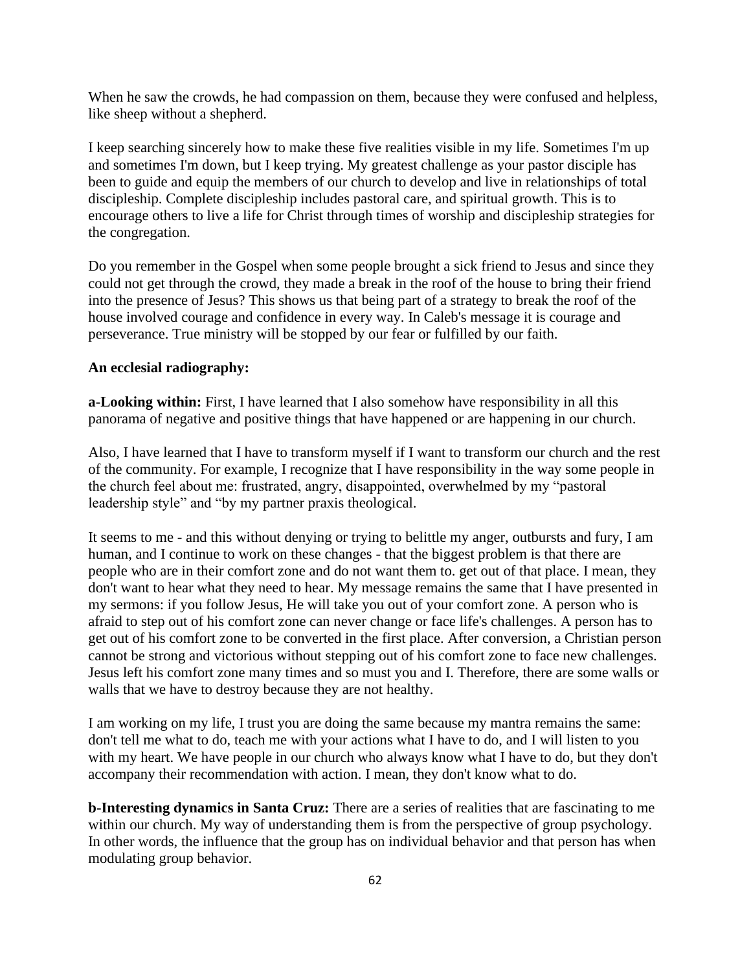When he saw the crowds, he had compassion on them, because they were confused and helpless, like sheep without a shepherd.

I keep searching sincerely how to make these five realities visible in my life. Sometimes I'm up and sometimes I'm down, but I keep trying. My greatest challenge as your pastor disciple has been to guide and equip the members of our church to develop and live in relationships of total discipleship. Complete discipleship includes pastoral care, and spiritual growth. This is to encourage others to live a life for Christ through times of worship and discipleship strategies for the congregation.

Do you remember in the Gospel when some people brought a sick friend to Jesus and since they could not get through the crowd, they made a break in the roof of the house to bring their friend into the presence of Jesus? This shows us that being part of a strategy to break the roof of the house involved courage and confidence in every way. In Caleb's message it is courage and perseverance. True ministry will be stopped by our fear or fulfilled by our faith.

#### **An ecclesial radiography:**

**a-Looking within:** First, I have learned that I also somehow have responsibility in all this panorama of negative and positive things that have happened or are happening in our church.

Also, I have learned that I have to transform myself if I want to transform our church and the rest of the community. For example, I recognize that I have responsibility in the way some people in the church feel about me: frustrated, angry, disappointed, overwhelmed by my "pastoral leadership style" and "by my partner praxis theological.

It seems to me - and this without denying or trying to belittle my anger, outbursts and fury, I am human, and I continue to work on these changes - that the biggest problem is that there are people who are in their comfort zone and do not want them to. get out of that place. I mean, they don't want to hear what they need to hear. My message remains the same that I have presented in my sermons: if you follow Jesus, He will take you out of your comfort zone. A person who is afraid to step out of his comfort zone can never change or face life's challenges. A person has to get out of his comfort zone to be converted in the first place. After conversion, a Christian person cannot be strong and victorious without stepping out of his comfort zone to face new challenges. Jesus left his comfort zone many times and so must you and I. Therefore, there are some walls or walls that we have to destroy because they are not healthy.

I am working on my life, I trust you are doing the same because my mantra remains the same: don't tell me what to do, teach me with your actions what I have to do, and I will listen to you with my heart. We have people in our church who always know what I have to do, but they don't accompany their recommendation with action. I mean, they don't know what to do.

**b-Interesting dynamics in Santa Cruz:** There are a series of realities that are fascinating to me within our church. My way of understanding them is from the perspective of group psychology. In other words, the influence that the group has on individual behavior and that person has when modulating group behavior.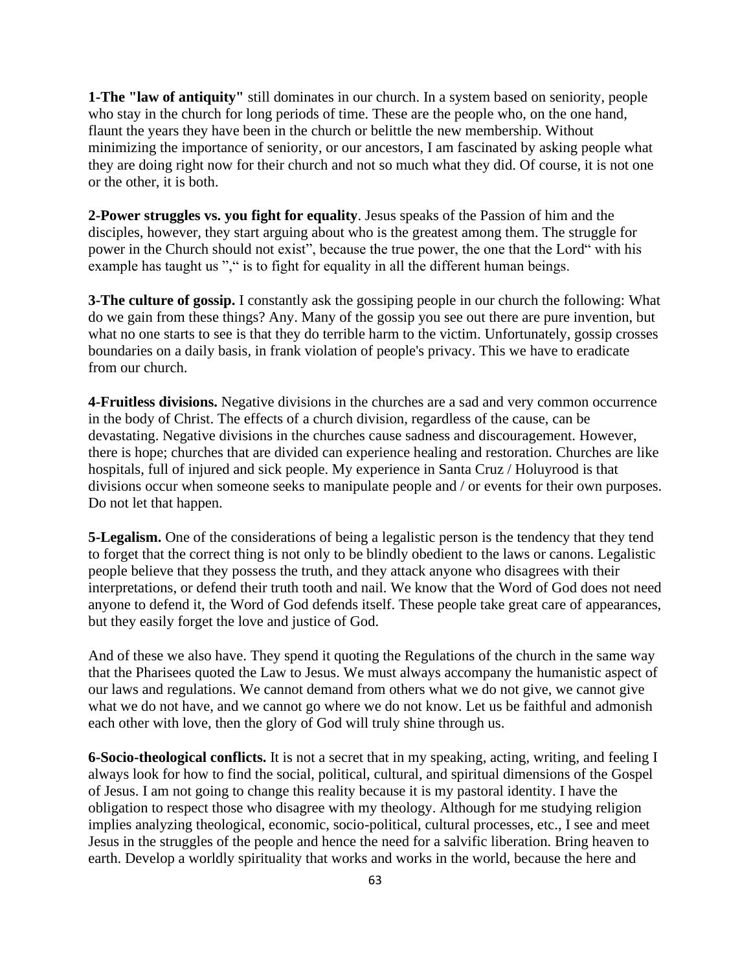**1-The "law of antiquity"** still dominates in our church. In a system based on seniority, people who stay in the church for long periods of time. These are the people who, on the one hand, flaunt the years they have been in the church or belittle the new membership. Without minimizing the importance of seniority, or our ancestors, I am fascinated by asking people what they are doing right now for their church and not so much what they did. Of course, it is not one or the other, it is both.

**2-Power struggles vs. you fight for equality**. Jesus speaks of the Passion of him and the disciples, however, they start arguing about who is the greatest among them. The struggle for power in the Church should not exist", because the true power, the one that the Lord" with his example has taught us "," is to fight for equality in all the different human beings.

**3-The culture of gossip.** I constantly ask the gossiping people in our church the following: What do we gain from these things? Any. Many of the gossip you see out there are pure invention, but what no one starts to see is that they do terrible harm to the victim. Unfortunately, gossip crosses boundaries on a daily basis, in frank violation of people's privacy. This we have to eradicate from our church.

**4-Fruitless divisions.** Negative divisions in the churches are a sad and very common occurrence in the body of Christ. The effects of a church division, regardless of the cause, can be devastating. Negative divisions in the churches cause sadness and discouragement. However, there is hope; churches that are divided can experience healing and restoration. Churches are like hospitals, full of injured and sick people. My experience in Santa Cruz / Holuyrood is that divisions occur when someone seeks to manipulate people and / or events for their own purposes. Do not let that happen.

**5-Legalism.** One of the considerations of being a legalistic person is the tendency that they tend to forget that the correct thing is not only to be blindly obedient to the laws or canons. Legalistic people believe that they possess the truth, and they attack anyone who disagrees with their interpretations, or defend their truth tooth and nail. We know that the Word of God does not need anyone to defend it, the Word of God defends itself. These people take great care of appearances, but they easily forget the love and justice of God.

And of these we also have. They spend it quoting the Regulations of the church in the same way that the Pharisees quoted the Law to Jesus. We must always accompany the humanistic aspect of our laws and regulations. We cannot demand from others what we do not give, we cannot give what we do not have, and we cannot go where we do not know. Let us be faithful and admonish each other with love, then the glory of God will truly shine through us.

**6-Socio-theological conflicts.** It is not a secret that in my speaking, acting, writing, and feeling I always look for how to find the social, political, cultural, and spiritual dimensions of the Gospel of Jesus. I am not going to change this reality because it is my pastoral identity. I have the obligation to respect those who disagree with my theology. Although for me studying religion implies analyzing theological, economic, socio-political, cultural processes, etc., I see and meet Jesus in the struggles of the people and hence the need for a salvific liberation. Bring heaven to earth. Develop a worldly spirituality that works and works in the world, because the here and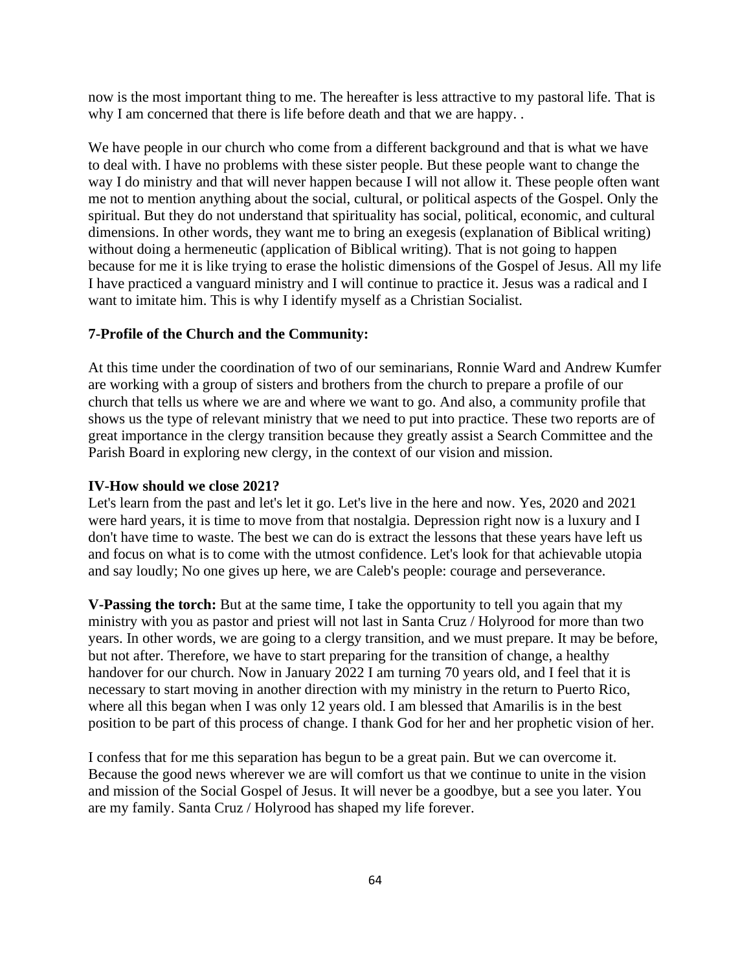now is the most important thing to me. The hereafter is less attractive to my pastoral life. That is why I am concerned that there is life before death and that we are happy...

We have people in our church who come from a different background and that is what we have to deal with. I have no problems with these sister people. But these people want to change the way I do ministry and that will never happen because I will not allow it. These people often want me not to mention anything about the social, cultural, or political aspects of the Gospel. Only the spiritual. But they do not understand that spirituality has social, political, economic, and cultural dimensions. In other words, they want me to bring an exegesis (explanation of Biblical writing) without doing a hermeneutic (application of Biblical writing). That is not going to happen because for me it is like trying to erase the holistic dimensions of the Gospel of Jesus. All my life I have practiced a vanguard ministry and I will continue to practice it. Jesus was a radical and I want to imitate him. This is why I identify myself as a Christian Socialist.

#### **7-Profile of the Church and the Community:**

At this time under the coordination of two of our seminarians, Ronnie Ward and Andrew Kumfer are working with a group of sisters and brothers from the church to prepare a profile of our church that tells us where we are and where we want to go. And also, a community profile that shows us the type of relevant ministry that we need to put into practice. These two reports are of great importance in the clergy transition because they greatly assist a Search Committee and the Parish Board in exploring new clergy, in the context of our vision and mission.

#### **IV-How should we close 2021?**

Let's learn from the past and let's let it go. Let's live in the here and now. Yes, 2020 and 2021 were hard years, it is time to move from that nostalgia. Depression right now is a luxury and I don't have time to waste. The best we can do is extract the lessons that these years have left us and focus on what is to come with the utmost confidence. Let's look for that achievable utopia and say loudly; No one gives up here, we are Caleb's people: courage and perseverance.

**V-Passing the torch:** But at the same time, I take the opportunity to tell you again that my ministry with you as pastor and priest will not last in Santa Cruz / Holyrood for more than two years. In other words, we are going to a clergy transition, and we must prepare. It may be before, but not after. Therefore, we have to start preparing for the transition of change, a healthy handover for our church. Now in January 2022 I am turning 70 years old, and I feel that it is necessary to start moving in another direction with my ministry in the return to Puerto Rico, where all this began when I was only 12 years old. I am blessed that Amarilis is in the best position to be part of this process of change. I thank God for her and her prophetic vision of her.

I confess that for me this separation has begun to be a great pain. But we can overcome it. Because the good news wherever we are will comfort us that we continue to unite in the vision and mission of the Social Gospel of Jesus. It will never be a goodbye, but a see you later. You are my family. Santa Cruz / Holyrood has shaped my life forever.